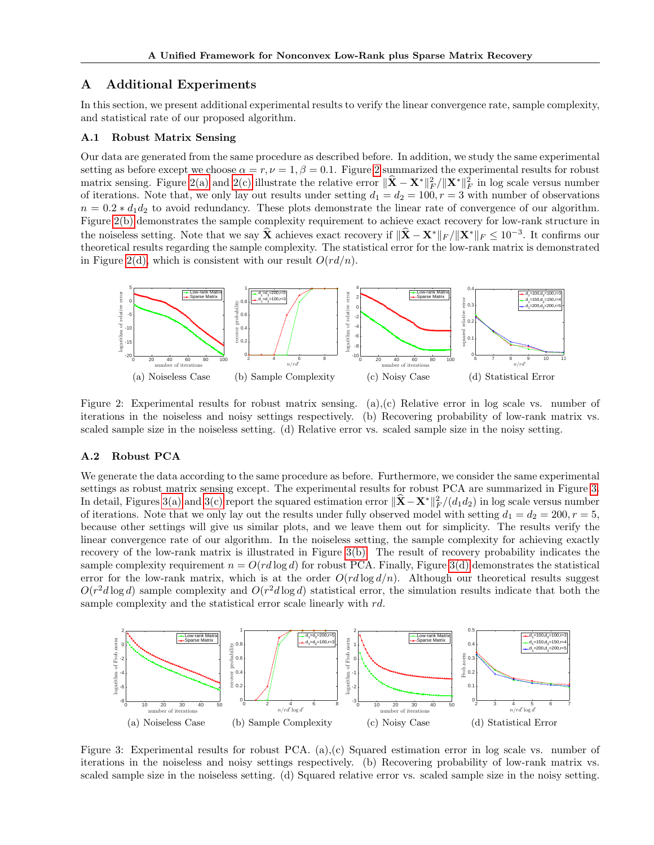## A Additional Experiments

In this section, we present additional experimental results to verify the linear convergence rate, sample complexity, and statistical rate of our proposed algorithm.

#### A.1 Robust Matrix Sensing

Our data are generated from the same procedure as described before. In addition, we study the same experimental setting as before except we choose  $\alpha = r, \nu = 1, \beta = 0.1$ . Figure 2 summarized the experimental results for robust matrix sensing. Figure 2(a) and 2(c) illustrate the relative error  $\|\hat{\mathbf{X}} - \mathbf{X}^*\|_F^2 / \|\mathbf{X}^*\|_F^2$  in log scale versus number of iterations. Note that, we only lay out results under setting  $d_1 = d_2 = 100, r = 3$  with number of observations  $n = 0.2 * d_1 d_2$  to avoid redundancy. These plots demonstrate the linear rate of convergence of our algorithm. Figure 2(b) demonstrates the sample complexity requirement to achieve exact recovery for low-rank structure in the noiseless setting. Note that we say  $\hat{\mathbf{X}}$  achieves exact recovery if  $\|\hat{\mathbf{X}} - \mathbf{X}^*\|_F / \|\mathbf{X}^*\|_F \leq 10^{-3}$ . It confirms our theoretical results regarding the sample complexity. The statistical error for the low-rank matrix is demonstrated in Figure 2(d), which is consistent with our result  $O(r d/n)$ .



Figure 2: Experimental results for robust matrix sensing. (a),(c) Relative error in log scale vs. number of iterations in the noiseless and noisy settings respectively. (b) Recovering probability of low-rank matrix vs. scaled sample size in the noiseless setting. (d) Relative error vs. scaled sample size in the noisy setting.

## A.2 Robust PCA

We generate the data according to the same procedure as before. Furthermore, we consider the same experimental settings as robust matrix sensing except. The experimental results for robust PCA are summarized in Figure 3. In detail, Figures 3(a) and 3(c) report the squared estimation error  $\|\hat{\mathbf{X}} - \mathbf{X}^*\|_F^2/(d_1d_2)$  in log scale versus number of iterations. Note that we only lay out the results under fully observed model with setting  $d_1 = d_2 = 200, r = 5$ , because other settings will give us similar plots, and we leave them out for simplicity. The results verify the linear convergence rate of our algorithm. In the noiseless setting, the sample complexity for achieving exactly recovery of the low-rank matrix is illustrated in Figure 3(b). The result of recovery probability indicates the sample complexity requirement  $n = O(r d \log d)$  for robust PCA. Finally, Figure 3(d) demonstrates the statistical error for the low-rank matrix, which is at the order  $O(r d \log d/n)$ . Although our theoretical results suggest  $O(r^2d \log d)$  sample complexity and  $O(r^2d \log d)$  statistical error, the simulation results indicate that both the sample complexity and the statistical error scale linearly with  $rd$ .



Figure 3: Experimental results for robust PCA. (a),(c) Squared estimation error in log scale vs. number of iterations in the noiseless and noisy settings respectively. (b) Recovering probability of low-rank matrix vs. scaled sample size in the noiseless setting. (d) Squared relative error vs. scaled sample size in the noisy setting.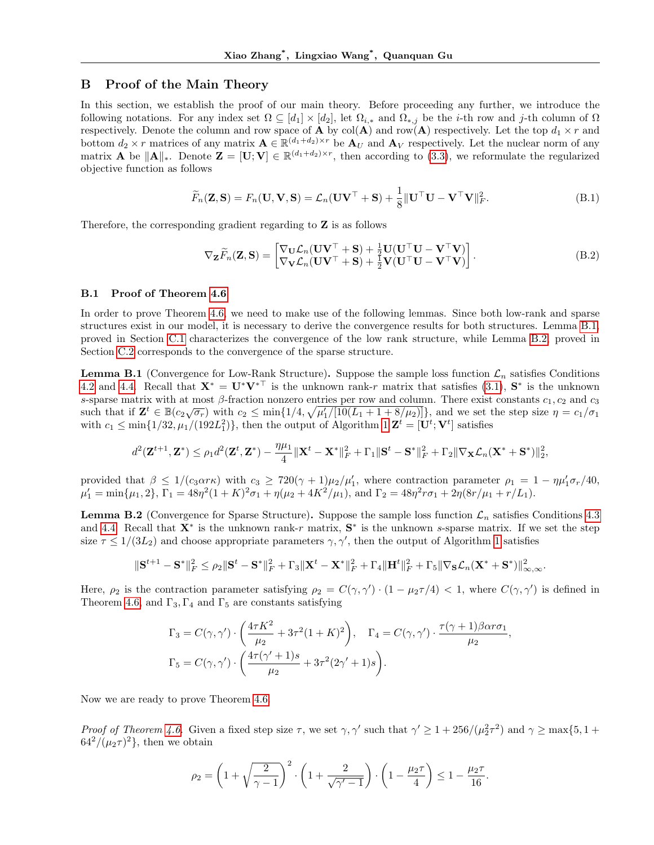## B Proof of the Main Theory

In this section, we establish the proof of our main theory. Before proceeding any further, we introduce the following notations. For any index set  $\Omega \subseteq [d_1] \times [d_2]$ , let  $\Omega_{i,*}$  and  $\Omega_{*,j}$  be the *i*-th row and *j*-th column of  $\Omega$ respectively. Denote the column and row space of **A** by col(**A**) and row(**A**) respectively. Let the top  $d_1 \times r$  and bottom  $d_2 \times r$  matrices of any matrix  $\mathbf{A} \in \mathbb{R}^{(d_1+d_2)\times r}$  be  $\mathbf{A}_U$  and  $\mathbf{A}_V$  respectively. Let the nuclear norm of any matrix **A** be  $||\mathbf{A}||_*$ . Denote  $\mathbf{Z} = [\mathbf{U}; \mathbf{V}] \in \mathbb{R}^{(d_1 + d_2) \times r}$ , then according to (3.3), we reformulate the regularized objective function as follows

$$
\widetilde{F}_n(\mathbf{Z}, \mathbf{S}) = F_n(\mathbf{U}, \mathbf{V}, \mathbf{S}) = \mathcal{L}_n(\mathbf{U}\mathbf{V}^\top + \mathbf{S}) + \frac{1}{8} \|\mathbf{U}^\top \mathbf{U} - \mathbf{V}^\top \mathbf{V}\|_F^2.
$$
\n(B.1)

Therefore, the corresponding gradient regarding to Z is as follows

$$
\nabla_{\mathbf{Z}} \widetilde{F}_n(\mathbf{Z}, \mathbf{S}) = \begin{bmatrix} \nabla_{\mathbf{U}} \mathcal{L}_n(\mathbf{U} \mathbf{V}^\top + \mathbf{S}) + \frac{1}{2} \mathbf{U} (\mathbf{U}^\top \mathbf{U} - \mathbf{V}^\top \mathbf{V}) \\ \nabla_{\mathbf{V}} \mathcal{L}_n(\mathbf{U} \mathbf{V}^\top + \mathbf{S}) + \frac{1}{2} \mathbf{V} (\mathbf{U}^\top \mathbf{U} - \mathbf{V}^\top \mathbf{V}) \end{bmatrix}.
$$
\n(B.2)

### B.1 Proof of Theorem 4.6

In order to prove Theorem 4.6, we need to make use of the following lemmas. Since both low-rank and sparse structures exist in our model, it is necessary to derive the convergence results for both structures. Lemma B.1, proved in Section C.1 characterizes the convergence of the low rank structure, while Lemma B.2, proved in Section C.2 corresponds to the convergence of the sparse structure.

**Lemma B.1** (Convergence for Low-Rank Structure). Suppose the sample loss function  $\mathcal{L}_n$  satisfies Conditions 4.2 and 4.4. Recall that  $X^* = U^*V^{*T}$  is the unknown rank-r matrix that satisfies (3.1),  $S^*$  is the unknown s-sparse matrix with at most β-fraction nonzero entries per row and column. There exist constants  $c_1, c_2$  and  $c_3$ <br>did to  $\mathbb{Z}^t$   $\subset \mathbb{R}^{\ell}$   $\subset \mathbb{R}^{\ell}$   $\subset \mathbb{R}^{\ell}$   $\subset \mathbb{R}^{\ell}$   $\subset \mathbb{R}^{\ell}$   $\subset \mathbb{R}^$ such that if  $\mathbf{Z}^t \in \mathbb{B}(c_2\sqrt{\sigma_r})$  with  $c_2 \le \min\{1/4, \sqrt{\mu'_1/[10(L_1+1+8/\mu_2)]}\}\$ , and we set the step size  $\eta = c_1/\sigma_1$ with  $c_1 \le \min\{1/32, \mu_1/(192L_1^2)\}\$ , then the output of Algorithm 1  $\mathbf{Z}^t = [\mathbf{U}^t; \mathbf{V}^t]$  satisfies

$$
d^2(\mathbf{Z}^{t+1},\mathbf{Z}^*) \leq \rho_1 d^2(\mathbf{Z}^t,\mathbf{Z}^*) - \frac{\eta\mu_1}{4} \|\mathbf{X}^t - \mathbf{X}^*\|_F^2 + \Gamma_1 \|\mathbf{S}^t - \mathbf{S}^*\|_F^2 + \Gamma_2 \|\nabla_{\mathbf{X}} \mathcal{L}_n(\mathbf{X}^* + \mathbf{S}^*)\|_2^2,
$$

provided that  $\beta \leq 1/(c_3\alpha r\kappa)$  with  $c_3 \geq 720(\gamma+1)\mu_2/\mu'_1$ , where contraction parameter  $\rho_1 = 1 - \eta\mu'_1\sigma_r/40$ ,  $\mu'_1 = \min{\mu_1, 2}, \Gamma_1 = 48\eta^2(1+K)^2\sigma_1 + \eta(\mu_2 + 4K^2/\mu_1), \text{ and } \Gamma_2 = 48\eta^2r\sigma_1 + 2\eta(8r/\mu_1 + r/L_1).$ 

**Lemma B.2** (Convergence for Sparse Structure). Suppose the sample loss function  $\mathcal{L}_n$  satisfies Conditions 4.3 and 4.4. Recall that  $X^*$  is the unknown rank-r matrix,  $S^*$  is the unknown s-sparse matrix. If we set the step size  $\tau \leq 1/(3L_2)$  and choose appropriate parameters  $\gamma, \gamma'$ , then the output of Algorithm 1 satisfies

$$
\|\mathbf{S}^{t+1}-\mathbf{S}^*\|_F^2 \leq \rho_2 \|\mathbf{S}^t-\mathbf{S}^*\|_F^2+\Gamma_3 \|\mathbf{X}^t-\mathbf{X}^*\|_F^2+\Gamma_4 \|\mathbf{H}^t\|_F^2+\Gamma_5 \|\nabla_{\mathbf{S}} \mathcal{L}_n(\mathbf{X}^*+\mathbf{S}^*)\|_{\infty,\infty}^2.
$$

Here,  $\rho_2$  is the contraction parameter satisfying  $\rho_2 = C(\gamma, \gamma') \cdot (1 - \mu_2 \tau/4) < 1$ , where  $C(\gamma, \gamma')$  is defined in Theorem 4.6, and  $\Gamma_3, \Gamma_4$  and  $\Gamma_5$  are constants satisfying

$$
\Gamma_3 = C(\gamma, \gamma') \cdot \left(\frac{4\tau K^2}{\mu_2} + 3\tau^2 (1+K)^2\right), \quad \Gamma_4 = C(\gamma, \gamma') \cdot \frac{\tau(\gamma+1)\beta \alpha r \sigma_1}{\mu_2},
$$

$$
\Gamma_5 = C(\gamma, \gamma') \cdot \left(\frac{4\tau(\gamma'+1)s}{\mu_2} + 3\tau^2(2\gamma'+1)s\right).
$$

Now we are ready to prove Theorem 4.6.

Proof of Theorem 4.6. Given a fixed step size  $\tau$ , we set  $\gamma$ ,  $\gamma'$  such that  $\gamma' \geq 1 + 256/(\mu_2^2 \tau^2)$  and  $\gamma \geq \max\{5, 1 +$  $64^2/(\mu_2\tau)^2$ , then we obtain

$$
\rho_2 = \left(1 + \sqrt{\frac{2}{\gamma - 1}}\right)^2 \cdot \left(1 + \frac{2}{\sqrt{\gamma' - 1}}\right) \cdot \left(1 - \frac{\mu_2 \tau}{4}\right) \le 1 - \frac{\mu_2 \tau}{16}.
$$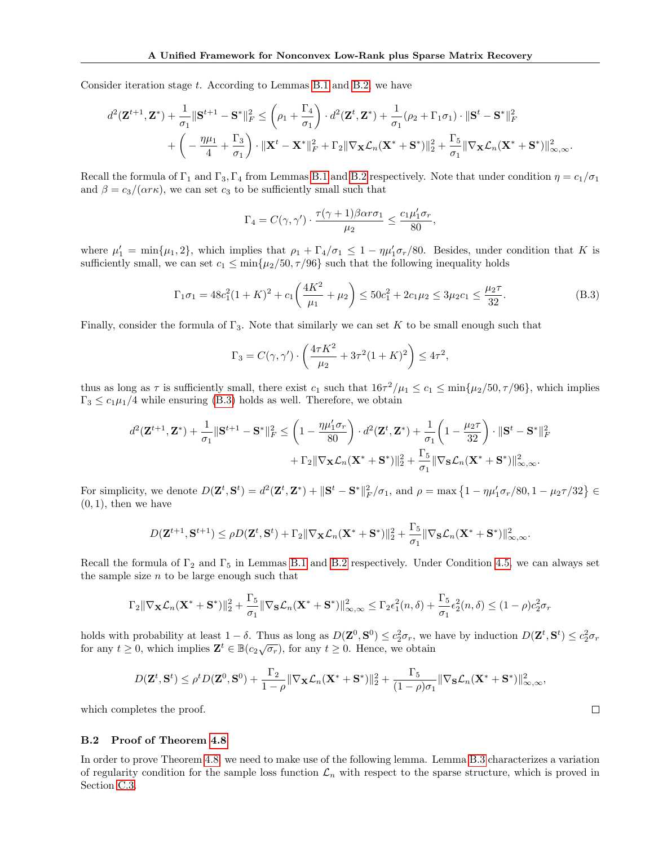Consider iteration stage t. According to Lemmas B.1 and B.2, we have

$$
d^{2}(\mathbf{Z}^{t+1},\mathbf{Z}^{*}) + \frac{1}{\sigma_{1}}\|\mathbf{S}^{t+1} - \mathbf{S}^{*}\|_{F}^{2} \leq \left(\rho_{1} + \frac{\Gamma_{4}}{\sigma_{1}}\right) \cdot d^{2}(\mathbf{Z}^{t},\mathbf{Z}^{*}) + \frac{1}{\sigma_{1}}(\rho_{2} + \Gamma_{1}\sigma_{1}) \cdot \|\mathbf{S}^{t} - \mathbf{S}^{*}\|_{F}^{2} + \left(-\frac{\eta\mu_{1}}{4} + \frac{\Gamma_{3}}{\sigma_{1}}\right) \cdot \|\mathbf{X}^{t} - \mathbf{X}^{*}\|_{F}^{2} + \Gamma_{2}\|\nabla_{\mathbf{X}}\mathcal{L}_{n}(\mathbf{X}^{*} + \mathbf{S}^{*})\|_{2}^{2} + \frac{\Gamma_{5}}{\sigma_{1}}\|\nabla_{\mathbf{X}}\mathcal{L}_{n}(\mathbf{X}^{*} + \mathbf{S}^{*})\|_{\infty,\infty}^{2}.
$$

Recall the formula of  $\Gamma_1$  and  $\Gamma_3$ ,  $\Gamma_4$  from Lemmas B.1 and B.2 respectively. Note that under condition  $\eta = c_1/\sigma_1$ and  $\beta = c_3/(\alpha r \kappa)$ , we can set  $c_3$  to be sufficiently small such that

$$
\Gamma_4 = C(\gamma, \gamma') \cdot \frac{\tau(\gamma + 1)\beta \alpha r \sigma_1}{\mu_2} \le \frac{c_1 \mu'_1 \sigma_r}{80},
$$

where  $\mu'_1 = \min{\mu_1, 2}$ , which implies that  $\rho_1 + \Gamma_4/\sigma_1 \leq 1 - \eta \mu'_1 \sigma_r/80$ . Besides, under condition that K is sufficiently small, we can set  $c_1 \le \min{\mu_2/50, \tau/96}$  such that the following inequality holds

$$
\Gamma_1 \sigma_1 = 48c_1^2 (1+K)^2 + c_1 \left(\frac{4K^2}{\mu_1} + \mu_2\right) \le 50c_1^2 + 2c_1\mu_2 \le 3\mu_2 c_1 \le \frac{\mu_2 \tau}{32}.
$$
\n(B.3)

Finally, consider the formula of  $\Gamma_3$ . Note that similarly we can set K to be small enough such that

$$
\Gamma_3 = C(\gamma, \gamma') \cdot \left(\frac{4\tau K^2}{\mu_2} + 3\tau^2 (1+K)^2\right) \le 4\tau^2,
$$

thus as long as  $\tau$  is sufficiently small, there exist  $c_1$  such that  $16\tau^2/\mu_1 \le c_1 \le \min{\mu_2/50, \tau/96}$ , which implies  $\Gamma_3 \leq c_1 \mu_1/4$  while ensuring (B.3) holds as well. Therefore, we obtain

$$
d^{2}(\mathbf{Z}^{t+1},\mathbf{Z}^{*}) + \frac{1}{\sigma_{1}}\|\mathbf{S}^{t+1} - \mathbf{S}^{*}\|_{F}^{2} \leq \left(1 - \frac{\eta\mu_{1}'\sigma_{r}}{80}\right) \cdot d^{2}(\mathbf{Z}^{t},\mathbf{Z}^{*}) + \frac{1}{\sigma_{1}}\left(1 - \frac{\mu_{2}\tau}{32}\right) \cdot \|\mathbf{S}^{t} - \mathbf{S}^{*}\|_{F}^{2} + \Gamma_{2}\|\nabla_{\mathbf{X}}\mathcal{L}_{n}(\mathbf{X}^{*} + \mathbf{S}^{*})\|_{2}^{2} + \frac{\Gamma_{5}}{\sigma_{1}}\|\nabla_{\mathbf{S}}\mathcal{L}_{n}(\mathbf{X}^{*} + \mathbf{S}^{*})\|_{\infty,\infty}^{2}.
$$

For simplicity, we denote  $D(\mathbf{Z}^t, \mathbf{S}^t) = d^2(\mathbf{Z}^t, \mathbf{Z}^*) + ||\mathbf{S}^t - \mathbf{S}^*||_F^2 / \sigma_1$ , and  $\rho = \max\left\{1 - \eta \mu_1' \sigma_r / 80, 1 - \mu_2 \tau / 32\right\} \in$  $(0, 1)$ , then we have

$$
D(\mathbf{Z}^{t+1},\mathbf{S}^{t+1}) \leq \rho D(\mathbf{Z}^t,\mathbf{S}^t) + \Gamma_2 \|\nabla_{\mathbf{X}} \mathcal{L}_n(\mathbf{X}^*+\mathbf{S}^*)\|_2^2 + \frac{\Gamma_5}{\sigma_1} \|\nabla_{\mathbf{S}} \mathcal{L}_n(\mathbf{X}^*+\mathbf{S}^*)\|_{\infty,\infty}^2.
$$

Recall the formula of  $\Gamma_2$  and  $\Gamma_5$  in Lemmas B.1 and B.2 respectively. Under Condition 4.5, we can always set the sample size  $n$  to be large enough such that

$$
\Gamma_2 \|\nabla_{\mathbf{X}} \mathcal{L}_n(\mathbf{X}^* + \mathbf{S}^*)\|_2^2 + \frac{\Gamma_5}{\sigma_1} \|\nabla_{\mathbf{S}} \mathcal{L}_n(\mathbf{X}^* + \mathbf{S}^*)\|_{\infty,\infty}^2 \le \Gamma_2 \epsilon_1^2(n,\delta) + \frac{\Gamma_5}{\sigma_1} \epsilon_2^2(n,\delta) \le (1 - \rho) c_2^2 \sigma_r
$$

holds with probability at least  $1-\delta$ . Thus as long as  $D(\mathbf{Z}^0, \mathbf{S}^0) \le c_2^2 \sigma_r$ , we have by induction  $D(\mathbf{Z}^t, \mathbf{S}^t) \le c_2^2 \sigma_r$ for any  $t \ge 0$ , which implies  $\mathbf{Z}^t \in \mathbb{B}(c_2\sqrt{\sigma_r})$ , for any  $t \ge 0$ . Hence, we obtain

$$
D(\mathbf{Z}^t,\mathbf{S}^t) \leq \rho^t D(\mathbf{Z}^0,\mathbf{S}^0) + \frac{\Gamma_2}{1-\rho}\|\nabla_{\mathbf{X}}\mathcal{L}_n(\mathbf{X}^*+\mathbf{S}^*)\|_2^2 + \frac{\Gamma_5}{(1-\rho)\sigma_1}\|\nabla_{\mathbf{S}}\mathcal{L}_n(\mathbf{X}^*+\mathbf{S}^*)\|_{\infty,\infty}^2,
$$

 $\Box$ 

which completes the proof.

### B.2 Proof of Theorem 4.8

In order to prove Theorem 4.8, we need to make use of the following lemma. Lemma B.3 characterizes a variation of regularity condition for the sample loss function  $\mathcal{L}_n$  with respect to the sparse structure, which is proved in Section C.3.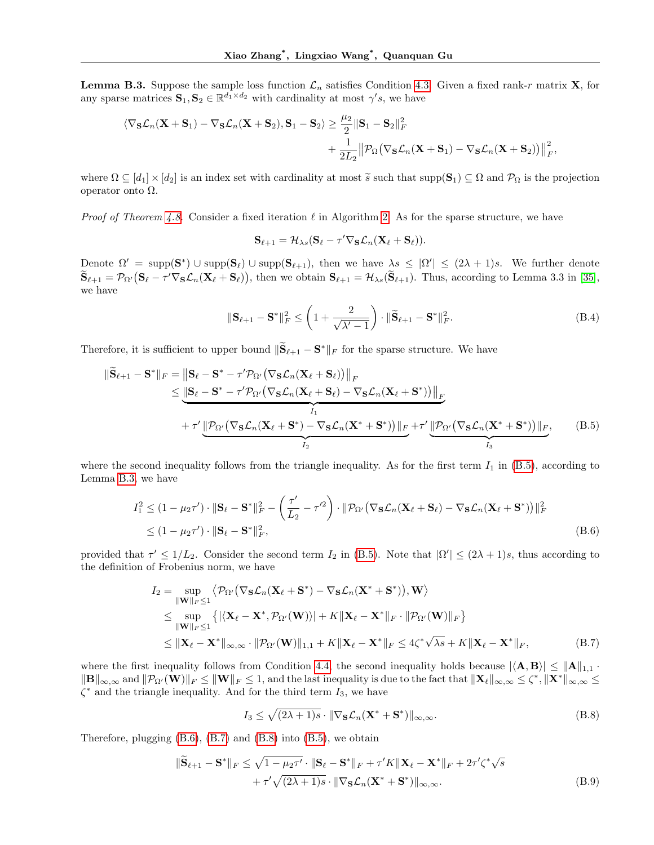**Lemma B.3.** Suppose the sample loss function  $\mathcal{L}_n$  satisfies Condition 4.3. Given a fixed rank-r matrix **X**, for any sparse matrices  $S_1, S_2 \in \mathbb{R}^{\overline{d_1} \times d_2}$  with cardinality at most  $\gamma's$ , we have

$$
\langle \nabla_{\mathbf{S}} \mathcal{L}_n(\mathbf{X} + \mathbf{S}_1) - \nabla_{\mathbf{S}} \mathcal{L}_n(\mathbf{X} + \mathbf{S}_2), \mathbf{S}_1 - \mathbf{S}_2 \rangle \ge \frac{\mu_2}{2} \|\mathbf{S}_1 - \mathbf{S}_2\|_F^2
$$
  
+  $\frac{1}{2L_2} \|\mathcal{P}_{\Omega}(\nabla_{\mathbf{S}} \mathcal{L}_n(\mathbf{X} + \mathbf{S}_1) - \nabla_{\mathbf{S}} \mathcal{L}_n(\mathbf{X} + \mathbf{S}_2))\|_F^2$ ,

where  $\Omega \subseteq [d_1] \times [d_2]$  is an index set with cardinality at most  $\widetilde{s}$  such that supp $(\mathbf{S}_1) \subseteq \Omega$  and  $\mathcal{P}_{\Omega}$  is the projection operator onto Ω.

*Proof of Theorem 4.8.* Consider a fixed iteration  $\ell$  in Algorithm 2. As for the sparse structure, we have

$$
\mathbf{S}_{\ell+1} = \mathcal{H}_{\lambda s} (\mathbf{S}_{\ell} - \tau' \nabla_{\mathbf{S}} \mathcal{L}_n (\mathbf{X}_{\ell} + \mathbf{S}_{\ell})).
$$

Denote  $\Omega' = \text{supp}(S^*) \cup \text{supp}(S_\ell) \cup \text{supp}(S_{\ell+1}),$  then we have  $\lambda s \leq |\Omega'| \leq (2\lambda + 1)s$ . We further denote  $\widetilde{\mathbf{S}}_{\ell+1} = \mathcal{P}_{\Omega'}(\mathbf{S}_{\ell} - \tau' \nabla_{\mathbf{S}} \mathcal{L}_n(\mathbf{X}_{\ell} + \mathbf{S}_{\ell}))$ , then we obtain  $\mathbf{S}_{\ell+1} = \mathcal{H}_{\lambda s}(\widetilde{\mathbf{S}}_{\ell+1})$ . Thus, according to Lemma 3.3 in [35], we have

$$
\|\mathbf{S}_{\ell+1} - \mathbf{S}^*\|_F^2 \le \left(1 + \frac{2}{\sqrt{\lambda'-1}}\right) \cdot \|\widetilde{\mathbf{S}}_{\ell+1} - \mathbf{S}^*\|_F^2.
$$
 (B.4)

Therefore, it is sufficient to upper bound  $\|\widetilde{\mathbf{S}}_{\ell+1} - \mathbf{S}^*\|_F$  for the sparse structure. We have

$$
\|\widetilde{\mathbf{S}}_{\ell+1} - \mathbf{S}^*\|_F = \|\mathbf{S}_{\ell} - \mathbf{S}^* - \tau'\mathcal{P}_{\Omega'}(\nabla_{\mathbf{S}}\mathcal{L}_n(\mathbf{X}_{\ell} + \mathbf{S}_{\ell}))\|_F
$$
  
\n
$$
\leq \underbrace{\|\mathbf{S}_{\ell} - \mathbf{S}^* - \tau'\mathcal{P}_{\Omega'}(\nabla_{\mathbf{S}}\mathcal{L}_n(\mathbf{X}_{\ell} + \mathbf{S}_{\ell}) - \nabla_{\mathbf{S}}\mathcal{L}_n(\mathbf{X}_{\ell} + \mathbf{S}^*))\|_F}_{I_1}
$$
  
\n
$$
+ \tau'\underbrace{\|\mathcal{P}_{\Omega'}(\nabla_{\mathbf{S}}\mathcal{L}_n(\mathbf{X}_{\ell} + \mathbf{S}^*) - \nabla_{\mathbf{S}}\mathcal{L}_n(\mathbf{X}^* + \mathbf{S}^*))\|_F}_{I_2} + \tau'\underbrace{\|\mathcal{P}_{\Omega'}(\nabla_{\mathbf{S}}\mathcal{L}_n(\mathbf{X}^* + \mathbf{S}^*))\|_F}_{I_3}, \quad (B.5)
$$

where the second inequality follows from the triangle inequality. As for the first term  $I_1$  in (B.5), according to Lemma B.3, we have

$$
I_1^2 \le (1 - \mu_2 \tau') \cdot ||\mathbf{S}_{\ell} - \mathbf{S}^*||_F^2 - \left(\frac{\tau'}{L_2} - \tau'^2\right) \cdot ||\mathcal{P}_{\Omega'}(\nabla_{\mathbf{S}} \mathcal{L}_n(\mathbf{X}_{\ell} + \mathbf{S}_{\ell}) - \nabla_{\mathbf{S}} \mathcal{L}_n(\mathbf{X}_{\ell} + \mathbf{S}^*))||_F^2
$$
  
 
$$
\le (1 - \mu_2 \tau') \cdot ||\mathbf{S}_{\ell} - \mathbf{S}^*||_F^2,
$$
 (B.6)

provided that  $\tau' \leq 1/L_2$ . Consider the second term  $I_2$  in (B.5). Note that  $|\Omega'| \leq (2\lambda + 1)s$ , thus according to the definition of Frobenius norm, we have

$$
I_2 = \sup_{\|\mathbf{W}\|_F \le 1} \langle \mathcal{P}_{\Omega'}(\nabla_{\mathbf{S}} \mathcal{L}_n(\mathbf{X}_{\ell} + \mathbf{S}^*) - \nabla_{\mathbf{S}} \mathcal{L}_n(\mathbf{X}^* + \mathbf{S}^*)) , \mathbf{W} \rangle
$$
  
\n
$$
\le \sup_{\|\mathbf{W}\|_F \le 1} \{ |\langle \mathbf{X}_{\ell} - \mathbf{X}^*, \mathcal{P}_{\Omega'}(\mathbf{W}) \rangle | + K \|\mathbf{X}_{\ell} - \mathbf{X}^* \|_F \cdot \|\mathcal{P}_{\Omega'}(\mathbf{W})\|_F \}
$$
  
\n
$$
\le \|\mathbf{X}_{\ell} - \mathbf{X}^* \|_{\infty, \infty} \cdot \|\mathcal{P}_{\Omega'}(\mathbf{W})\|_{1,1} + K \|\mathbf{X}_{\ell} - \mathbf{X}^*\|_F \le 4\zeta^* \sqrt{\lambda_s} + K \|\mathbf{X}_{\ell} - \mathbf{X}^*\|_F, \tag{B.7}
$$

where the first inequality follows from Condition 4.4, the second inequality holds because  $|\langle \mathbf{A}, \mathbf{B} \rangle| \leq ||\mathbf{A}||_{1,1}$ .  $||\mathbf{B}||_{\infty,\infty}$  and  $||\mathcal{P}_{\Omega'}(\mathbf{W})||_F \leq ||\mathbf{W}||_F \leq 1$ , and the last inequality is due to the fact that  $||\mathbf{X}_{\ell}||_{\infty,\infty} \leq \zeta^*$ ,  $||\mathbf{X}^*||_{\infty,\infty} \leq$  $\zeta^*$  and the triangle inequality. And for the third term  $I_3$ , we have

$$
I_3 \le \sqrt{(2\lambda + 1)s} \cdot \|\nabla_{\mathbf{S}} \mathcal{L}_n(\mathbf{X}^* + \mathbf{S}^*)\|_{\infty,\infty}.
$$
 (B.8)

Therefore, plugging (B.6), (B.7) and (B.8) into (B.5), we obtain

$$
\|\widetilde{\mathbf{S}}_{\ell+1} - \mathbf{S}^*\|_F \le \sqrt{1 - \mu_2 \tau'} \cdot \|\mathbf{S}_{\ell} - \mathbf{S}^*\|_F + \tau' K \|\mathbf{X}_{\ell} - \mathbf{X}^*\|_F + 2\tau' \zeta^* \sqrt{s} + \tau' \sqrt{(2\lambda + 1)s} \cdot \|\nabla_{\mathbf{S}} \mathcal{L}_n(\mathbf{X}^* + \mathbf{S}^*)\|_{\infty, \infty}.
$$
\n(B.9)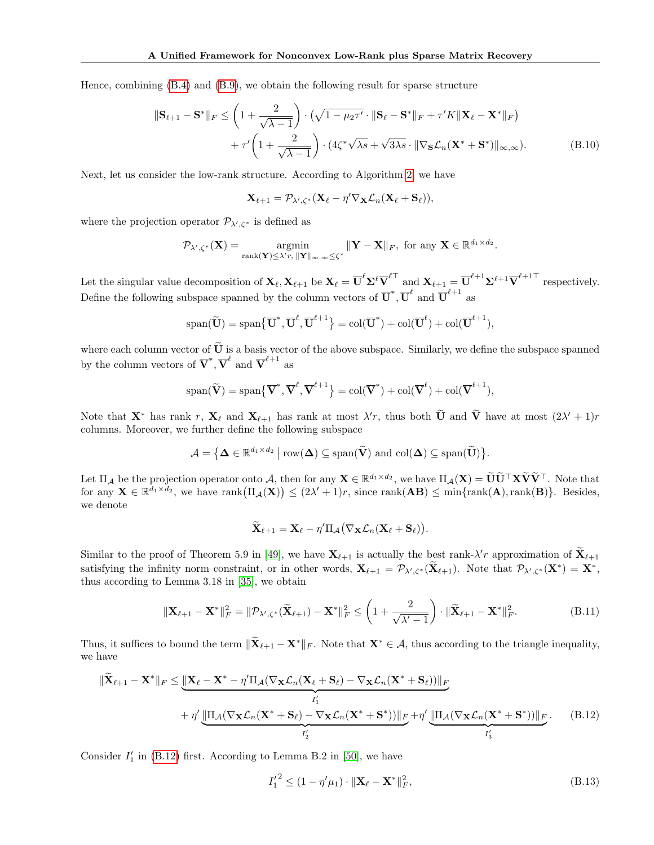Hence, combining (B.4) and (B.9), we obtain the following result for sparse structure

$$
\|\mathbf{S}_{\ell+1} - \mathbf{S}^*\|_F \le \left(1 + \frac{2}{\sqrt{\lambda - 1}}\right) \cdot \left(\sqrt{1 - \mu_2 \tau'} \cdot \|\mathbf{S}_{\ell} - \mathbf{S}^*\|_F + \tau' K \|\mathbf{X}_{\ell} - \mathbf{X}^*\|_F\right) + \tau' \left(1 + \frac{2}{\sqrt{\lambda - 1}}\right) \cdot \left(4\zeta^* \sqrt{\lambda_s} + \sqrt{3\lambda_s} \cdot \|\nabla_{\mathbf{S}} \mathcal{L}_n(\mathbf{X}^* + \mathbf{S}^*)\|_{\infty, \infty}\right).
$$
 (B.10)

Next, let us consider the low-rank structure. According to Algorithm 2, we have

$$
\mathbf{X}_{\ell+1} = \mathcal{P}_{\lambda',\zeta^*}(\mathbf{X}_{\ell} - \eta' \nabla_{\mathbf{X}} \mathcal{L}_n(\mathbf{X}_{\ell} + \mathbf{S}_{\ell})),
$$

where the projection operator  $\mathcal{P}_{\lambda',\zeta^*}$  is defined as

$$
\mathcal{P}_{\lambda',\zeta^*}(\mathbf{X}) = \operatorname*{argmin}_{\text{rank}(\mathbf{Y}) \leq \lambda' r, \ \|\mathbf{Y}\|_{\infty,\infty} \leq \zeta^*} \|\mathbf{Y} - \mathbf{X}\|_F, \text{ for any } \mathbf{X} \in \mathbb{R}^{d_1 \times d_2}.
$$

Let the singular value decomposition of  $\mathbf{X}_{\ell}, \mathbf{X}_{\ell+1}$  be  $\mathbf{X}_{\ell} = \overline{\mathbf{U}}^{\ell} \mathbf{\Sigma}^{\ell} \overline{\mathbf{V}}^{\ell\top}$  and  $\mathbf{X}_{\ell+1} = \overline{\mathbf{U}}^{\ell+1} \mathbf{\Sigma}^{\ell+1} \overline{\mathbf{V}}^{\ell+1\top}$  respectively. Define the following subspace spanned by the column vectors of  $\overline{U}^*, \overline{U}^{\ell}$  and  $\overline{U}^{\ell+1}$  as

$$
\mathrm{span}(\widetilde{\mathbf{U}})=\mathrm{span}\{\overline{\mathbf{U}}^*,\overline{\mathbf{U}}^\ell,\overline{\mathbf{U}}^{\ell+1}\}=\mathrm{col}(\overline{\mathbf{U}}^*)+\mathrm{col}(\overline{\mathbf{U}}^\ell)+\mathrm{col}(\overline{\mathbf{U}}^{\ell+1}),
$$

where each column vector of  $\tilde{U}$  is a basis vector of the above subspace. Similarly, we define the subspace spanned by the column vectors of  $\overline{V}^*, \overline{V}^{\ell}$  and  $\overline{V}^{\ell+1}$  as

$$
\mathrm{span}(\widetilde{\mathbf{V}})=\mathrm{span}\big\{\overline{\mathbf{V}}^*,\overline{\mathbf{V}}^\ell,\overline{\mathbf{V}}^{\ell+1}\big\}=\mathrm{col}(\overline{\mathbf{V}}^*)+\mathrm{col}(\overline{\mathbf{V}}^\ell)+\mathrm{col}(\overline{\mathbf{V}}^{\ell+1}),
$$

Note that  $\mathbf{X}^*$  has rank r,  $\mathbf{X}_{\ell}$  and  $\mathbf{X}_{\ell+1}$  has rank at most  $\lambda'$ r, thus both  $\tilde{\mathbf{U}}$  and  $\tilde{\mathbf{V}}$  have at most  $(2\lambda' + 1)r$ columns. Moreover, we further define the following subspace

$$
\mathcal{A} = \left\{ \mathbf{\Delta} \in \mathbb{R}^{d_1 \times d_2} \mid \mathrm{row}(\mathbf{\Delta}) \subseteq \mathrm{span}(\widetilde{\mathbf{V}}) \text{ and } \mathrm{col}(\mathbf{\Delta}) \subseteq \mathrm{span}(\widetilde{\mathbf{U}}) \right\}.
$$

Let  $\Pi_A$  be the projection operator onto A, then for any  $\mathbf{X} \in \mathbb{R}^{d_1 \times d_2}$ , we have  $\Pi_A(\mathbf{X}) = \widetilde{\mathbf{U}} \widetilde{\mathbf{U}}^\top \mathbf{X} \widetilde{\mathbf{V}}^\top$ . Note that for any  $\mathbf{X} \in \mathbb{R}^{\bar{d}_1 \times \bar{d}_2}$ , we have  $\text{rank}(\Pi_{\mathcal{A}}(\mathbf{X})) \leq (2\lambda' + 1)r$ , since  $\text{rank}(\mathbf{A}\mathbf{B}) \leq \min\{\text{rank}(\mathbf{A}), \text{rank}(\mathbf{B})\}\$ . Besides, we denote

$$
\widetilde{\mathbf{X}}_{\ell+1} = \mathbf{X}_{\ell} - \eta' \Pi_{\mathcal{A}} (\nabla_{\mathbf{X}} \mathcal{L}_n(\mathbf{X}_{\ell} + \mathbf{S}_{\ell})).
$$

Similar to the proof of Theorem 5.9 in [49], we have  $\mathbf{X}_{\ell+1}$  is actually the best rank- $\lambda'$ r approximation of  $\widetilde{\mathbf{X}}_{\ell+1}$ satisfying the infinity norm constraint, or in other words,  $\mathbf{X}_{\ell+1} = \mathcal{P}_{\lambda',\zeta^*}(\mathbf{X}_{\ell+1})$ . Note that  $\mathcal{P}_{\lambda',\zeta^*}(\mathbf{X}^*) = \mathbf{X}^*$ , thus according to Lemma 3.18 in [35], we obtain

$$
\|\mathbf{X}_{\ell+1} - \mathbf{X}^*\|_F^2 = \|\mathcal{P}_{\lambda',\zeta^*}(\widetilde{\mathbf{X}}_{\ell+1}) - \mathbf{X}^*\|_F^2 \le \left(1 + \frac{2}{\sqrt{\lambda'-1}}\right) \cdot \|\widetilde{\mathbf{X}}_{\ell+1} - \mathbf{X}^*\|_F^2. \tag{B.11}
$$

Thus, it suffices to bound the term  $\|\mathbf{X}_{\ell+1} - \mathbf{X}^*\|_F$ . Note that  $\mathbf{X}^* \in \mathcal{A}$ , thus according to the triangle inequality, we have

$$
\|\widetilde{\mathbf{X}}_{\ell+1} - \mathbf{X}^*\|_F \le \underbrace{\|\mathbf{X}_{\ell} - \mathbf{X}^* - \eta'\Pi_{\mathcal{A}}(\nabla_{\mathbf{X}}\mathcal{L}_n(\mathbf{X}_{\ell} + \mathbf{S}_{\ell}) - \nabla_{\mathbf{X}}\mathcal{L}_n(\mathbf{X}^* + \mathbf{S}_{\ell}))\|_F}_{I'_1} + \eta' \underbrace{\|\Pi_{\mathcal{A}}(\nabla_{\mathbf{X}}\mathcal{L}_n(\mathbf{X}^* + \mathbf{S}_{\ell}) - \nabla_{\mathbf{X}}\mathcal{L}_n(\mathbf{X}^* + \mathbf{S}^*))\|_F}_{I'_2} + \eta' \underbrace{\|\Pi_{\mathcal{A}}(\nabla_{\mathbf{X}}\mathcal{L}_n(\mathbf{X}^* + \mathbf{S}^*))\|_F}_{I'_3}.
$$
 (B.12)

Consider  $I'_1$  in (B.12) first. According to Lemma B.2 in [50], we have

$$
{I'_1}^2 \le (1 - \eta'\mu_1) \cdot ||\mathbf{X}_{\ell} - \mathbf{X}^*||_F^2,
$$
\n(B.13)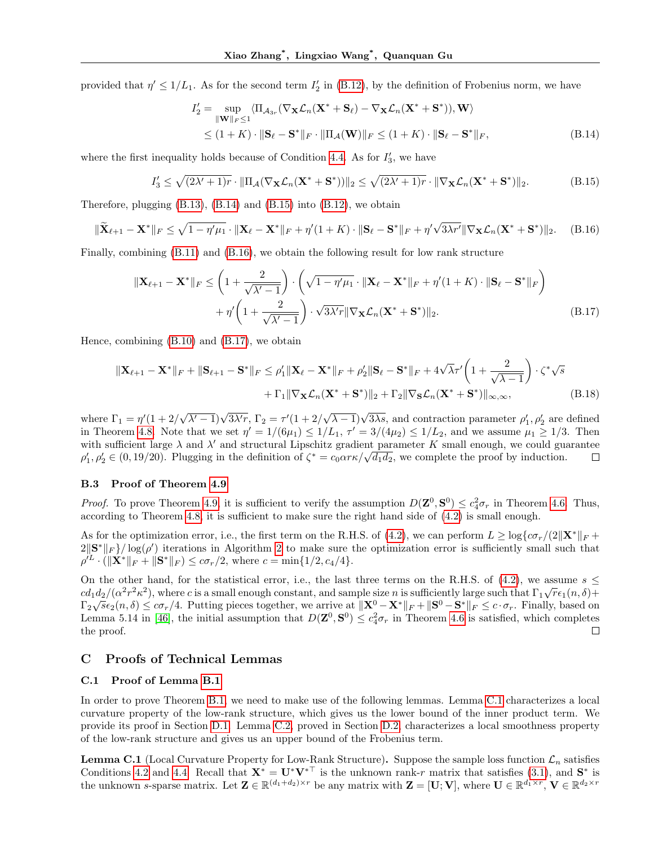provided that  $\eta' \leq 1/L_1$ . As for the second term  $I'_2$  in (B.12), by the definition of Frobenius norm, we have

$$
I'_{2} = \sup_{\|\mathbf{W}\|_{F} \leq 1} \langle \Pi_{\mathcal{A}_{3r}}(\nabla_{\mathbf{X}}\mathcal{L}_{n}(\mathbf{X}^{*} + \mathbf{S}_{\ell}) - \nabla_{\mathbf{X}}\mathcal{L}_{n}(\mathbf{X}^{*} + \mathbf{S}^{*})), \mathbf{W} \rangle
$$
  
 
$$
\leq (1 + K) \cdot \|\mathbf{S}_{\ell} - \mathbf{S}^{*}\|_{F} \cdot \|\Pi_{\mathcal{A}}(\mathbf{W})\|_{F} \leq (1 + K) \cdot \|\mathbf{S}_{\ell} - \mathbf{S}^{*}\|_{F}, \tag{B.14}
$$

where the first inequality holds because of Condition 4.4. As for  $I'_3$ , we have

$$
I_3' \le \sqrt{(2\lambda' + 1)r} \cdot \|\Pi_{\mathcal{A}}(\nabla_{\mathbf{X}} \mathcal{L}_n(\mathbf{X}^* + \mathbf{S}^*))\|_2 \le \sqrt{(2\lambda' + 1)r} \cdot \|\nabla_{\mathbf{X}} \mathcal{L}_n(\mathbf{X}^* + \mathbf{S}^*)\|_2.
$$
 (B.15)

Therefore, plugging (B.13), (B.14) and (B.15) into (B.12), we obtain

$$
\|\widetilde{\mathbf{X}}_{\ell+1} - \mathbf{X}^*\|_F \le \sqrt{1 - \eta'\mu_1} \cdot \|\mathbf{X}_{\ell} - \mathbf{X}^*\|_F + \eta'(1 + K) \cdot \|\mathbf{S}_{\ell} - \mathbf{S}^*\|_F + \eta'\sqrt{3\lambda r'} \|\nabla_{\mathbf{X}}\mathcal{L}_n(\mathbf{X}^* + \mathbf{S}^*)\|_2. \tag{B.16}
$$

Finally, combining (B.11) and (B.16), we obtain the following result for low rank structure

$$
\|\mathbf{X}_{\ell+1} - \mathbf{X}^*\|_F \le \left(1 + \frac{2}{\sqrt{\lambda'-1}}\right) \cdot \left(\sqrt{1-\eta'\mu_1} \cdot \|\mathbf{X}_{\ell} - \mathbf{X}^*\|_F + \eta'(1+K) \cdot \|\mathbf{S}_{\ell} - \mathbf{S}^*\|_F\right) + \eta'\left(1 + \frac{2}{\sqrt{\lambda'-1}}\right) \cdot \sqrt{3\lambda'r} \|\nabla_{\mathbf{X}}\mathcal{L}_n(\mathbf{X}^* + \mathbf{S}^*)\|_2.
$$
 (B.17)

Hence, combining (B.10) and (B.17), we obtain

$$
\|\mathbf{X}_{\ell+1} - \mathbf{X}^*\|_F + \|\mathbf{S}_{\ell+1} - \mathbf{S}^*\|_F \le \rho'_1 \|\mathbf{X}_{\ell} - \mathbf{X}^*\|_F + \rho'_2 \|\mathbf{S}_{\ell} - \mathbf{S}^*\|_F + 4\sqrt{\lambda}\tau' \left(1 + \frac{2}{\sqrt{\lambda - 1}}\right) \cdot \zeta^* \sqrt{s} + \Gamma_1 \|\nabla_{\mathbf{X}} \mathcal{L}_n (\mathbf{X}^* + \mathbf{S}^*)\|_2 + \Gamma_2 \|\nabla_{\mathbf{S}} \mathcal{L}_n (\mathbf{X}^* + \mathbf{S}^*)\|_{\infty, \infty},
$$
(B.18)

 $(\sqrt{\lambda'-1})\sqrt{3\lambda'r}, \Gamma_2 = \tau'(1+2)$  $(\sqrt{\lambda-1})\sqrt{3\lambda s}$ , and contraction parameter  $\rho'_1$ ,  $\rho'_2$  are defined where  $\Gamma_1 = \eta'(1+2)$ in Theorem 4.8. Note that we set  $\eta' = 1/(6\mu_1) \leq 1/L_1$ ,  $\tau' = 3/(4\mu_2) \leq 1/L_2$ , and we assume  $\mu_1 \geq 1/3$ . Then with sufficient large  $\lambda$  and  $\lambda'$  and structural Lipschitz gradient parameter K small enough, we could guarantee with sumclent large  $\lambda$  and  $\lambda$  and structural Lipschitz gradient parameter  $\Lambda$  small enough, we could guarant  $\rho'_1, \rho'_2 \in (0, 19/20)$ . Plugging in the definition of  $\zeta^* = c_0 \alpha r \kappa / \sqrt{d_1 d_2}$ , we complete the proof  $\Box$ 

#### B.3 Proof of Theorem 4.9

*Proof.* To prove Theorem 4.9, it is sufficient to verify the assumption  $D(\mathbf{Z}^0, \mathbf{S}^0) \leq c_4^2 \sigma_r$  in Theorem 4.6. Thus, according to Theorem 4.8, it is sufficient to make sure the right hand side of (4.2) is small enough.

As for the optimization error, i.e., the first term on the R.H.S. of (4.2), we can perform  $L \geq \log\{c\sigma_r/(2\|\mathbf{X}^*\|_F +$  $2\|\mathbf{S}^*\|_F\}/\log(\rho')$  iterations in Algorithm 2 to make sure the optimization error is sufficiently small such that  $\rho'^L \cdot (\|\mathbf{X}^*\|_F + \|\mathbf{S}^*\|_F) \le c\sigma_r/2$ , where  $c = \min\{1/2, c_4/4\}.$ 

On the other hand, for the statistical error, i.e., the last three terms on the R.H.S. of (4.2), we assume  $s \leq$  $cd_1d_2/(\alpha^2r^2\kappa^2)$ , where c is a small enough constant, and sample size n is sufficiently large such that  $\Gamma_1\sqrt{r}\epsilon_1(n,\delta)+\Gamma_2(n,\delta)^2$  $\Gamma_2\sqrt{s}\epsilon_2(n,\delta) \leq c\sigma_r/4$ . Putting pieces together, we arrive at  $\|\mathbf{X}^0 - \mathbf{X}^*\|_F + \|\mathbf{S}^0 - \mathbf{S}^*\|_F \leq c \cdot \sigma_r$ . Finally, based on Lemma 5.14 in [46], the initial assumption that  $D(\mathbf{Z}^0, \mathbf{S}^0) \leq c_4^2 \sigma_r$  in Theorem 4.6 is satisfied, which completes the proof. □

### C Proofs of Technical Lemmas

### C.1 Proof of Lemma B.1

In order to prove Theorem B.1, we need to make use of the following lemmas. Lemma C.1 characterizes a local curvature property of the low-rank structure, which gives us the lower bound of the inner product term. We provide its proof in Section D.1. Lemma C.2, proved in Section D.2, characterizes a local smoothness property of the low-rank structure and gives us an upper bound of the Frobenius term.

**Lemma C.1** (Local Curvature Property for Low-Rank Structure). Suppose the sample loss function  $\mathcal{L}_n$  satisfies Conditions 4.2 and 4.4. Recall that  $\mathbf{X}^* = \mathbf{U}^* \mathbf{V}^{* \top}$  is the unknown rank-r matrix that satisfies (3.1), and  $\mathbf{S}^*$  is the unknown s-sparse matrix. Let  $\mathbf{Z} \in \mathbb{R}^{(d_1+d_2)\times r}$  be any matrix with  $\mathbf{Z} = [\mathbf{U}; \mathbf{V}],$  where  $\mathbf{U} \in \mathbb{R}^{d_1 \times r}$ ,  $\mathbf{V} \in \mathbb{R}^{d_2 \times r}$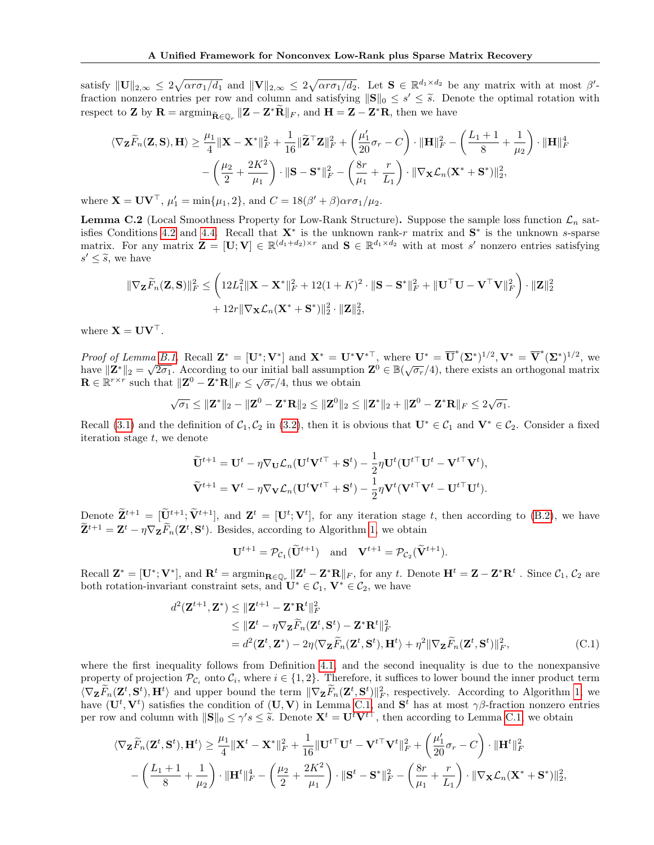satisfy  $||\mathbf{U}||_{2,\infty} \leq 2\sqrt{\alpha r \sigma_1/d_1}$  and  $||\mathbf{V}||_{2,\infty} \leq 2\sqrt{\alpha r \sigma_1/d_2}$ . Let  $\mathbf{S} \in \mathbb{R}^{d_1 \times d_2}$  be any matrix with at most  $\beta'$ fraction nonzero entries per row and column and satisfying  $||\mathbf{S}||_0 \leq s' \leq \tilde{s}$ . Denote the optimal rotation with respect to **Z** by  $\mathbf{R} = \operatorname{argmin}_{\tilde{\mathbf{R}} \in \mathbb{Q}_r} ||\mathbf{Z} - \mathbf{Z}^* \tilde{\mathbf{R}}||_F$ , and  $\mathbf{H} = \mathbf{Z} - \mathbf{Z}^* \mathbf{R}$ , then we have

$$
\begin{aligned} \langle \nabla_{\mathbf{Z}} \widetilde{F}_n(\mathbf{Z},\mathbf{S}),\mathbf{H} \rangle \geq \frac{\mu_1}{4}\|\mathbf{X}-\mathbf{X}^*\|_F^2 + \frac{1}{16}\|\widetilde{\mathbf{Z}}^\top \mathbf{Z}\|_F^2 + \left(\frac{\mu_1'}{20}\sigma_r - C\right)\cdot \|\mathbf{H}\|_F^2 - \left(\frac{L_1+1}{8} + \frac{1}{\mu_2}\right)\cdot \|\mathbf{H}\|_F^4 \\ &- \left(\frac{\mu_2}{2} + \frac{2K^2}{\mu_1}\right)\cdot \|\mathbf{S}-\mathbf{S}^*\|_F^2 - \left(\frac{8r}{\mu_1} + \frac{r}{L_1}\right)\cdot \|\nabla_{\mathbf{X}}\mathcal{L}_n(\mathbf{X}^*+\mathbf{S}^*)\|_2^2, \end{aligned}
$$

where  $\mathbf{X} = \mathbf{U}\mathbf{V}^{\top}$ ,  $\mu'_1 = \min\{\mu_1, 2\}$ , and  $C = 18(\beta' + \beta)\alpha r \sigma_1/\mu_2$ .

**Lemma C.2** (Local Smoothness Property for Low-Rank Structure). Suppose the sample loss function  $\mathcal{L}_n$  satisfies Conditions 4.2 and 4.4. Recall that  $X^*$  is the unknown rank-r matrix and  $S^*$  is the unknown s-sparse matrix. For any matrix  $\mathbf{Z} = [\mathbf{U}; \mathbf{V}] \in \mathbb{R}^{(d_1+d_2)\times r}$  and  $\mathbf{S} \in \mathbb{R}^{d_1 \times d_2}$  with at most s' nonzero entries satisfying  $s' \leq \tilde{s}$ , we have

$$
\|\nabla_{\mathbf{Z}}\widetilde{F}_n(\mathbf{Z},\mathbf{S})\|_F^2 \leq \left(12L_1^2\|\mathbf{X}-\mathbf{X}^*\|_F^2 + 12(1+K)^2 \cdot \|\mathbf{S}-\mathbf{S}^*\|_F^2 + \|\mathbf{U}^\top \mathbf{U} - \mathbf{V}^\top \mathbf{V}\|_F^2\right) \cdot \|\mathbf{Z}\|_2^2
$$
  
+  $12r\|\nabla_{\mathbf{X}}\mathcal{L}_n(\mathbf{X}^*+\mathbf{S}^*)\|_2^2 \cdot \|\mathbf{Z}\|_2^2$ ,

where  $X = UV^{\top}$ .

Proof of Lemma B.1. Recall  $\mathbf{Z}^* = [\mathbf{U}^*; \mathbf{V}^*]$  and  $\mathbf{X}^* = \mathbf{U}^* \mathbf{V}^{*\top}$ , where  $\mathbf{U}^* = \overline{\mathbf{U}}^* (\mathbf{\Sigma}^*)^{1/2}, \mathbf{V}^* = \overline{\mathbf{V}}^* (\mathbf{\Sigma}^*)^{1/2}$ , we *h* roof of Behina B.1. Recall  $\mathbf{Z} = [\mathbf{C}^{\dagger}, \mathbf{v}]$  and  $\mathbf{X} = \mathbf{C}^{\dagger} \mathbf{v}$ , where  $\mathbf{C} = \mathbf{C}^{\dagger} (\mathbf{Z}^{\dagger})^{\dagger}$ ,  $\mathbf{v} = \mathbf{v}^{\dagger} (\mathbf{Z}^{\dagger})^{\dagger}$ , we have  $||\mathbf{Z}^*||_2 = \sqrt{2\sigma_1}$ . According to ou  $\mathbf{R} \in \mathbb{R}^{r \times r}$  such that  $\|\mathbf{Z}^0 - \mathbf{Z}^* \mathbf{R}\|_F \leq \sqrt{\sigma_r}/4$ , thus we obtain

$$
\sqrt{\sigma_1}\leq\|\mathbf{Z}^*\|_2-\|\mathbf{Z}^0-\mathbf{Z}^*\mathbf{R}\|_2\leq\|\mathbf{Z}^0\|_2\leq\|\mathbf{Z}^*\|_2+\|\mathbf{Z}^0-\mathbf{Z}^*\mathbf{R}\|_F\leq2\sqrt{\sigma_1}.
$$

Recall (3.1) and the definition of  $C_1, C_2$  in (3.2), then it is obvious that  $\mathbf{U}^* \in C_1$  and  $\mathbf{V}^* \in C_2$ . Consider a fixed iteration stage  $t$ , we denote

$$
\widetilde{\mathbf{U}}^{t+1} = \mathbf{U}^t - \eta \nabla_{\mathbf{U}} \mathcal{L}_n(\mathbf{U}^t \mathbf{V}^{t\top} + \mathbf{S}^t) - \frac{1}{2} \eta \mathbf{U}^t (\mathbf{U}^{t\top} \mathbf{U}^t - \mathbf{V}^{t\top} \mathbf{V}^t),
$$
  

$$
\widetilde{\mathbf{V}}^{t+1} = \mathbf{V}^t - \eta \nabla_{\mathbf{V}} \mathcal{L}_n(\mathbf{U}^t \mathbf{V}^{t\top} + \mathbf{S}^t) - \frac{1}{2} \eta \mathbf{V}^t (\mathbf{V}^{t\top} \mathbf{V}^t - \mathbf{U}^{t\top} \mathbf{U}^t).
$$

Denote  $\mathbf{Z}^{t+1} = [\mathbf{U}^{t+1}; \mathbf{V}^{t+1}]$ , and  $\mathbf{Z}^{t} = [\mathbf{U}^{t}; \mathbf{V}^{t}]$ , for any iteration stage t, then according to (B.2), we have  $\mathbf{Z}^{t+1} = \mathbf{Z}^t - \eta \nabla_{\mathbf{Z}} \tilde{F}_n(\mathbf{Z}^t, \mathbf{S}^t)$ . Besides, according to Algorithm 1, we obtain

$$
\mathbf{U}^{t+1} = \mathcal{P}_{\mathcal{C}_1}(\widetilde{\mathbf{U}}^{t+1}) \quad \text{and} \quad \mathbf{V}^{t+1} = \mathcal{P}_{\mathcal{C}_2}(\widetilde{\mathbf{V}}^{t+1}).
$$

Recall  $\mathbf{Z}^* = [\mathbf{U}^*; \mathbf{V}^*]$ , and  $\mathbf{R}^t = \arg\min_{\mathbf{R} \in \mathbb{Q}_r} ||\mathbf{Z}^t - \mathbf{Z}^* \mathbf{R}||_F$ , for any t. Denote  $\mathbf{H}^t = \mathbf{Z} - \mathbf{Z}^* \mathbf{R}^t$ . Since  $\mathcal{C}_1$ ,  $\mathcal{C}_2$  are both rotation-invariant constraint sets, and  $\mathbf{U}^* \in \mathcal{C}_1$ ,  $\mathbf{V}^* \in \mathcal{C}_2$ , we have

$$
d^{2}(\mathbf{Z}^{t+1}, \mathbf{Z}^{*}) \leq \|\mathbf{Z}^{t+1} - \mathbf{Z}^{*}\mathbf{R}^{t}\|_{F}^{2}
$$
  
\n
$$
\leq \|\mathbf{Z}^{t} - \eta \nabla_{\mathbf{Z}} \widetilde{F}_{n}(\mathbf{Z}^{t}, \mathbf{S}^{t}) - \mathbf{Z}^{*}\mathbf{R}^{t}\|_{F}^{2}
$$
  
\n
$$
= d^{2}(\mathbf{Z}^{t}, \mathbf{Z}^{*}) - 2\eta \langle \nabla_{\mathbf{Z}} \widetilde{F}_{n}(\mathbf{Z}^{t}, \mathbf{S}^{t}), \mathbf{H}^{t} \rangle + \eta^{2} \|\nabla_{\mathbf{Z}} \widetilde{F}_{n}(\mathbf{Z}^{t}, \mathbf{S}^{t})\|_{F}^{2},
$$
\n(C.1)

where the first inequality follows from Definition 4.1, and the second inequality is due to the nonexpansive property of projection  $\mathcal{P}_{\mathcal{C}_i}$  onto  $\mathcal{C}_i$ , where  $i \in \{1,2\}$ . Therefore, it suffices to lower bound the inner product term  $\langle \nabla_{\mathbf{Z}} \tilde{F}_n(\mathbf{Z}^t, \mathbf{S}^t), \mathbf{H}^t \rangle$  and upper bound the term  $\|\nabla_{\mathbf{Z}} \tilde{F}_n(\mathbf{Z}^t, \mathbf{S}^t)\|^2_F$ , respectively. According to Algorithm 1, we have  $(\mathbf{U}^t, \mathbf{V}^t)$  satisfies the condition of  $(\mathbf{U}, \mathbf{V})$  in Lemma C.1, and  $\mathbf{S}^t$  has at most  $\gamma\beta$ -fraction nonzero entries per row and column with  $||\mathbf{S}||_0 \leq \gamma' s \leq \tilde{s}$ . Denote  $\mathbf{X}^t = \mathbf{U}^t \mathbf{V}^{t\top}$ , then according to Lemma C.1, we obtain

$$
\langle \nabla_{\mathbf{Z}} \widetilde{F}_n(\mathbf{Z}^t, \mathbf{S}^t), \mathbf{H}^t \rangle \ge \frac{\mu_1}{4} \|\mathbf{X}^t - \mathbf{X}^*\|_F^2 + \frac{1}{16} \|\mathbf{U}^{t\top} \mathbf{U}^t - \mathbf{V}^{t\top} \mathbf{V}^t\|_F^2 + \left(\frac{\mu'_1}{20} \sigma_r - C\right) \cdot \|\mathbf{H}^t\|_F^2
$$

$$
-\left(\frac{L_1 + 1}{8} + \frac{1}{\mu_2}\right) \cdot \|\mathbf{H}^t\|_F^4 - \left(\frac{\mu_2}{2} + \frac{2K^2}{\mu_1}\right) \cdot \|\mathbf{S}^t - \mathbf{S}^*\|_F^2 - \left(\frac{8r}{\mu_1} + \frac{r}{L_1}\right) \cdot \|\nabla_{\mathbf{X}} \mathcal{L}_n(\mathbf{X}^* + \mathbf{S}^*)\|_2^2,
$$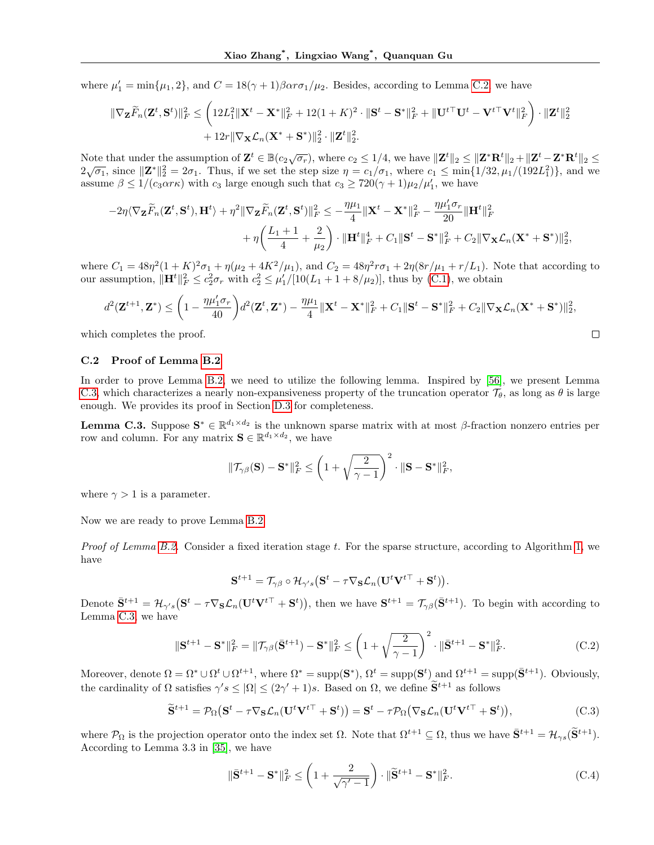where  $\mu'_1 = \min{\{\mu_1, 2\}}$ , and  $C = 18(\gamma + 1)\beta \alpha r \sigma_1/\mu_2$ . Besides, according to Lemma C.2, we have

$$
\begin{aligned} \|\nabla_{\mathbf{Z}}\widetilde{F}_n(\mathbf{Z}^t,\mathbf{S}^t)\|_F^2 &\leq \left(12L_1^2\|\mathbf{X}^t-\mathbf{X}^*\|_F^2+12(1+K)^2\cdot\|\mathbf{S}^t-\mathbf{S}^*\|_F^2+\|\mathbf{U}^{t\top}\mathbf{U}^t-\mathbf{V}^{t\top}\mathbf{V}^t\|_F^2\right)\cdot\|\mathbf{Z}^t\|_2^2\\ &\qquad+12r\|\nabla_{\mathbf{X}}\mathcal{L}_n(\mathbf{X}^*+\mathbf{S}^*)\|_2^2\cdot\|\mathbf{Z}^t\|_2^2. \end{aligned}
$$

Note that under the assumption of  $\mathbf{Z}^t \in \mathbb{B}(c_2\sqrt{\sigma_r})$ , where  $c_2 \leq 1/4$ , we have  $\|\mathbf{Z}^t\|_2 \leq \|\mathbf{Z}^*\mathbf{R}^t\|_2 + \|\mathbf{Z}^t - \mathbf{Z}^*\mathbf{R}^t\|_2 \leq \|\mathbf{Z}^*\mathbf{R}^t\|_2 + \|\mathbf{Z}^t - \mathbf{Z}^*\mathbf{R}^t\|_2 \leq \|\mathbf{Z}$  $2\sqrt{\sigma_1}$ , since  $||\mathbf{Z}^*||_2^2 = 2\sigma_1$ . Thus, if we set the step size  $\eta = c_1/\sigma_1$ , where  $c_1 \le \min\{1/32, \mu_1/(192L_1^2)\}$ , and we assume  $\beta \le 1/(c_3 \alpha r \kappa)$  with  $c_3$  large enough such that  $c_3 \ge 720(\gamma + 1)\mu_2/\mu'_1$ , we have

$$
-2\eta\langle\nabla_{\mathbf{Z}}\widetilde{F}_n(\mathbf{Z}^t,\mathbf{S}^t),\mathbf{H}^t\rangle+\eta^2\|\nabla_{\mathbf{Z}}\widetilde{F}_n(\mathbf{Z}^t,\mathbf{S}^t)\|_F^2\leq-\frac{\eta\mu_1}{4}\|\mathbf{X}^t-\mathbf{X}^*\|_F^2-\frac{\eta\mu_1'\sigma_r}{20}\|\mathbf{H}^t\|_F^2\\ \qquad+\eta\bigg(\frac{L_1+1}{4}+\frac{2}{\mu_2}\bigg)\cdot\|\mathbf{H}^t\|_F^4+C_1\|\mathbf{S}^t-\mathbf{S}^*\|_F^2+C_2\|\nabla_{\mathbf{X}}\mathcal{L}_n(\mathbf{X}^*+\mathbf{S}^*)\|_2^2,
$$

where  $C_1 = 48\eta^2(1+K)^2\sigma_1 + \eta(\mu_2 + 4K^2/\mu_1)$ , and  $C_2 = 48\eta^2r\sigma_1 + 2\eta(8r/\mu_1 + r/L_1)$ . Note that according to our assumption,  $\|\mathbf{H}^t\|_F^2 \leq c_2^2 \sigma_r$  with  $c_2^2 \leq \mu'_1/[10(L_1 + 1 + 8/\mu_2)]$ , thus by (C.1), we obtain

$$
d^{2}(\mathbf{Z}^{t+1},\mathbf{Z}^{*}) \leq \left(1 - \frac{\eta\mu_{1}^{\prime}\sigma_{r}}{40}\right) d^{2}(\mathbf{Z}^{t},\mathbf{Z}^{*}) - \frac{\eta\mu_{1}}{4} \|\mathbf{X}^{t} - \mathbf{X}^{*}\|_{F}^{2} + C_{1} \|\mathbf{S}^{t} - \mathbf{S}^{*}\|_{F}^{2} + C_{2} \|\nabla_{\mathbf{X}}\mathcal{L}_{n}(\mathbf{X}^{*} + \mathbf{S}^{*})\|_{2}^{2},
$$
\nh completes the proof.

which completes the proof.

### C.2 Proof of Lemma B.2

In order to prove Lemma B.2, we need to utilize the following lemma. Inspired by [56], we present Lemma C.3, which characterizes a nearly non-expansiveness property of the truncation operator  $\mathcal{T}_{\theta}$ , as long as  $\theta$  is large enough. We provides its proof in Section D.3 for completeness.

**Lemma C.3.** Suppose  $S^* \in \mathbb{R}^{d_1 \times d_2}$  is the unknown sparse matrix with at most  $\beta$ -fraction nonzero entries per row and column. For any matrix  $\mathbf{S} \in \mathbb{R}^{d_1 \times d_2}$ , we have

$$
\|\mathcal{T}_{\gamma\beta}(\mathbf{S})-\mathbf{S}^*\|_F^2 \le \left(1+\sqrt{\frac{2}{\gamma-1}}\right)^2 \cdot \|\mathbf{S}-\mathbf{S}^*\|_F^2,
$$

where  $\gamma > 1$  is a parameter.

Now we are ready to prove Lemma B.2.

Proof of Lemma B.2. Consider a fixed iteration stage t. For the sparse structure, according to Algorithm 1, we have

$$
\mathbf{S}^{t+1} = \mathcal{T}_{\gamma\beta} \circ \mathcal{H}_{\gamma's} \big( \mathbf{S}^t - \tau \nabla_{\mathbf{S}} \mathcal{L}_n (\mathbf{U}^t \mathbf{V}^{t\top} + \mathbf{S}^t) \big).
$$

Denote  $\bar{\mathbf{S}}^{t+1} = \mathcal{H}_{\gamma's}(\mathbf{S}^t - \tau \nabla_{\mathbf{S}} \mathcal{L}_n(\mathbf{U}^t \mathbf{V}^{t\top} + \mathbf{S}^t)),$  then we have  $\mathbf{S}^{t+1} = \mathcal{T}_{\gamma\beta}(\bar{\mathbf{S}}^{t+1}).$  To begin with according to Lemma C.3, we have

$$
\|\mathbf{S}^{t+1} - \mathbf{S}^*\|_F^2 = \|\mathcal{T}_{\gamma\beta}(\bar{\mathbf{S}}^{t+1}) - \mathbf{S}^*\|_F^2 \le \left(1 + \sqrt{\frac{2}{\gamma - 1}}\right)^2 \cdot \|\bar{\mathbf{S}}^{t+1} - \mathbf{S}^*\|_F^2. \tag{C.2}
$$

Moreover, denote  $\Omega = \Omega^* \cup \Omega^{t+1}$ , where  $\Omega^* = \text{supp}(\mathbf{S}^*), \Omega^t = \text{supp}(\mathbf{S}^t)$  and  $\Omega^{t+1} = \text{supp}(\bar{\mathbf{S}}^{t+1})$ . Obviously, the cardinality of  $\Omega$  satisfies  $\gamma' s \leq |\Omega| \leq (2\gamma' + 1)s$ . Based on  $\Omega$ , we define  $\tilde{\mathbf{S}}^{t+1}$  as follows

$$
\widetilde{\mathbf{S}}^{t+1} = \mathcal{P}_{\Omega}(\mathbf{S}^t - \tau \nabla_{\mathbf{S}} \mathcal{L}_n(\mathbf{U}^t \mathbf{V}^{t\top} + \mathbf{S}^t)) = \mathbf{S}^t - \tau \mathcal{P}_{\Omega}(\nabla_{\mathbf{S}} \mathcal{L}_n(\mathbf{U}^t \mathbf{V}^{t\top} + \mathbf{S}^t)),\tag{C.3}
$$

where  $\mathcal{P}_{\Omega}$  is the projection operator onto the index set  $\Omega$ . Note that  $\Omega^{t+1} \subseteq \Omega$ , thus we have  $\bar{\mathbf{S}}^{t+1} = \mathcal{H}_{\gamma s}(\tilde{\mathbf{S}}^{t+1})$ . According to Lemma 3.3 in [35], we have

$$
\|\bar{\mathbf{S}}^{t+1} - \mathbf{S}^*\|_F^2 \le \left(1 + \frac{2}{\sqrt{\gamma'-1}}\right) \cdot \|\widetilde{\mathbf{S}}^{t+1} - \mathbf{S}^*\|_F^2. \tag{C.4}
$$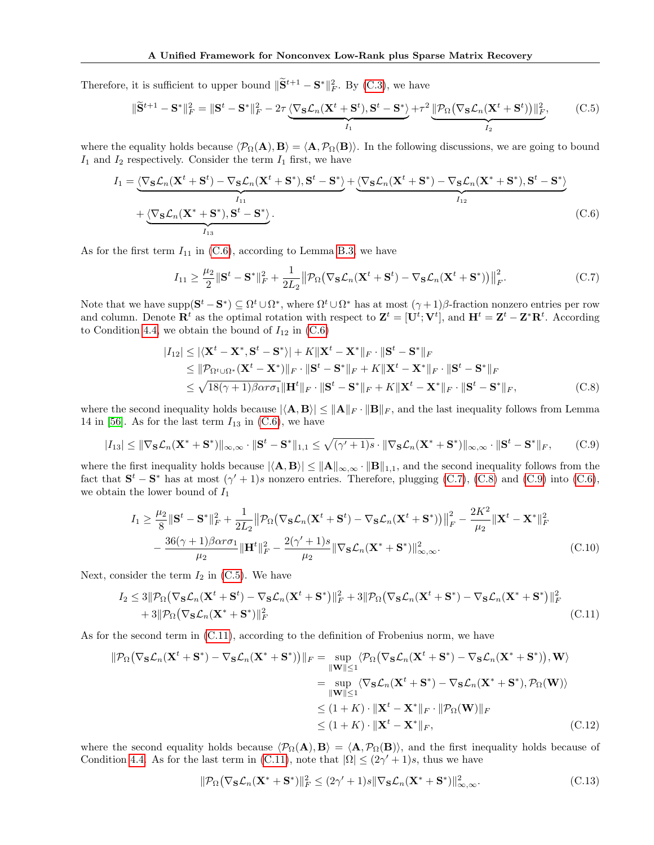Therefore, it is sufficient to upper bound  $\|\widetilde{\mathbf{S}}^{t+1} - \mathbf{S}^*\|_F^2$ . By (C.3), we have

$$
\|\widetilde{\mathbf{S}}^{t+1} - \mathbf{S}^*\|_F^2 = \|\mathbf{S}^t - \mathbf{S}^*\|_F^2 - 2\tau \underbrace{\langle \nabla_{\mathbf{S}} \mathcal{L}_n(\mathbf{X}^t + \mathbf{S}^t), \mathbf{S}^t - \mathbf{S}^*\rangle}_{I_1} + \tau^2 \underbrace{\|\mathcal{P}_{\Omega}(\nabla_{\mathbf{S}} \mathcal{L}_n(\mathbf{X}^t + \mathbf{S}^t))\|_F^2}_{I_2},\tag{C.5}
$$

where the equality holds because  $\langle \mathcal{P}_{\Omega}(\mathbf{A}), \mathbf{B} \rangle = \langle \mathbf{A}, \mathcal{P}_{\Omega}(\mathbf{B}) \rangle$ . In the following discussions, we are going to bound  $I_1$  and  $I_2$  respectively. Consider the term  $I_1$  first, we have

$$
I_1 = \underbrace{\langle \nabla_{\mathbf{S}} \mathcal{L}_n(\mathbf{X}^t + \mathbf{S}^t) - \nabla_{\mathbf{S}} \mathcal{L}_n(\mathbf{X}^t + \mathbf{S}^*), \mathbf{S}^t - \mathbf{S}^* \rangle}_{I_{11}}_{I_{12}} + \underbrace{\langle \nabla_{\mathbf{S}} \mathcal{L}_n(\mathbf{X}^t + \mathbf{S}^*) - \nabla_{\mathbf{S}} \mathcal{L}_n(\mathbf{X}^* + \mathbf{S}^*), \mathbf{S}^t - \mathbf{S}^* \rangle}_{I_{13}}_{I_{13}}.
$$
\n(C.6)

As for the first term  $I_{11}$  in (C.6), according to Lemma B.3, we have

$$
I_{11} \geq \frac{\mu_2}{2} \|\mathbf{S}^t - \mathbf{S}^*\|_F^2 + \frac{1}{2L_2} \|\mathcal{P}_{\Omega}(\nabla_{\mathbf{S}} \mathcal{L}_n(\mathbf{X}^t + \mathbf{S}^t) - \nabla_{\mathbf{S}} \mathcal{L}_n(\mathbf{X}^t + \mathbf{S}^*))\|_F^2.
$$
 (C.7)

Note that we have supp $(\mathbf{S}^t - \mathbf{S}^*) \subseteq \Omega^t \cup \Omega^*$ , where  $\Omega^t \cup \Omega^*$  has at most  $(\gamma + 1)\beta$ -fraction nonzero entries per row and column. Denote  $\mathbf{R}^t$  as the optimal rotation with respect to  $\mathbf{Z}^t = [\mathbf{U}^t; \mathbf{V}^t]$ , and  $\mathbf{H}^t = \mathbf{Z}^t - \mathbf{Z}^* \mathbf{R}^t$ . According to Condition 4.4, we obtain the bound of  $I_{12}$  in (C.6)

$$
|I_{12}| \leq |\langle \mathbf{X}^t - \mathbf{X}^*, \mathbf{S}^t - \mathbf{S}^* \rangle| + K \|\mathbf{X}^t - \mathbf{X}^*\|_F \cdot \|\mathbf{S}^t - \mathbf{S}^* \|_F
$$
  
\n
$$
\leq \|\mathcal{P}_{\Omega^t \cup \Omega^*} (\mathbf{X}^t - \mathbf{X}^*)\|_F \cdot \|\mathbf{S}^t - \mathbf{S}^* \|_F + K \|\mathbf{X}^t - \mathbf{X}^* \|_F \cdot \|\mathbf{S}^t - \mathbf{S}^* \|_F
$$
  
\n
$$
\leq \sqrt{18(\gamma + 1)\beta \alpha r \sigma_1} \|\mathbf{H}^t\|_F \cdot \|\mathbf{S}^t - \mathbf{S}^* \|_F + K \|\mathbf{X}^t - \mathbf{X}^* \|_F \cdot \|\mathbf{S}^t - \mathbf{S}^* \|_F,
$$
 (C.8)

where the second inequality holds because  $|\langle \mathbf{A}, \mathbf{B} \rangle| \leq ||\mathbf{A}||_F \cdot ||\mathbf{B}||_F$ , and the last inequality follows from Lemma 14 in [56]. As for the last term  $I_{13}$  in (C.6), we have

$$
|I_{13}| \leq \|\nabla_{\mathbf{S}}\mathcal{L}_n(\mathbf{X}^* + \mathbf{S}^*)\|_{\infty,\infty} \cdot \|\mathbf{S}^t - \mathbf{S}^*\|_{1,1} \leq \sqrt{(\gamma' + 1)s} \cdot \|\nabla_{\mathbf{S}}\mathcal{L}_n(\mathbf{X}^* + \mathbf{S}^*)\|_{\infty,\infty} \cdot \|\mathbf{S}^t - \mathbf{S}^*\|_F,
$$
(C.9)

where the first inequality holds because  $|\langle A, B \rangle| \leq ||A||_{\infty,\infty} \cdot ||B||_{1,1}$ , and the second inequality follows from the fact that  $S^t - S^*$  has at most  $(\gamma' + 1)s$  nonzero entries. Therefore, plugging (C.7), (C.8) and (C.9) into (C.6), we obtain the lower bound of  $I_1$ 

$$
I_1 \geq \frac{\mu_2}{8} \|\mathbf{S}^t - \mathbf{S}^*\|_F^2 + \frac{1}{2L_2} \|\mathcal{P}_{\Omega}(\nabla_{\mathbf{S}} \mathcal{L}_n(\mathbf{X}^t + \mathbf{S}^t) - \nabla_{\mathbf{S}} \mathcal{L}_n(\mathbf{X}^t + \mathbf{S}^*))\|_F^2 - \frac{2K^2}{\mu_2} \|\mathbf{X}^t - \mathbf{X}^*\|_F^2
$$

$$
- \frac{36(\gamma + 1)\beta \alpha r \sigma_1}{\mu_2} \|\mathbf{H}^t\|_F^2 - \frac{2(\gamma' + 1)s}{\mu_2} \|\nabla_{\mathbf{S}} \mathcal{L}_n(\mathbf{X}^* + \mathbf{S}^*)\|_{\infty,\infty}^2.
$$
(C.10)

Next, consider the term  $I_2$  in (C.5). We have

$$
I_2 \leq 3\|\mathcal{P}_{\Omega}(\nabla_{\mathbf{S}}\mathcal{L}_n(\mathbf{X}^t + \mathbf{S}^t) - \nabla_{\mathbf{S}}\mathcal{L}_n(\mathbf{X}^t + \mathbf{S}^*)\|_F^2 + 3\|\mathcal{P}_{\Omega}(\nabla_{\mathbf{S}}\mathcal{L}_n(\mathbf{X}^t + \mathbf{S}^*) - \nabla_{\mathbf{S}}\mathcal{L}_n(\mathbf{X}^* + \mathbf{S}^*)\|_F^2
$$
  
+ 3\|\mathcal{P}\_{\Omega}(\nabla\_{\mathbf{S}}\mathcal{L}\_n(\mathbf{X}^\* + \mathbf{S}^\*))\|\_F^2 (C.11)

As for the second term in (C.11), according to the definition of Frobenius norm, we have

$$
\|\mathcal{P}_{\Omega}(\nabla_{\mathbf{S}}\mathcal{L}_{n}(\mathbf{X}^{t} + \mathbf{S}^{*}) - \nabla_{\mathbf{S}}\mathcal{L}_{n}(\mathbf{X}^{*} + \mathbf{S}^{*}))\|_{F} = \sup_{\|\mathbf{W}\| \leq 1} \langle \mathcal{P}_{\Omega}(\nabla_{\mathbf{S}}\mathcal{L}_{n}(\mathbf{X}^{t} + \mathbf{S}^{*}) - \nabla_{\mathbf{S}}\mathcal{L}_{n}(\mathbf{X}^{*} + \mathbf{S}^{*})), \mathbf{W}\rangle
$$
  
\n
$$
= \sup_{\|\mathbf{W}\| \leq 1} \langle \nabla_{\mathbf{S}}\mathcal{L}_{n}(\mathbf{X}^{t} + \mathbf{S}^{*}) - \nabla_{\mathbf{S}}\mathcal{L}_{n}(\mathbf{X}^{*} + \mathbf{S}^{*}), \mathcal{P}_{\Omega}(\mathbf{W})\rangle
$$
  
\n
$$
\leq (1 + K) \cdot \|\mathbf{X}^{t} - \mathbf{X}^{*}\|_{F} \cdot \|\mathcal{P}_{\Omega}(\mathbf{W})\|_{F}
$$
  
\n
$$
\leq (1 + K) \cdot \|\mathbf{X}^{t} - \mathbf{X}^{*}\|_{F}, \qquad (C.12)
$$

where the second equality holds because  $\langle \mathcal{P}_{\Omega}(A), B \rangle = \langle A, \mathcal{P}_{\Omega}(B) \rangle$ , and the first inequality holds because of Condition 4.4. As for the last term in (C.11), note that  $|\Omega| \leq (2\gamma' + 1)s$ , thus we have

$$
\|\mathcal{P}_{\Omega}\big(\nabla_{\mathbf{S}}\mathcal{L}_n(\mathbf{X}^* + \mathbf{S}^*)\|_F^2 \le (2\gamma' + 1)s\|\nabla_{\mathbf{S}}\mathcal{L}_n(\mathbf{X}^* + \mathbf{S}^*)\|_{\infty,\infty}^2.
$$
 (C.13)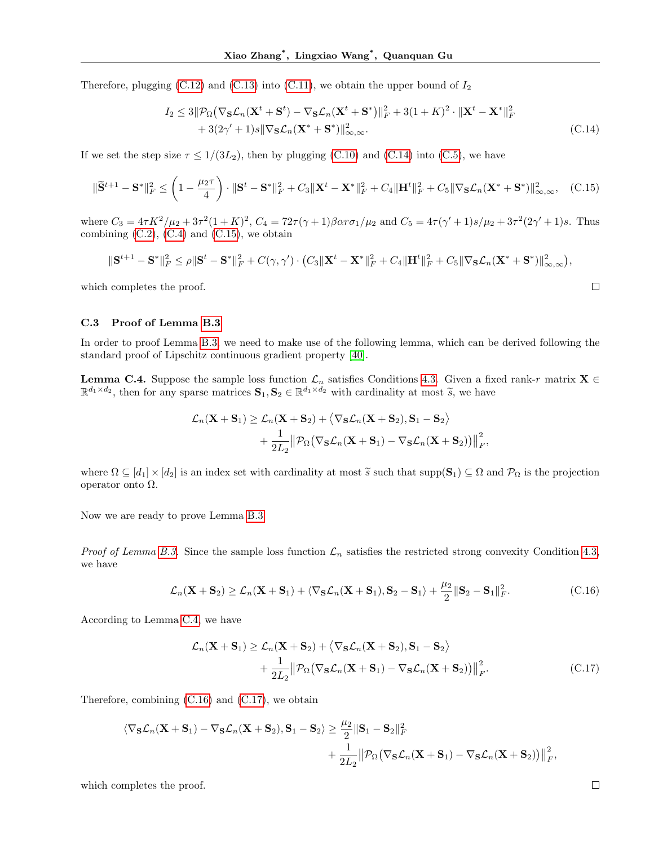Therefore, plugging  $(C.12)$  and  $(C.13)$  into  $(C.11)$ , we obtain the upper bound of  $I_2$ 

$$
I_2 \leq 3\|\mathcal{P}_{\Omega}\left(\nabla_{\mathbf{S}}\mathcal{L}_n(\mathbf{X}^t + \mathbf{S}^t) - \nabla_{\mathbf{S}}\mathcal{L}_n(\mathbf{X}^t + \mathbf{S}^*)\|_F^2 + 3(1 + K)^2 \cdot \|\mathbf{X}^t - \mathbf{X}^*\|_F^2 + 3(2\gamma' + 1)s\|\nabla_{\mathbf{S}}\mathcal{L}_n(\mathbf{X}^* + \mathbf{S}^*)\|_{\infty,\infty}^2.
$$
\n(C.14)

If we set the step size  $\tau \leq 1/(3L_2)$ , then by plugging (C.10) and (C.14) into (C.5), we have

$$
\|\widetilde{\mathbf{S}}^{t+1} - \mathbf{S}^*\|_F^2 \le \left(1 - \frac{\mu_2 \tau}{4}\right) \cdot \|\mathbf{S}^t - \mathbf{S}^*\|_F^2 + C_3 \|\mathbf{X}^t - \mathbf{X}^*\|_F^2 + C_4 \|\mathbf{H}^t\|_F^2 + C_5 \|\nabla_{\mathbf{S}} \mathcal{L}_n(\mathbf{X}^* + \mathbf{S}^*)\|_{\infty,\infty}^2, \quad \text{(C.15)}
$$

where  $C_3 = 4\tau K^2/\mu_2 + 3\tau^2 (1+K)^2$ ,  $C_4 = 72\tau (\gamma + 1)\beta \alpha r \sigma_1/\mu_2$  and  $C_5 = 4\tau (\gamma' + 1)s/\mu_2 + 3\tau^2 (2\gamma' + 1)s$ . Thus combining  $(C.2)$ ,  $(C.4)$  and  $(C.15)$ , we obtain

$$
\|\mathbf{S}^{t+1}-\mathbf{S}^*\|_F^2 \leq \rho \|\mathbf{S}^t-\mathbf{S}^*\|_F^2 + C(\gamma,\gamma') \cdot (C_3 \|\mathbf{X}^t-\mathbf{X}^*\|_F^2 + C_4 \|\mathbf{H}^t\|_F^2 + C_5 \|\nabla_{\mathbf{S}} \mathcal{L}_n(\mathbf{X}^*+\mathbf{S}^*)\|_{\infty,\infty}^2),
$$

which completes the proof.

### C.3 Proof of Lemma B.3

In order to proof Lemma B.3, we need to make use of the following lemma, which can be derived following the standard proof of Lipschitz continuous gradient property [40].

**Lemma C.4.** Suppose the sample loss function  $\mathcal{L}_n$  satisfies Conditions 4.3. Given a fixed rank-r matrix **X** ∈  $\mathbb{R}^{d_1 \times d_2}$ , then for any sparse matrices  $\mathbf{S}_1, \mathbf{S}_2 \in \mathbb{R}^{d_1 \times d_2}$  with cardinality at most  $\widetilde{s}$ , we have

$$
\mathcal{L}_n(\mathbf{X} + \mathbf{S}_1) \ge \mathcal{L}_n(\mathbf{X} + \mathbf{S}_2) + \langle \nabla_{\mathbf{S}} \mathcal{L}_n(\mathbf{X} + \mathbf{S}_2), \mathbf{S}_1 - \mathbf{S}_2 \rangle + \frac{1}{2L_2} || \mathcal{P}_{\Omega} (\nabla_{\mathbf{S}} \mathcal{L}_n(\mathbf{X} + \mathbf{S}_1) - \nabla_{\mathbf{S}} \mathcal{L}_n(\mathbf{X} + \mathbf{S}_2)) ||_F^2,
$$

where  $\Omega \subseteq [d_1] \times [d_2]$  is an index set with cardinality at most  $\tilde{s}$  such that supp $(\mathbf{S}_1) \subseteq \Omega$  and  $\mathcal{P}_{\Omega}$  is the projection operator onto Ω.

Now we are ready to prove Lemma B.3.

*Proof of Lemma B.3.* Since the sample loss function  $\mathcal{L}_n$  satisfies the restricted strong convexity Condition 4.3, we have

$$
\mathcal{L}_n(\mathbf{X} + \mathbf{S}_2) \ge \mathcal{L}_n(\mathbf{X} + \mathbf{S}_1) + \langle \nabla_{\mathbf{S}} \mathcal{L}_n(\mathbf{X} + \mathbf{S}_1), \mathbf{S}_2 - \mathbf{S}_1 \rangle + \frac{\mu_2}{2} \|\mathbf{S}_2 - \mathbf{S}_1\|_F^2.
$$
 (C.16)

According to Lemma C.4, we have

$$
\mathcal{L}_n(\mathbf{X} + \mathbf{S}_1) \ge \mathcal{L}_n(\mathbf{X} + \mathbf{S}_2) + \langle \nabla_{\mathbf{S}} \mathcal{L}_n(\mathbf{X} + \mathbf{S}_2), \mathbf{S}_1 - \mathbf{S}_2 \rangle \n+ \frac{1}{2L_2} || \mathcal{P}_{\Omega} (\nabla_{\mathbf{S}} \mathcal{L}_n(\mathbf{X} + \mathbf{S}_1) - \nabla_{\mathbf{S}} \mathcal{L}_n(\mathbf{X} + \mathbf{S}_2)) ||_F^2.
$$
\n(C.17)

Therefore, combining (C.16) and (C.17), we obtain

$$
\begin{aligned}\n\langle\nabla_{\mathbf{S}} \mathcal{L}_n(\mathbf{X}+\mathbf{S}_1)-\nabla_{\mathbf{S}} \mathcal{L}_n(\mathbf{X}+\mathbf{S}_2),\mathbf{S}_1-\mathbf{S}_2\rangle &\geq \frac{\mu_2}{2}\|\mathbf{S}_1-\mathbf{S}_2\|_F^2 \\
&\quad+\frac{1}{2L_2}\|\mathcal{P}_{\Omega}\big(\nabla_{\mathbf{S}}\mathcal{L}_n(\mathbf{X}+\mathbf{S}_1)-\nabla_{\mathbf{S}}\mathcal{L}_n(\mathbf{X}+\mathbf{S}_2)\big)\big\|_F^2,\n\end{aligned}
$$

which completes the proof.

 $\Box$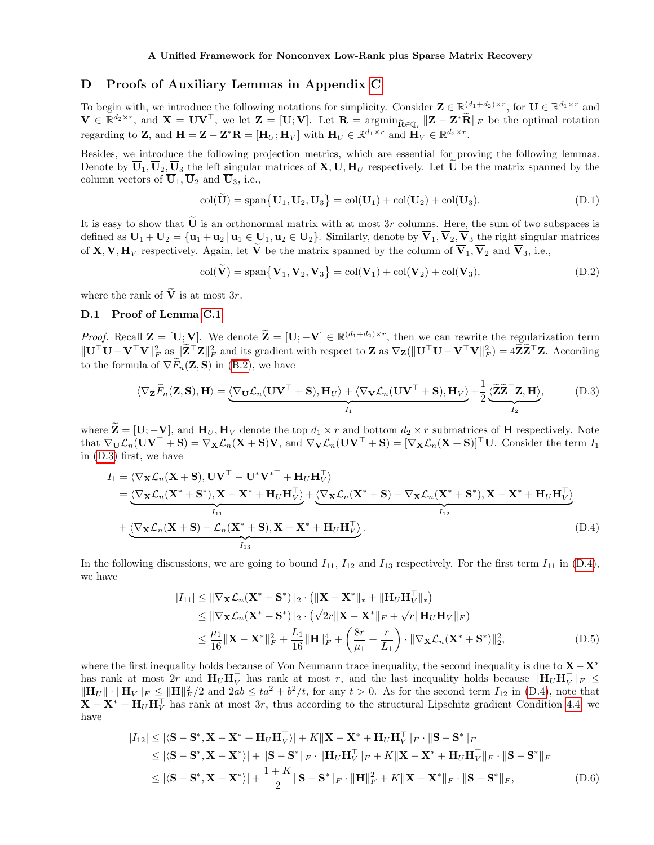## D Proofs of Auxiliary Lemmas in Appendix C

To begin with, we introduce the following notations for simplicity. Consider  $\mathbf{Z} \in \mathbb{R}^{(d_1+d_2)\times r}$ , for  $\mathbf{U} \in \mathbb{R}^{d_1\times r}$  and  $\mathbf{V} \in \mathbb{R}^{d_2 \times r}$ , and  $\mathbf{X} = \mathbf{U} \mathbf{V}^{\top}$ , we let  $\mathbf{Z} = [\mathbf{U}; \mathbf{V}]$ . Let  $\mathbf{R} = \operatorname{argmin}_{\mathbf{\tilde{R}} \in \mathbb{Q}_r} \|\mathbf{Z} - \mathbf{Z}^* \mathbf{\tilde{R}}\|_F$  be the optimal rotation regarding to Z, and  $\mathbf{H} = \mathbf{Z} - \mathbf{Z}^* \mathbf{R} = [\mathbf{H}_U; \mathbf{H}_V]$  with  $\mathbf{H}_U \in \mathbb{R}^{d_1 \times r}$  and  $\mathbf{H}_V \in \mathbb{R}^{d_2 \times r}$ .

Besides, we introduce the following projection metrics, which are essential for proving the following lemmas. Denote by  $\overline{U}_1, \overline{U}_2, \overline{U}_3$  the left singular matrices of **X**, **U**, **H**<sub>U</sub> respectively. Let **U** be the matrix spanned by the column vectors of  $\overline{\mathbf{U}}_1, \overline{\mathbf{U}}_2$  and  $\overline{\mathbf{U}}_3$ , i.e.,

$$
\operatorname{col}(\widetilde{\mathbf{U}}) = \operatorname{span}\{\overline{\mathbf{U}}_1, \overline{\mathbf{U}}_2, \overline{\mathbf{U}}_3\} = \operatorname{col}(\overline{\mathbf{U}}_1) + \operatorname{col}(\overline{\mathbf{U}}_2) + \operatorname{col}(\overline{\mathbf{U}}_3). \tag{D.1}
$$

It is easy to show that  $\tilde{U}$  is an orthonormal matrix with at most 3r columns. Here, the sum of two subspaces is defined as  $U_1 + U_2 = \{u_1 + u_2 | u_1 \in U_1, u_2 \in U_2\}$ . Similarly, denote by  $\overline{V}_1, \overline{V}_2, \overline{V}_3$  the right singular matrices of **X**, **V**,  $\mathbf{H}_V$  respectively. Again, let  $\tilde{\mathbf{V}}$  be the matrix spanned by the column of  $\overline{\mathbf{V}}_1$ ,  $\overline{\mathbf{V}}_2$  and  $\overline{\mathbf{V}}_3$ , i.e.,

 $col(\mathbf{\bar{V}}) = span{\overline{\mathbf{V}}_1, \overline{\mathbf{V}}_2, \overline{\mathbf{V}}_3} = col(\overline{\mathbf{V}}_1) + col(\overline{\mathbf{V}}_2) + col(\overline{\mathbf{V}}_3),$ (D.2)

where the rank of  $\widetilde{\mathbf{V}}$  is at most 3r.

## D.1 Proof of Lemma C.1

Proof. Recall  $\mathbf{Z} = [\mathbf{U}; \mathbf{V}]$ . We denote  $\widetilde{\mathbf{Z}} = [\mathbf{U}; -\mathbf{V}] \in \mathbb{R}^{(d_1 + d_2) \times r}$ , then we can rewrite the regularization term  $\|\mathbf{U}^\top \mathbf{U} - \mathbf{V}^\top \mathbf{V}\|_F^2$  as  $\|\mathbf{Z}^\top \mathbf{Z}\|_F^2$  and its gradient with respect to  $\mathbf{Z}$  as  $\nabla_{\mathbf{Z}}(\|\mathbf{U}^\top \mathbf{U} - \mathbf{V}^\top \mathbf{V}\|_F^2) = 4\widetilde{\mathbf{Z}}\widetilde{\mathbf{Z}}^\top \mathbf{Z}$ . According to the formula of  $\nabla F_n(\mathbf{Z}, \mathbf{S})$  in (B.2), we have

$$
\langle \nabla_{\mathbf{Z}} \widetilde{F}_n(\mathbf{Z}, \mathbf{S}), \mathbf{H} \rangle = \underbrace{\langle \nabla_{\mathbf{U}} \mathcal{L}_n(\mathbf{U}\mathbf{V}^\top + \mathbf{S}), \mathbf{H}_U \rangle + \langle \nabla_{\mathbf{V}} \mathcal{L}_n(\mathbf{U}\mathbf{V}^\top + \mathbf{S}), \mathbf{H}_V \rangle}_{I_1} + \frac{1}{2} \underbrace{\langle \widetilde{\mathbf{Z}} \widetilde{\mathbf{Z}}^\top \mathbf{Z}, \mathbf{H} \rangle}_{I_2}, \tag{D.3}
$$

where  $\widetilde{\mathbf{Z}} = [\mathbf{U}; -\mathbf{V}]$ , and  $\mathbf{H}_U, \mathbf{H}_V$  denote the top  $d_1 \times r$  and bottom  $d_2 \times r$  submatrices of **H** respectively. Note that  $\nabla_{\mathbf{U}}\mathcal{L}_n(\mathbf{U}\mathbf{V}^\top + \mathbf{S}) = \nabla_{\mathbf{X}}\mathcal{L}_n(\mathbf{X} + \mathbf{S})\mathbf{V}$ , and  $\nabla_{\mathbf{V}}\mathcal{L}_n(\mathbf{U}\mathbf{V}^\top + \mathbf{S}) = [\nabla_{\mathbf{X}}\mathcal{L}_n(\mathbf{X} + \mathbf{S})]^\top\mathbf{U}$ . Consider the term  $I_1$ in (D.3) first, we have

$$
I_{1} = \langle \nabla_{\mathbf{X}} \mathcal{L}_{n}(\mathbf{X} + \mathbf{S}), \mathbf{U}\mathbf{V}^{\top} - \mathbf{U}^{*}\mathbf{V}^{* \top} + \mathbf{H}_{U}\mathbf{H}_{V}^{\top} \rangle
$$
  
\n
$$
= \langle \nabla_{\mathbf{X}} \mathcal{L}_{n}(\mathbf{X}^{*} + \mathbf{S}^{*}), \mathbf{X} - \mathbf{X}^{*} + \mathbf{H}_{U}\mathbf{H}_{V}^{\top} \rangle + \langle \nabla_{\mathbf{X}} \mathcal{L}_{n}(\mathbf{X}^{*} + \mathbf{S}) - \nabla_{\mathbf{X}} \mathcal{L}_{n}(\mathbf{X}^{*} + \mathbf{S}^{*}), \mathbf{X} - \mathbf{X}^{*} + \mathbf{H}_{U}\mathbf{H}_{V}^{\top} \rangle
$$
  
\n
$$
+ \langle \nabla_{\mathbf{X}} \mathcal{L}_{n}(\mathbf{X} + \mathbf{S}) - \mathcal{L}_{n}(\mathbf{X}^{*} + \mathbf{S}), \mathbf{X} - \mathbf{X}^{*} + \mathbf{H}_{U}\mathbf{H}_{V}^{\top} \rangle.
$$
 (D.4)

In the following discussions, we are going to bound  $I_{11}$ ,  $I_{12}$  and  $I_{13}$  respectively. For the first term  $I_{11}$  in (D.4), we have

$$
|I_{11}| \leq \|\nabla_{\mathbf{X}}\mathcal{L}_n(\mathbf{X}^* + \mathbf{S}^*)\|_2 \cdot \left(\|\mathbf{X} - \mathbf{X}^*\|_* + \|\mathbf{H}_U\mathbf{H}_V^\top\|_*\right)
$$
  
\n
$$
\leq \|\nabla_{\mathbf{X}}\mathcal{L}_n(\mathbf{X}^* + \mathbf{S}^*)\|_2 \cdot \left(\sqrt{2r}\|\mathbf{X} - \mathbf{X}^*\|_F + \sqrt{r}\|\mathbf{H}_U\mathbf{H}_V\|_F\right)
$$
  
\n
$$
\leq \frac{\mu_1}{16}\|\mathbf{X} - \mathbf{X}^*\|_F^2 + \frac{L_1}{16}\|\mathbf{H}\|_F^4 + \left(\frac{8r}{\mu_1} + \frac{r}{L_1}\right) \cdot \|\nabla_{\mathbf{X}}\mathcal{L}_n(\mathbf{X}^* + \mathbf{S}^*)\|_2^2,
$$
 (D.5)

where the first inequality holds because of Von Neumann trace inequality, the second inequality is due to X−X<sup>∗</sup> has rank at most 2r and  $H_U H_V^{\top}$  has rank at most r, and the last inequality holds because  $\|\mathbf{H}_U \mathbf{H}_V^{\top}\|_F \leq$  $\|\mathbf{H}_U\| \cdot \|\mathbf{H}_V\|_F \le \|\mathbf{H}\|_F^2/2$  and  $2ab \le ta^2 + b^2/t$ , for any  $t > 0$ . As for the second term  $I_{12}$  in (D.4), note that  $\mathbf{X} - \mathbf{X}^* + \mathbf{H}_U \mathbf{H}_V^{\top}$  has rank at most 3r, thus according to the structural Lipschitz gradient Condition 4.4, we have

$$
|I_{12}| \leq |\langle \mathbf{S} - \mathbf{S}^*, \mathbf{X} - \mathbf{X}^* + \mathbf{H}_U \mathbf{H}_V^\top| + K \|\mathbf{X} - \mathbf{X}^* + \mathbf{H}_U \mathbf{H}_V^\top\|_F \cdot \|\mathbf{S} - \mathbf{S}^* \|_F
$$
  
\n
$$
\leq |\langle \mathbf{S} - \mathbf{S}^*, \mathbf{X} - \mathbf{X}^* \rangle| + \|\mathbf{S} - \mathbf{S}^* \|_F \cdot \|\mathbf{H}_U \mathbf{H}_V^\top \|_F + K \|\mathbf{X} - \mathbf{X}^* + \mathbf{H}_U \mathbf{H}_V^\top \|_F \cdot \|\mathbf{S} - \mathbf{S}^* \|_F
$$
  
\n
$$
\leq |\langle \mathbf{S} - \mathbf{S}^*, \mathbf{X} - \mathbf{X}^* \rangle| + \frac{1 + K}{2} \|\mathbf{S} - \mathbf{S}^* \|_F \cdot \|\mathbf{H}\|_F^2 + K \|\mathbf{X} - \mathbf{X}^* \|_F \cdot \|\mathbf{S} - \mathbf{S}^* \|_F, \tag{D.6}
$$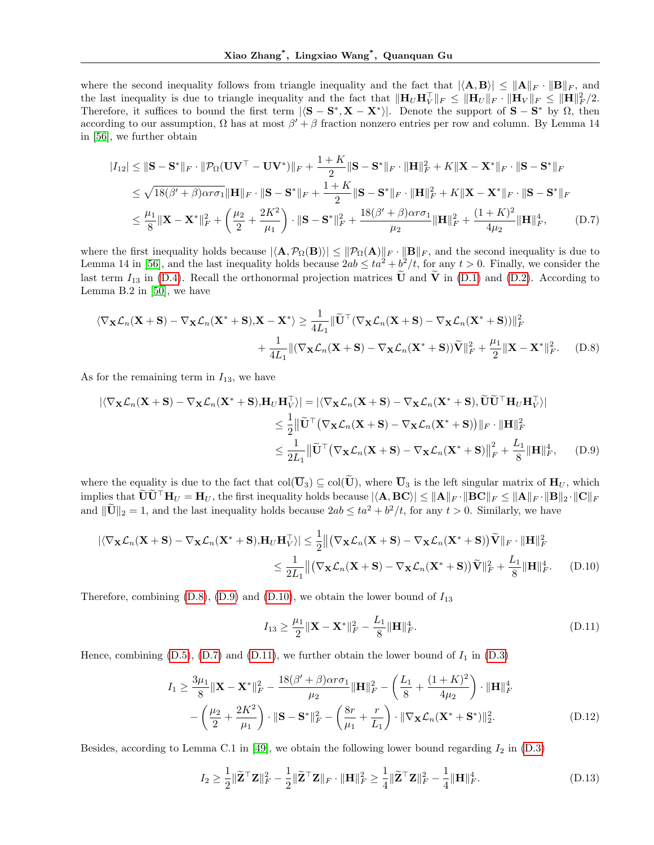where the second inequality follows from triangle inequality and the fact that  $|\langle \mathbf{A}, \mathbf{B} \rangle| \leq ||\mathbf{A}||_F \cdot ||\mathbf{B}||_F$ , and the last inequality is due to triangle inequality and the fact that  $\|\mathbf{H}_U\mathbf{H}_V^\top\|_F \le \|\mathbf{H}_U\|_F \cdot \|\mathbf{H}_V\|_F \le \|\mathbf{H}\|_F^2/2$ . Therefore, it suffices to bound the first term  $|\langle S - S^*, X - X^* \rangle|$ . Denote the support of  $S - S^*$  by  $\Omega$ , then according to our assumption,  $\Omega$  has at most  $\beta' + \beta$  fraction nonzero entries per row and column. By Lemma 14 in [56], we further obtain

$$
|I_{12}| \le ||\mathbf{S} - \mathbf{S}^*||_F \cdot ||\mathcal{P}_{\Omega}(\mathbf{U}\mathbf{V}^\top - \mathbf{U}\mathbf{V}^*)||_F + \frac{1+K}{2}||\mathbf{S} - \mathbf{S}^*||_F \cdot ||\mathbf{H}||_F^2 + K||\mathbf{X} - \mathbf{X}^*||_F \cdot ||\mathbf{S} - \mathbf{S}^*||_F
$$
  
\n
$$
\le \sqrt{18(\beta' + \beta)\alpha r \sigma_1} ||\mathbf{H}||_F \cdot ||\mathbf{S} - \mathbf{S}^*||_F + \frac{1+K}{2}||\mathbf{S} - \mathbf{S}^*||_F \cdot ||\mathbf{H}||_F^2 + K||\mathbf{X} - \mathbf{X}^*||_F \cdot ||\mathbf{S} - \mathbf{S}^*||_F
$$
  
\n
$$
\le \frac{\mu_1}{8}||\mathbf{X} - \mathbf{X}^*||_F^2 + \left(\frac{\mu_2}{2} + \frac{2K^2}{\mu_1}\right) \cdot ||\mathbf{S} - \mathbf{S}^*||_F^2 + \frac{18(\beta' + \beta)\alpha r \sigma_1}{\mu_2} ||\mathbf{H}||_F^2 + \frac{(1+K)^2}{4\mu_2} ||\mathbf{H}||_F^4, \tag{D.7}
$$

where the first inequality holds because  $|\langle \mathbf{A}, \mathcal{P}_{\Omega}(\mathbf{B}) \rangle| \leq ||\mathcal{P}_{\Omega}(\mathbf{A})||_F \cdot ||\mathbf{B}||_F$ , and the second inequality is due to Lemma 14 in [56], and the last inequality holds because  $2ab \leq ta^2 + b^2/t$ , for any  $t > 0$ . Finally, we consider the last term  $I_{13}$  in (D.4). Recall the orthonormal projection matrices  $\tilde{U}$  and  $\tilde{V}$  in (D.1) and (D.2). According to Lemma B.2 in [50], we have

$$
\langle \nabla_{\mathbf{X}} \mathcal{L}_n(\mathbf{X} + \mathbf{S}) - \nabla_{\mathbf{X}} \mathcal{L}_n(\mathbf{X}^* + \mathbf{S}), \mathbf{X} - \mathbf{X}^* \rangle \ge \frac{1}{4L_1} \|\widetilde{\mathbf{U}}^\top (\nabla_{\mathbf{X}} \mathcal{L}_n(\mathbf{X} + \mathbf{S}) - \nabla_{\mathbf{X}} \mathcal{L}_n(\mathbf{X}^* + \mathbf{S}))\|_F^2
$$
  
+ 
$$
\frac{1}{4L_1} \|(\nabla_{\mathbf{X}} \mathcal{L}_n(\mathbf{X} + \mathbf{S}) - \nabla_{\mathbf{X}} \mathcal{L}_n(\mathbf{X}^* + \mathbf{S}))\widetilde{\mathbf{V}}\|_F^2 + \frac{\mu_1}{2} \|\mathbf{X} - \mathbf{X}^*\|_F^2. \tag{D.8}
$$

As for the remaining term in  $I_{13}$ , we have

$$
\begin{aligned}\n|\langle \nabla_{\mathbf{X}} \mathcal{L}_n(\mathbf{X} + \mathbf{S}) - \nabla_{\mathbf{X}} \mathcal{L}_n(\mathbf{X}^* + \mathbf{S}), \mathbf{H}_U \mathbf{H}_V^\top \rangle| &= |\langle \nabla_{\mathbf{X}} \mathcal{L}_n(\mathbf{X} + \mathbf{S}) - \nabla_{\mathbf{X}} \mathcal{L}_n(\mathbf{X}^* + \mathbf{S}), \widetilde{\mathbf{U}} \widetilde{\mathbf{U}}^\top \mathbf{H}_U \mathbf{H}_V^\top \rangle| \\
&\leq \frac{1}{2} ||\widetilde{\mathbf{U}}^\top (\nabla_{\mathbf{X}} \mathcal{L}_n(\mathbf{X} + \mathbf{S}) - \nabla_{\mathbf{X}} \mathcal{L}_n(\mathbf{X}^* + \mathbf{S}))||_F \cdot ||\mathbf{H}||_F^2 \\
&\leq \frac{1}{2L_1} ||\widetilde{\mathbf{U}}^\top (\nabla_{\mathbf{X}} \mathcal{L}_n(\mathbf{X} + \mathbf{S}) - \nabla_{\mathbf{X}} \mathcal{L}_n(\mathbf{X}^* + \mathbf{S})||_F^2 + \frac{L_1}{8} ||\mathbf{H}||_F^4,\n\end{aligned} \tag{D.9}
$$

where the equality is due to the fact that  $col(\overline{\mathbf{U}}_3) \subseteq col(\widetilde{\mathbf{U}})$ , where  $\overline{\mathbf{U}}_3$  is the left singular matrix of  $\mathbf{H}_U$ , which implies that  $\widetilde{\mathbf{U}} \widetilde{\mathbf{U}}^{\top} \mathbf{H}_U = \mathbf{H}_U$ , the first inequality holds because  $|\langle \mathbf{A}, \mathbf{B} \mathbf{C} \rangle| \leq ||\mathbf{A}||_F \cdot ||\mathbf{B} \mathbf{C}||_F \leq ||\mathbf{A}||_F \cdot ||\mathbf{B}||_2 \cdot ||\mathbf{C}||_F$ and  $\|\tilde{\mathbf{U}}\|_2 = 1$ , and the last inequality holds because  $2ab \le ta^2 + b^2/t$ , for any  $t > 0$ . Similarly, we have

$$
\begin{aligned} |\langle \nabla_{\mathbf{X}} \mathcal{L}_n(\mathbf{X} + \mathbf{S}) - \nabla_{\mathbf{X}} \mathcal{L}_n(\mathbf{X}^* + \mathbf{S}), \mathbf{H}_U \mathbf{H}_V^\top \rangle| &\leq \frac{1}{2} \left\| \left( \nabla_{\mathbf{X}} \mathcal{L}_n(\mathbf{X} + \mathbf{S}) - \nabla_{\mathbf{X}} \mathcal{L}_n(\mathbf{X}^* + \mathbf{S}) \right) \widetilde{\mathbf{V}} \right\|_F \cdot \| \mathbf{H} \|^2_F \\ &\leq \frac{1}{2L_1} \left\| \left( \nabla_{\mathbf{X}} \mathcal{L}_n(\mathbf{X} + \mathbf{S}) - \nabla_{\mathbf{X}} \mathcal{L}_n(\mathbf{X}^* + \mathbf{S}) \right) \widetilde{\mathbf{V}} \right\|_F^2 + \frac{L_1}{8} \| \mathbf{H} \|^4_F. \end{aligned} \tag{D.10}
$$

Therefore, combining  $(D.8)$ ,  $(D.9)$  and  $(D.10)$ , we obtain the lower bound of  $I_{13}$ 

$$
I_{13} \ge \frac{\mu_1}{2} \|\mathbf{X} - \mathbf{X}^*\|_F^2 - \frac{L_1}{8} \|\mathbf{H}\|_F^4.
$$
 (D.11)

Hence, combining  $(D.5)$ ,  $(D.7)$  and  $(D.11)$ , we further obtain the lower bound of  $I_1$  in  $(D.3)$ 

$$
I_{1} \geq \frac{3\mu_{1}}{8} \|\mathbf{X} - \mathbf{X}^{*}\|_{F}^{2} - \frac{18(\beta' + \beta)\alpha r\sigma_{1}}{\mu_{2}} \|\mathbf{H}\|_{F}^{2} - \left(\frac{L_{1}}{8} + \frac{(1 + K)^{2}}{4\mu_{2}}\right) \cdot \|\mathbf{H}\|_{F}^{4}
$$

$$
- \left(\frac{\mu_{2}}{2} + \frac{2K^{2}}{\mu_{1}}\right) \cdot \|\mathbf{S} - \mathbf{S}^{*}\|_{F}^{2} - \left(\frac{8r}{\mu_{1}} + \frac{r}{L_{1}}\right) \cdot \|\nabla_{\mathbf{X}} \mathcal{L}_{n}(\mathbf{X}^{*} + \mathbf{S}^{*})\|_{2}^{2}.
$$
(D.12)

Besides, according to Lemma C.1 in [49], we obtain the following lower bound regarding  $I_2$  in (D.3)

$$
I_2 \ge \frac{1}{2} \|\widetilde{\mathbf{Z}}^\top \mathbf{Z}\|_F^2 - \frac{1}{2} \|\widetilde{\mathbf{Z}}^\top \mathbf{Z}\|_F \cdot \|\mathbf{H}\|_F^2 \ge \frac{1}{4} \|\widetilde{\mathbf{Z}}^\top \mathbf{Z}\|_F^2 - \frac{1}{4} \|\mathbf{H}\|_F^4.
$$
 (D.13)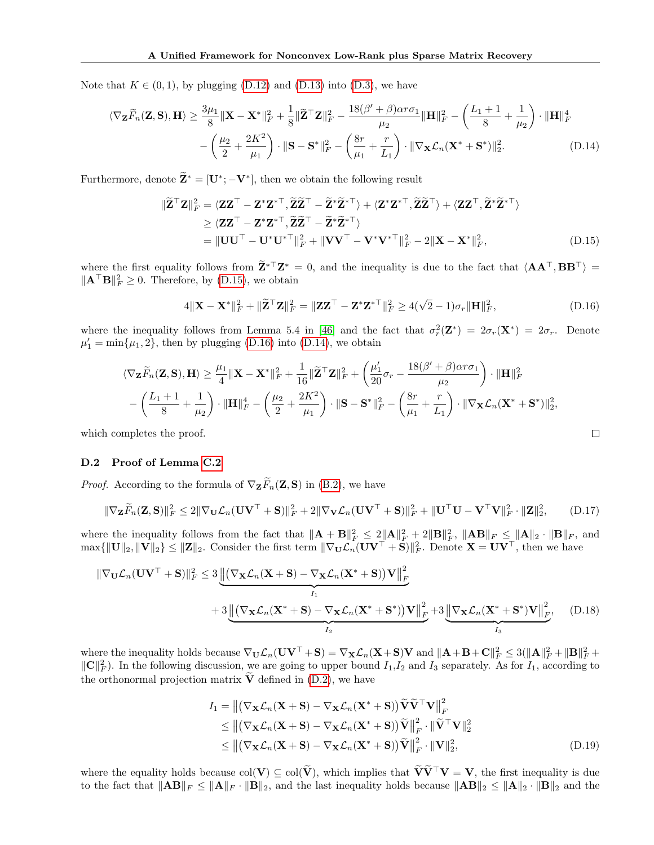Note that  $K \in (0, 1)$ , by plugging (D.12) and (D.13) into (D.3), we have

$$
\langle \nabla_{\mathbf{Z}} \widetilde{F}_n(\mathbf{Z}, \mathbf{S}), \mathbf{H} \rangle \ge \frac{3\mu_1}{8} \|\mathbf{X} - \mathbf{X}^*\|_F^2 + \frac{1}{8} \|\widetilde{\mathbf{Z}}^\top \mathbf{Z}\|_F^2 - \frac{18(\beta' + \beta)\alpha r \sigma_1}{\mu_2} \|\mathbf{H}\|_F^2 - \left(\frac{L_1 + 1}{8} + \frac{1}{\mu_2}\right) \cdot \|\mathbf{H}\|_F^4 - \left(\frac{\mu_2}{2} + \frac{2K^2}{\mu_1}\right) \cdot \|\mathbf{S} - \mathbf{S}^*\|_F^2 - \left(\frac{8r}{\mu_1} + \frac{r}{L_1}\right) \cdot \|\nabla_{\mathbf{X}} \mathcal{L}_n(\mathbf{X}^* + \mathbf{S}^*)\|_2^2.
$$
 (D.14)

Furthermore, denote  $\widetilde{\mathbf{Z}}^* = [\mathbf{U}^*; -\mathbf{V}^*]$ , then we obtain the following result

$$
\|\widetilde{\mathbf{Z}}^{\top}\mathbf{Z}\|_{F}^{2} = \langle \mathbf{Z}\mathbf{Z}^{\top} - \mathbf{Z}^{*}\mathbf{Z}^{*}^{\top}, \widetilde{\mathbf{Z}}\widetilde{\mathbf{Z}}^{\top} - \widetilde{\mathbf{Z}}^{*}\widetilde{\mathbf{Z}}^{*}^{\top} \rangle + \langle \mathbf{Z}^{*}\mathbf{Z}^{*}^{\top}, \widetilde{\mathbf{Z}}\widetilde{\mathbf{Z}}^{\top} \rangle + \langle \mathbf{Z}\mathbf{Z}^{\top}, \widetilde{\mathbf{Z}}^{*}\widetilde{\mathbf{Z}}^{*}^{\top} \rangle
$$
  
\n
$$
\geq \langle \mathbf{Z}\mathbf{Z}^{\top} - \mathbf{Z}^{*}\mathbf{Z}^{*}^{\top}, \widetilde{\mathbf{Z}}\widetilde{\mathbf{Z}}^{\top} - \widetilde{\mathbf{Z}}^{*}\widetilde{\mathbf{Z}}^{*}^{\top} \rangle
$$
  
\n
$$
= \|\mathbf{U}\mathbf{U}^{\top} - \mathbf{U}^{*}\mathbf{U}^{*}^{\top}\|_{F}^{2} + \|\mathbf{V}\mathbf{V}^{\top} - \mathbf{V}^{*}\mathbf{V}^{*}^{\top}\|_{F}^{2} - 2\|\mathbf{X} - \mathbf{X}^{*}\|_{F}^{2}, \tag{D.15}
$$

where the first equality follows from  $\mathbf{Z}^*$ <sup>T</sup> $\mathbf{Z}^* = 0$ , and the inequality is due to the fact that  $\langle \mathbf{A} \mathbf{A}^{\top}, \mathbf{B} \mathbf{B}^{\top} \rangle =$  $\|\mathbf{A}^\top \mathbf{B}\|_F^2 \geq 0$ . Therefore, by (D.15), we obtain

$$
4\|\mathbf{X} - \mathbf{X}^*\|_F^2 + \|\widetilde{\mathbf{Z}}^\top \mathbf{Z}\|_F^2 = \|\mathbf{Z}\mathbf{Z}^\top - \mathbf{Z}^* \mathbf{Z}^{*\top}\|_F^2 \ge 4(\sqrt{2} - 1)\sigma_r \|\mathbf{H}\|_F^2,
$$
\n(D.16)

where the inequality follows from Lemma 5.4 in [46] and the fact that  $\sigma_r^2(\mathbf{Z}^*) = 2\sigma_r(\mathbf{X}^*) = 2\sigma_r$ . Denote  $\mu'_1 = \min{\mu_1, 2}$ , then by plugging (D.16) into (D.14), we obtain

$$
\langle \nabla_{\mathbf{Z}} \widetilde{F}_n(\mathbf{Z}, \mathbf{S}), \mathbf{H} \rangle \ge \frac{\mu_1}{4} \|\mathbf{X} - \mathbf{X}^*\|_F^2 + \frac{1}{16} \|\widetilde{\mathbf{Z}}^\top \mathbf{Z}\|_F^2 + \left(\frac{\mu_1'}{20} \sigma_r - \frac{18(\beta' + \beta)\alpha r \sigma_1}{\mu_2}\right) \cdot \|\mathbf{H}\|_F^2
$$

$$
- \left(\frac{L_1 + 1}{8} + \frac{1}{\mu_2}\right) \cdot \|\mathbf{H}\|_F^4 - \left(\frac{\mu_2}{2} + \frac{2K^2}{\mu_1}\right) \cdot \|\mathbf{S} - \mathbf{S}^*\|_F^2 - \left(\frac{8r}{\mu_1} + \frac{r}{L_1}\right) \cdot \|\nabla_{\mathbf{X}} \mathcal{L}_n(\mathbf{X}^* + \mathbf{S}^*)\|_2^2,
$$
   
mpletes the proof.

which completes the proof.

### D.2 Proof of Lemma C.2

*Proof.* According to the formula of  $\nabla_{\mathbf{Z}} \widetilde{F}_n(\mathbf{Z}, \mathbf{S})$  in (B.2), we have

$$
\|\nabla_{\mathbf{Z}}\widetilde{F}_n(\mathbf{Z},\mathbf{S})\|_F^2 \le 2\|\nabla_{\mathbf{U}}\mathcal{L}_n(\mathbf{U}\mathbf{V}^\top + \mathbf{S})\|_F^2 + 2\|\nabla_{\mathbf{V}}\mathcal{L}_n(\mathbf{U}\mathbf{V}^\top + \mathbf{S})\|_F^2 + \|\mathbf{U}^\top\mathbf{U} - \mathbf{V}^\top\mathbf{V}\|_F^2 \cdot \|\mathbf{Z}\|_2^2, \tag{D.17}
$$

where the inequality follows from the fact that  $\|\mathbf{A} + \mathbf{B}\|_F^2 \le 2 \|\mathbf{A}\|_F^2 + 2 \|\mathbf{B}\|_F^2$ ,  $\|\mathbf{A}\mathbf{B}\|_F \le \|\mathbf{A}\|_2 \cdot \|\mathbf{B}\|_F$ , and  $\max\{\|\mathbf{U}\|_2, \|\mathbf{V}\|_2\} \leq \|\mathbf{Z}\|_2$ . Consider the first term  $\|\nabla_{\mathbf{U}}\mathcal{L}_n(\mathbf{U}\mathbf{V}^\top + \mathbf{S})\|_F^2$ . Denote  $\mathbf{X} = \mathbf{U}\mathbf{V}^\top$ , then we have

$$
\|\nabla_{\mathbf{U}}\mathcal{L}_n(\mathbf{U}\mathbf{V}^\top + \mathbf{S})\|_F^2 \le 3 \underbrace{\left\| (\nabla_{\mathbf{X}}\mathcal{L}_n(\mathbf{X} + \mathbf{S}) - \nabla_{\mathbf{X}}\mathcal{L}_n(\mathbf{X}^* + \mathbf{S}))\mathbf{V} \right\|_F^2}_{I_1} + 3 \underbrace{\left\| (\nabla_{\mathbf{X}}\mathcal{L}_n(\mathbf{X}^* + \mathbf{S}) - \nabla_{\mathbf{X}}\mathcal{L}_n(\mathbf{X}^* + \mathbf{S}^*))\mathbf{V} \right\|_F^2}_{I_2} + 3 \underbrace{\left\| (\nabla_{\mathbf{X}}\mathcal{L}_n(\mathbf{X}^* + \mathbf{S}^*)\mathbf{V} \right\|_F^2}_{I_3}, \quad (D.18)
$$

where the inequality holds because  $\nabla_{\mathbf{U}} \mathcal{L}_n(\mathbf{U}\mathbf{V}^\top + \mathbf{S}) = \nabla_{\mathbf{X}} \mathcal{L}_n(\mathbf{X} + \mathbf{S}) \mathbf{V}$  and  $\|\mathbf{A} + \mathbf{B} + \mathbf{C}\|_F^2 \leq 3(\|\mathbf{A}\|_F^2 + \|\mathbf{B}\|_F^2 + \|\mathbf{B}\|_F^2)$  $\|\mathbf{C}\|_F^2$ . In the following discussion, we are going to upper bound  $I_1,I_2$  and  $I_3$  separately. As for  $I_1$ , according to the orthonormal projection matrix  $\tilde{V}$  defined in (D.2), we have

$$
I_1 = || (\nabla_{\mathbf{X}} \mathcal{L}_n(\mathbf{X} + \mathbf{S}) - \nabla_{\mathbf{X}} \mathcal{L}_n(\mathbf{X}^* + \mathbf{S})) \widetilde{\mathbf{V}} \widetilde{\mathbf{V}}^\top \mathbf{V} ||_F^2
$$
  
\n
$$
\leq || (\nabla_{\mathbf{X}} \mathcal{L}_n(\mathbf{X} + \mathbf{S}) - \nabla_{\mathbf{X}} \mathcal{L}_n(\mathbf{X}^* + \mathbf{S})) \widetilde{\mathbf{V}} ||_F^2 \cdot || \widetilde{\mathbf{V}}^\top \mathbf{V} ||_2^2
$$
  
\n
$$
\leq || (\nabla_{\mathbf{X}} \mathcal{L}_n(\mathbf{X} + \mathbf{S}) - \nabla_{\mathbf{X}} \mathcal{L}_n(\mathbf{X}^* + \mathbf{S})) \widetilde{\mathbf{V}} ||_F^2 \cdot ||\mathbf{V} ||_2^2,
$$
 (D.19)

where the equality holds because  $col(V) \subseteq col(\tilde{V})$ , which implies that  $\tilde{V}\tilde{V}^{\top}V = V$ , the first inequality is due to the fact that  $\|\mathbf{A}\mathbf{B}\|_F \leq \|\mathbf{A}\|_F \cdot \|\mathbf{B}\|_2$ , and the last inequality holds because  $\|\mathbf{A}\mathbf{B}\|_2 \leq \|\mathbf{A}\|_2 \cdot \|\mathbf{B}\|_2$  and the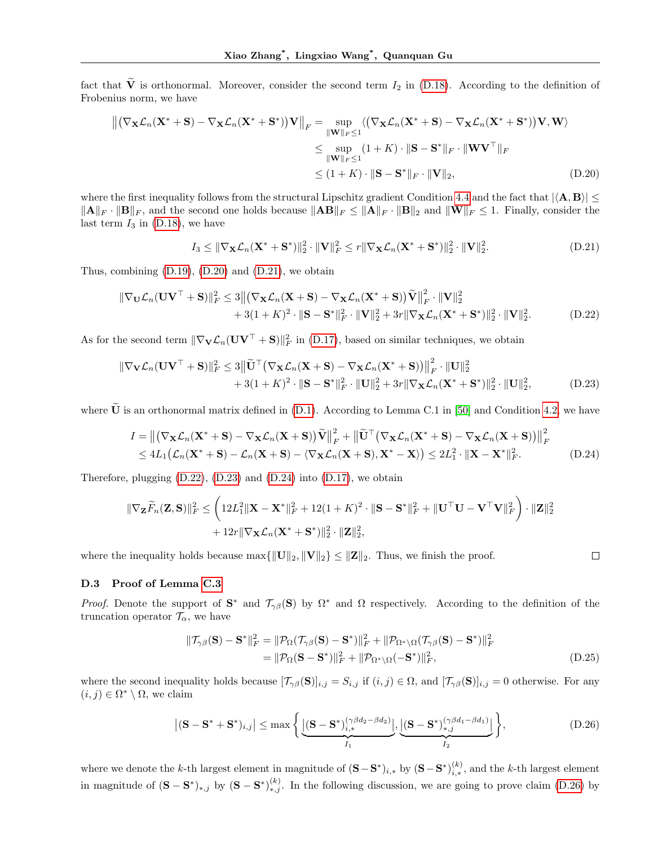fact that  $\tilde{V}$  is orthonormal. Moreover, consider the second term  $I_2$  in (D.18). According to the definition of Frobenius norm, we have

$$
\|(\nabla_{\mathbf{X}}\mathcal{L}_n(\mathbf{X}^* + \mathbf{S}) - \nabla_{\mathbf{X}}\mathcal{L}_n(\mathbf{X}^* + \mathbf{S}^*))\mathbf{V}\|_F = \sup_{\|\mathbf{W}\|_F \le 1} \langle (\nabla_{\mathbf{X}}\mathcal{L}_n(\mathbf{X}^* + \mathbf{S}) - \nabla_{\mathbf{X}}\mathcal{L}_n(\mathbf{X}^* + \mathbf{S}^*))\mathbf{V}, \mathbf{W}\rangle
$$
  
\n
$$
\le \sup_{\|\mathbf{W}\|_F \le 1} (1 + K) \cdot \|\mathbf{S} - \mathbf{S}^*\|_F \cdot \|\mathbf{W}\mathbf{V}^\top\|_F
$$
  
\n
$$
\le (1 + K) \cdot \|\mathbf{S} - \mathbf{S}^*\|_F \cdot \|\mathbf{V}\|_2, \tag{D.20}
$$

where the first inequality follows from the structural Lipschitz gradient Condition 4.4 and the fact that  $|\langle \mathbf{A}, \mathbf{B} \rangle| \leq$  $||\mathbf{A}||_F \cdot ||\mathbf{B}||_F$ , and the second one holds because  $||\mathbf{A}\mathbf{B}||_F \le ||\mathbf{A}||_F \cdot ||\mathbf{B}||_2$  and  $||\mathbf{W}||_F \le 1$ . Finally, consider the last term  $I_3$  in (D.18), we have

$$
I_3 \leq \|\nabla_{\mathbf{X}}\mathcal{L}_n(\mathbf{X}^* + \mathbf{S}^*)\|_2^2 \cdot \|\mathbf{V}\|_F^2 \leq r\|\nabla_{\mathbf{X}}\mathcal{L}_n(\mathbf{X}^* + \mathbf{S}^*)\|_2^2 \cdot \|\mathbf{V}\|_2^2.
$$
 (D.21)

Thus, combining  $(D.19)$ ,  $(D.20)$  and  $(D.21)$ , we obtain

$$
\|\nabla_{\mathbf{U}}\mathcal{L}_n(\mathbf{U}\mathbf{V}^\top + \mathbf{S})\|_F^2 \le 3 \|\nabla_{\mathbf{X}}\mathcal{L}_n(\mathbf{X} + \mathbf{S}) - \nabla_{\mathbf{X}}\mathcal{L}_n(\mathbf{X}^* + \mathbf{S})\nabla \|\mathbf{V}\|_F^2 \cdot \|\mathbf{V}\|_2^2 + 3(1 + K)^2 \cdot \|\mathbf{S} - \mathbf{S}^*\|_F^2 \cdot \|\mathbf{V}\|_2^2 + 3r\|\nabla_{\mathbf{X}}\mathcal{L}_n(\mathbf{X}^* + \mathbf{S}^*)\|_2^2 \cdot \|\mathbf{V}\|_2^2.
$$
\n(D.22)

As for the second term  $\|\nabla_{\mathbf{V}}\mathcal{L}_n(\mathbf{U}\mathbf{V}^\top + \mathbf{S})\|_F^2$  in (D.17), based on similar techniques, we obtain

$$
\|\nabla_{\mathbf{V}}\mathcal{L}_n(\mathbf{U}\mathbf{V}^\top + \mathbf{S})\|_F^2 \le 3\|\tilde{\mathbf{U}}^\top (\nabla_{\mathbf{X}}\mathcal{L}_n(\mathbf{X} + \mathbf{S}) - \nabla_{\mathbf{X}}\mathcal{L}_n(\mathbf{X}^* + \mathbf{S}))\|_F^2 \cdot \|\mathbf{U}\|_2^2 + 3(1+K)^2 \cdot \|\mathbf{S} - \mathbf{S}^*\|_F^2 \cdot \|\mathbf{U}\|_2^2 + 3r\|\nabla_{\mathbf{X}}\mathcal{L}_n(\mathbf{X}^* + \mathbf{S}^*)\|_2^2 \cdot \|\mathbf{U}\|_2^2,
$$
(D.23)

where  $\tilde{U}$  is an orthonormal matrix defined in (D.1). According to Lemma C.1 in [50] and Condition 4.2, we have

$$
I = ||(\nabla_{\mathbf{X}} \mathcal{L}_n(\mathbf{X}^* + \mathbf{S}) - \nabla_{\mathbf{X}} \mathcal{L}_n(\mathbf{X} + \mathbf{S}))\widetilde{\mathbf{V}}||_F^2 + ||\widetilde{\mathbf{U}}^\top(\nabla_{\mathbf{X}} \mathcal{L}_n(\mathbf{X}^* + \mathbf{S}) - \nabla_{\mathbf{X}} \mathcal{L}_n(\mathbf{X} + \mathbf{S}))||_F^2
$$
  
\n
$$
\leq 4L_1(\mathcal{L}_n(\mathbf{X}^* + \mathbf{S}) - \mathcal{L}_n(\mathbf{X} + \mathbf{S}) - \langle \nabla_{\mathbf{X}} \mathcal{L}_n(\mathbf{X} + \mathbf{S}), \mathbf{X}^* - \mathbf{X} \rangle) \leq 2L_1^2 \cdot ||\mathbf{X} - \mathbf{X}^*||_F^2.
$$
 (D.24)

Therefore, plugging (D.22), (D.23) and (D.24) into (D.17), we obtain

$$
\|\nabla_{\mathbf{Z}}\widetilde{F}_n(\mathbf{Z},\mathbf{S})\|_F^2 \leq \left(12L_1^2\|\mathbf{X}-\mathbf{X}^*\|_F^2+12(1+K)^2\cdot\|\mathbf{S}-\mathbf{S}^*\|_F^2+\|\mathbf{U}^\top\mathbf{U}-\mathbf{V}^\top\mathbf{V}\|_F^2\right)\cdot\|\mathbf{Z}\|_2^2
$$
  
+12r\|\nabla\_{\mathbf{X}}\mathcal{L}\_n(\mathbf{X}^\*+\mathbf{S}^\*)\|\_2^2\cdot\|\mathbf{Z}\|\_2^2,

where the inequality holds because  $\max{\{\Vert \mathbf{U} \Vert_2, \Vert \mathbf{V} \Vert_2\} \leq \Vert \mathbf{Z} \Vert_2}$ . Thus, we finish the proof.

### D.3 Proof of Lemma C.3

*Proof.* Denote the support of  $S^*$  and  $\mathcal{T}_{\gamma\beta}(S)$  by  $\Omega^*$  and  $\Omega$  respectively. According to the definition of the truncation operator  $\mathcal{T}_{\alpha}$ , we have

$$
\|\mathcal{T}_{\gamma\beta}(\mathbf{S}) - \mathbf{S}^*\|_F^2 = \|\mathcal{P}_{\Omega}(\mathcal{T}_{\gamma\beta}(\mathbf{S}) - \mathbf{S}^*)\|_F^2 + \|\mathcal{P}_{\Omega^*\setminus\Omega}(\mathcal{T}_{\gamma\beta}(\mathbf{S}) - \mathbf{S}^*)\|_F^2
$$
  
=  $\|\mathcal{P}_{\Omega}(\mathbf{S} - \mathbf{S}^*)\|_F^2 + \|\mathcal{P}_{\Omega^*\setminus\Omega}(-\mathbf{S}^*)\|_F^2,$  (D.25)

 $\Box$ 

where the second inequality holds because  $[\mathcal{T}_{\gamma\beta}(\mathbf{S})]_{i,j} = S_{i,j}$  if  $(i,j) \in \Omega$ , and  $[\mathcal{T}_{\gamma\beta}(\mathbf{S})]_{i,j} = 0$  otherwise. For any  $(i, j) \in \Omega^* \setminus \Omega$ , we claim

$$
\left| (\mathbf{S} - \mathbf{S}^* + \mathbf{S}^*)_{i,j} \right| \leq \max \left\{ \underbrace{\left| (\mathbf{S} - \mathbf{S}^*)_{i,*}^{(\gamma \beta d_2 - \beta d_2)} \right|}_{I_1}, \underbrace{\left| (\mathbf{S} - \mathbf{S}^*)_{*,j}^{(\gamma \beta d_1 - \beta d_1)} \right|}_{I_2} \right\},
$$
\n(D.26)

where we denote the k-th largest element in magnitude of  $(S - S^*)_{i,*}$  by  $(S - S^*)_{i,*}^{(k)}$ , and the k-th largest element in magnitude of  $({\bf S}-{\bf S}^*)_{*,j}$  by  $({\bf S}-{\bf S}^*)_{*,j}^{(k)}$ . In the following discussion, we are going to prove claim (D.26) by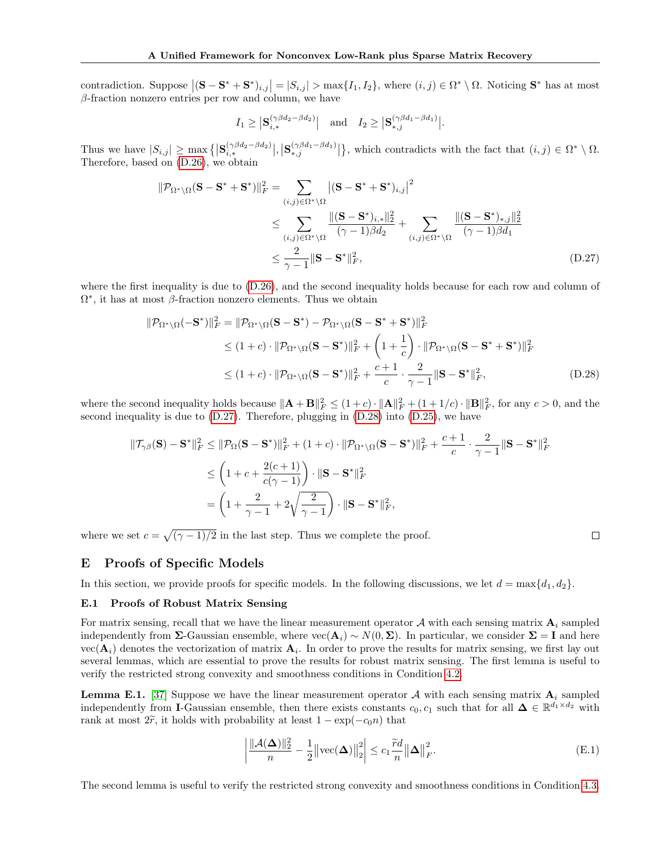contradiction. Suppose  $|(\mathbf{S}-\mathbf{S}^*+\mathbf{S}^*)_{i,j}|=|S_{i,j}|>\max\{I_1,I_2\}$ , where  $(i,j)\in\Omega^*\setminus\Omega$ . Noticing  $\mathbf{S}^*$  has at most  $\beta$ -fraction nonzero entries per row and column, we have

$$
I_1 \geq |\mathbf{S}_{i,*}^{(\gamma\beta d_2 - \beta d_2)}| \quad \text{and} \quad I_2 \geq |\mathbf{S}_{*,j}^{(\gamma\beta d_1 - \beta d_1)}|.
$$

Thus we have  $|S_{i,j}| \geq \max_{i} \{|\mathbf{S}_{i,*}^{(\gamma \beta d_2 - \beta d_2)}|, |\mathbf{S}_{*,j}^{(\gamma \beta d_1 - \beta d_1)}|\}$ , which contradicts with the fact that  $(i,j) \in \Omega^* \setminus \Omega$ . Therefore, based on (D.26), we obtain

$$
\|\mathcal{P}_{\Omega^*\setminus\Omega}(\mathbf{S}-\mathbf{S}^*+\mathbf{S}^*)\|_F^2 = \sum_{(i,j)\in\Omega^*\setminus\Omega} \left| (\mathbf{S}-\mathbf{S}^*+\mathbf{S}^*)_{i,j} \right|^2
$$
  
\n
$$
\leq \sum_{(i,j)\in\Omega^*\setminus\Omega} \frac{\|(\mathbf{S}-\mathbf{S}^*)_{i,*}\|_2^2}{(\gamma-1)\beta d_2} + \sum_{(i,j)\in\Omega^*\setminus\Omega} \frac{\|(\mathbf{S}-\mathbf{S}^*)_{*,j}\|_2^2}{(\gamma-1)\beta d_1}
$$
  
\n
$$
\leq \frac{2}{\gamma-1} \|\mathbf{S}-\mathbf{S}^*\|_F^2, \tag{D.27}
$$

where the first inequality is due to (D.26), and the second inequality holds because for each row and column of  $\Omega^*$ , it has at most  $\beta$ -fraction nonzero elements. Thus we obtain

$$
\|\mathcal{P}_{\Omega^*\backslash\Omega}(-\mathbf{S}^*)\|_F^2 = \|\mathcal{P}_{\Omega^*\backslash\Omega}(\mathbf{S}-\mathbf{S}^*) - \mathcal{P}_{\Omega^*\backslash\Omega}(\mathbf{S}-\mathbf{S}^*+\mathbf{S}^*)\|_F^2
$$
  
\n
$$
\leq (1+c) \cdot \|\mathcal{P}_{\Omega^*\backslash\Omega}(\mathbf{S}-\mathbf{S}^*)\|_F^2 + \left(1+\frac{1}{c}\right) \cdot \|\mathcal{P}_{\Omega^*\backslash\Omega}(\mathbf{S}-\mathbf{S}^*+\mathbf{S}^*)\|_F^2
$$
  
\n
$$
\leq (1+c) \cdot \|\mathcal{P}_{\Omega^*\backslash\Omega}(\mathbf{S}-\mathbf{S}^*)\|_F^2 + \frac{c+1}{c} \cdot \frac{2}{\gamma-1} \|\mathbf{S}-\mathbf{S}^*\|_F^2, \tag{D.28}
$$

where the second inequality holds because  $\|\mathbf{A} + \mathbf{B}\|_F^2 \leq (1+c) \cdot \|\mathbf{A}\|_F^2 + (1+1/c) \cdot \|\mathbf{B}\|_F^2$ , for any  $c > 0$ , and the second inequality is due to (D.27). Therefore, plugging in (D.28) into (D.25), we have

$$
\begin{split} \|\mathcal{T}_{\gamma\beta}(\mathbf{S}) - \mathbf{S}^*\|_F^2 &\leq \|\mathcal{P}_{\Omega}(\mathbf{S} - \mathbf{S}^*)\|_F^2 + (1 + c) \cdot \|\mathcal{P}_{\Omega^*\backslash\Omega}(\mathbf{S} - \mathbf{S}^*)\|_F^2 + \frac{c+1}{c} \cdot \frac{2}{\gamma - 1} \|\mathbf{S} - \mathbf{S}^*\|_F^2 \\ &\leq \left(1 + c + \frac{2(c+1)}{c(\gamma - 1)}\right) \cdot \|\mathbf{S} - \mathbf{S}^*\|_F^2 \\ &= \left(1 + \frac{2}{\gamma - 1} + 2\sqrt{\frac{2}{\gamma - 1}}\right) \cdot \|\mathbf{S} - \mathbf{S}^*\|_F^2, \end{split}
$$

where we set  $c = \sqrt{(\gamma - 1)/2}$  in the last step. Thus we complete the proof.

# E Proofs of Specific Models

In this section, we provide proofs for specific models. In the following discussions, we let  $d = \max\{d_1, d_2\}$ .

### E.1 Proofs of Robust Matrix Sensing

For matrix sensing, recall that we have the linear measurement operator A with each sensing matrix  $A_i$  sampled independently from  $\Sigma$ -Gaussian ensemble, where  $\text{vec}(\mathbf{A}_i) \sim N(0, \Sigma)$ . In particular, we consider  $\Sigma = \mathbf{I}$  and here  $vec(\mathbf{A}_i)$  denotes the vectorization of matrix  $\mathbf{A}_i$ . In order to prove the results for matrix sensing, we first lay out several lemmas, which are essential to prove the results for robust matrix sensing. The first lemma is useful to verify the restricted strong convexity and smoothness conditions in Condition 4.2.

**Lemma E.1.** [37] Suppose we have the linear measurement operator  $A$  with each sensing matrix  $A_i$  sampled independently from I-Gaussian ensemble, then there exists constants  $c_0, c_1$  such that for all  $\Delta \in \mathbb{R}^{d_1 \times d_2}$  with rank at most  $2\tilde{r}$ , it holds with probability at least  $1 - \exp(-c_0n)$  that

$$
\left| \frac{\|\mathcal{A}(\boldsymbol{\Delta})\|_2^2}{n} - \frac{1}{2} \left| \text{vec}(\boldsymbol{\Delta}) \right|_2^2 \right| \le c_1 \frac{\widetilde{r}d}{n} \|\boldsymbol{\Delta}\|_F^2.
$$
 (E.1)

 $\Box$ 

The second lemma is useful to verify the restricted strong convexity and smoothness conditions in Condition 4.3.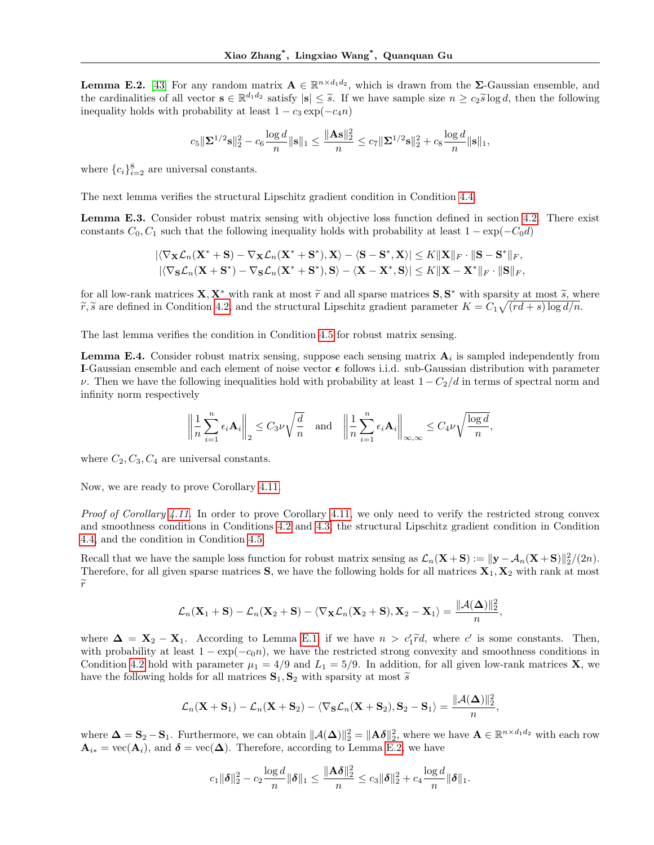**Lemma E.2.** [43] For any random matrix  $A \in \mathbb{R}^{n \times d_1 d_2}$ , which is drawn from the  $\Sigma$ -Gaussian ensemble, and the cardinalities of all vector  $\mathbf{s} \in \mathbb{R}^{d_1 d_2}$  satisfy  $|\mathbf{s}| \leq \tilde{s}$ . If we have sample size  $n \geq c_2 \tilde{s} \log d$ , then the following inequality holds with probability at loss 1, as small  $\tilde{s}$  and inequality holds with probability at least  $1 - c_3 \exp(-c_4 n)$ 

$$
c_5\|\boldsymbol{\Sigma}^{1/2}\mathbf{s}\|_2^2 - c_6\frac{\log d}{n}\|\mathbf{s}\|_1 \leq \frac{\|\mathbf{A}\mathbf{s}\|_2^2}{n} \leq c_7\|\boldsymbol{\Sigma}^{1/2}\mathbf{s}\|_2^2 + c_8\frac{\log d}{n}\|\mathbf{s}\|_1,
$$

where  ${c_i}_{i=2}^8$  are universal constants.

The next lemma verifies the structural Lipschitz gradient condition in Condition 4.4.

Lemma E.3. Consider robust matrix sensing with objective loss function defined in section 4.2. There exist constants  $C_0, C_1$  such that the following inequality holds with probability at least  $1 - \exp(-C_0 d)$ 

$$
\begin{aligned} & |\langle \nabla_{\mathbf{X}} \mathcal{L}_n(\mathbf{X}^*+\mathbf{S})-\nabla_{\mathbf{X}} \mathcal{L}_n(\mathbf{X}^*+\mathbf{S}^*),\mathbf{X}\rangle-\langle \mathbf{S}-\mathbf{S}^*,\mathbf{X}\rangle| \leq K\|\mathbf{X}\|_F\cdot\|\mathbf{S}-\mathbf{S}^*\|_F,\\ & |\langle \nabla_{\mathbf{S}} \mathcal{L}_n(\mathbf{X}+\mathbf{S}^*)-\nabla_{\mathbf{S}} \mathcal{L}_n(\mathbf{X}^*+\mathbf{S}^*),\mathbf{S}\rangle-\langle \mathbf{X}-\mathbf{X}^*,\mathbf{S}\rangle| \leq K\|\mathbf{X}-\mathbf{X}^*\|_F\cdot\|\mathbf{S}\|_F, \end{aligned}
$$

for all low-rank matrices  $\mathbf{X}, \mathbf{X}^*$  with rank at most  $\tilde{r}$  and all sparse matrices  $\mathbf{S}, \mathbf{S}^*$  with sparsity at most  $\tilde{s}$ , where  $\tilde{r}$ ,  $\tilde{s}$  are defined in Condition 4.2, and the structural Linsch  $\widetilde{r}, \widetilde{s}$  are defined in Condition 4.2, and the structural Lipschitz gradient parameter  $K = C_1 \sqrt{(rd+s)\log d/n}$ .

The last lemma verifies the condition in Condition 4.5 for robust matrix sensing.

**Lemma E.4.** Consider robust matrix sensing, suppose each sensing matrix  $A_i$  is sampled independently from I-Gaussian ensemble and each element of noise vector  $\epsilon$  follows i.i.d. sub-Gaussian distribution with parameter v. Then we have the following inequalities hold with probability at least  $1 - C_2/d$  in terms of spectral norm and infinity norm respectively

$$
\left\|\frac{1}{n}\sum_{i=1}^n\epsilon_i\mathbf A_i\right\|_2\leq C_3\nu\sqrt\frac{d}{n}\quad\text{and}\quad\left\|\frac{1}{n}\sum_{i=1}^n\epsilon_i\mathbf A_i\right\|_{\infty,\infty}\leq C_4\nu\sqrt{\frac{\log d}{n}},
$$

where  $C_2, C_3, C_4$  are universal constants.

Now, we are ready to prove Corollary 4.11.

Proof of Corollary 4.11. In order to prove Corollary 4.11, we only need to verify the restricted strong convex and smoothness conditions in Conditions 4.2 and 4.3, the structural Lipschitz gradient condition in Condition 4.4, and the condition in Condition 4.5.

Recall that we have the sample loss function for robust matrix sensing as  $\mathcal{L}_n(\mathbf{X} + \mathbf{S}) := ||\mathbf{y} - \mathcal{A}_n(\mathbf{X} + \mathbf{S})||_2^2/(2n)$ . Therefore, for all given sparse matrices  $S$ , we have the following holds for all matrices  $X_1, X_2$  with rank at most  $\widetilde{r}$ 

$$
\mathcal{L}_n(\mathbf{X}_1 + \mathbf{S}) - \mathcal{L}_n(\mathbf{X}_2 + \mathbf{S}) - \langle \nabla_{\mathbf{X}} \mathcal{L}_n(\mathbf{X}_2 + \mathbf{S}), \mathbf{X}_2 - \mathbf{X}_1 \rangle = \frac{\|\mathcal{A}(\boldsymbol{\Delta})\|_2^2}{n},
$$

where  $\Delta = \mathbf{X}_2 - \mathbf{X}_1$ . According to Lemma E.1, if we have  $n > c'_1 \tilde{r} d$ , where c' is some constants. Then, with probability at least  $1 - \exp(-c_0 n)$ , we have the restricted strong convexity and smoothness conditions in Condition 4.2 hold with parameter  $\mu_1 = 4/9$  and  $L_1 = 5/9$ . In addition, for all given low-rank matrices **X**, we have the following holds for all matrices  $S_1, S_2$  with sparsity at most  $\tilde{s}$ 

$$
\mathcal{L}_n(\mathbf{X} + \mathbf{S}_1) - \mathcal{L}_n(\mathbf{X} + \mathbf{S}_2) - \langle \nabla_{\mathbf{S}} \mathcal{L}_n(\mathbf{X} + \mathbf{S}_2), \mathbf{S}_2 - \mathbf{S}_1 \rangle = \frac{\|\mathcal{A}(\boldsymbol{\Delta})\|_2^2}{n},
$$

where  $\mathbf{\Delta} = \mathbf{S}_2 - \mathbf{S}_1$ . Furthermore, we can obtain  $\|\mathcal{A}(\mathbf{\Delta})\|_2^2 = \|\mathbf{A}\boldsymbol{\delta}\|_2^2$ , where we have  $\mathbf{A} \in \mathbb{R}^{n \times d_1 d_2}$  with each row  $\mathbf{A}_{i*} = \text{vec}(\mathbf{A}_i)$ , and  $\boldsymbol{\delta} = \text{vec}(\boldsymbol{\Delta})$ . Therefore, according to Lemma E.2, we have

$$
c_1\|\boldsymbol{\delta}\|_2^2 - c_2\frac{\log d}{n}\|\boldsymbol{\delta}\|_1 \le \frac{\|\mathbf{A}\boldsymbol{\delta}\|_2^2}{n} \le c_3\|\boldsymbol{\delta}\|_2^2 + c_4\frac{\log d}{n}\|\boldsymbol{\delta}\|_1.
$$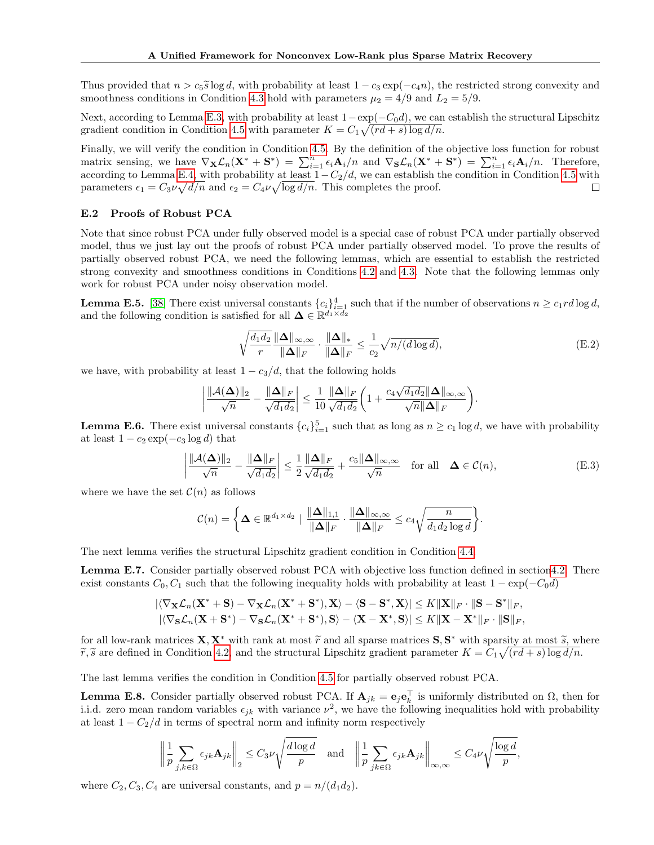Thus provided that  $n > c_5 \tilde{s} \log d$ , with probability at least  $1 - c_3 \exp(-c_4 n)$ , the restricted strong convexity and smoothness conditions in Condition 4.3 hold with parameters  $\mu_2 = 4/9$  and  $L_2 = 5/9$ .

Next, according to Lemma E.3, with probability at least  $1-\exp(-C_0d)$ , we can establish the structural Lipschitz gradient condition in Condition 4.5 with parameter  $K = C_1 \sqrt{(rd+s)\log d/n}$ .

Finally, we will verify the condition in Condition 4.5. By the definition of the objective loss function for robust matrix sensing, we have  $\nabla_{\mathbf{X}} \mathcal{L}_n(\mathbf{X}^* + \mathbf{S}^*) = \sum_{i=1}^n \epsilon_i \mathbf{A}_i/n$  and  $\nabla_{\mathbf{S}} \mathcal{L}_n(\mathbf{X}^* + \mathbf{S}^*) = \sum_{i=1}^n \epsilon_i \mathbf{A}_i/n$ . Therefore, according to Lemma E.4, with probability at least  $1-C_2/d$ , we can establish the condition in Condition 4.5 with parameters  $\epsilon_1 = C_3 \nu \sqrt{d/n}$  and  $\epsilon_2 = C_4 \nu \sqrt{\log d/n}$ . This completes the proof.  $\Box$ 

#### E.2 Proofs of Robust PCA

Note that since robust PCA under fully observed model is a special case of robust PCA under partially observed model, thus we just lay out the proofs of robust PCA under partially observed model. To prove the results of partially observed robust PCA, we need the following lemmas, which are essential to establish the restricted strong convexity and smoothness conditions in Conditions 4.2 and 4.3. Note that the following lemmas only work for robust PCA under noisy observation model.

**Lemma E.5.** [38] There exist universal constants  ${c_i}_{i=1}^4$  such that if the number of observations  $n \ge c_1 r d \log d$ , and the following condition is satisfied for all  $\Delta \in \mathbb{R}^{d_1 \times d_2}$ 

$$
\sqrt{\frac{d_1 d_2}{r}} \frac{\|\mathbf{\Delta}\|_{\infty,\infty}}{\|\mathbf{\Delta}\|_F} \cdot \frac{\|\mathbf{\Delta}\|_*}{\|\mathbf{\Delta}\|_F} \le \frac{1}{c_2} \sqrt{n/(d \log d)},\tag{E.2}
$$

we have, with probability at least  $1 - c_3/d$ , that the following holds

$$
\left|\frac{\|\mathcal{A}(\boldsymbol{\Delta})\|_2}{\sqrt{n}} - \frac{\|\boldsymbol{\Delta}\|_F}{\sqrt{d_1d_2}}\right| \leq \frac{1}{10} \frac{\|\boldsymbol{\Delta}\|_F}{\sqrt{d_1d_2}} \bigg(1 + \frac{c_4\sqrt{d_1d_2}\|\boldsymbol{\Delta}\|_{\infty,\infty}}{\sqrt{n}\|\boldsymbol{\Delta}\|_F}\bigg).
$$

**Lemma E.6.** There exist universal constants  ${c_i}_{i=1}^5$  such that as long as  $n \ge c_1 \log d$ , we have with probability at least  $1 - c_2 \exp(-c_3 \log d)$  that

$$
\left| \frac{\|\mathcal{A}(\boldsymbol{\Delta})\|_2}{\sqrt{n}} - \frac{\|\boldsymbol{\Delta}\|_F}{\sqrt{d_1 d_2}} \right| \le \frac{1}{2} \frac{\|\boldsymbol{\Delta}\|_F}{\sqrt{d_1 d_2}} + \frac{c_5 \|\boldsymbol{\Delta}\|_{\infty, \infty}}{\sqrt{n}} \quad \text{for all} \quad \boldsymbol{\Delta} \in \mathcal{C}(n), \tag{E.3}
$$

where we have the set  $\mathcal{C}(n)$  as follows

$$
\mathcal{C}(n) = \left\{ \mathbf{\Delta} \in \mathbb{R}^{d_1 \times d_2} \mid \frac{\|\mathbf{\Delta}\|_{1,1}}{\|\mathbf{\Delta}\|_F} \cdot \frac{\|\mathbf{\Delta}\|_{\infty,\infty}}{\|\mathbf{\Delta}\|_F} \leq c_4 \sqrt{\frac{n}{d_1 d_2 \log d}} \right\}.
$$

The next lemma verifies the structural Lipschitz gradient condition in Condition 4.4.

Lemma E.7. Consider partially observed robust PCA with objective loss function defined in section4.2. There exist constants  $C_0, C_1$  such that the following inequality holds with probability at least  $1 - \exp(-C_0 d)$ 

$$
\begin{aligned} &|\langle\nabla_{\mathbf{X}}\mathcal{L}_n(\mathbf{X}^*+\mathbf{S})-\nabla_{\mathbf{X}}\mathcal{L}_n(\mathbf{X}^*+\mathbf{S}^*),\mathbf{X}\rangle-\langle\mathbf{S}-\mathbf{S}^*,\mathbf{X}\rangle|\leq K\|\mathbf{X}\|_F\cdot\|\mathbf{S}-\mathbf{S}^*\|_F,\\ &|\langle\nabla_{\mathbf{S}}\mathcal{L}_n(\mathbf{X}+\mathbf{S}^*)-\nabla_{\mathbf{S}}\mathcal{L}_n(\mathbf{X}^*+\mathbf{S}^*),\mathbf{S}\rangle-\langle\mathbf{X}-\mathbf{X}^*,\mathbf{S}\rangle|\leq K\|\mathbf{X}-\mathbf{X}^*\|_F\cdot\|\mathbf{S}\|_F, \end{aligned}
$$

for all low-rank matrices  $\mathbf{X}, \mathbf{X}^*$  with rank at most  $\tilde{r}$  and all sparse matrices  $\mathbf{S}, \mathbf{S}^*$  with sparsity at most  $\tilde{s}$ , where  $\tilde{s}$  are defined in Condition 4.2, and the structural Lincobitz gradie  $\widetilde{r}, \widetilde{s}$  are defined in Condition 4.2, and the structural Lipschitz gradient parameter  $K = C_1 \sqrt{(rd+s)\log d/n}$ .

The last lemma verifies the condition in Condition 4.5 for partially observed robust PCA.

**Lemma E.8.** Consider partially observed robust PCA. If  $\mathbf{A}_{jk} = \mathbf{e}_j \mathbf{e}_k^{\top}$  is uniformly distributed on  $\Omega$ , then for i.i.d. zero mean random variables  $\epsilon_{jk}$  with variance  $\nu^2$ , we have the following inequalities hold with probability at least  $1 - C_2/d$  in terms of spectral norm and infinity norm respectively

$$
\left\|\frac{1}{p}\sum_{j,k\in\Omega}\epsilon_{jk}\mathbf{A}_{jk}\right\|_2 \leq C_3\nu\sqrt{\frac{d\log d}{p}} \quad\text{and}\quad \left\|\frac{1}{p}\sum_{jk\in\Omega}\epsilon_{jk}\mathbf{A}_{jk}\right\|_{\infty,\infty} \leq C_4\nu\sqrt{\frac{\log d}{p}},
$$

where  $C_2, C_3, C_4$  are universal constants, and  $p = n/(d_1 d_2)$ .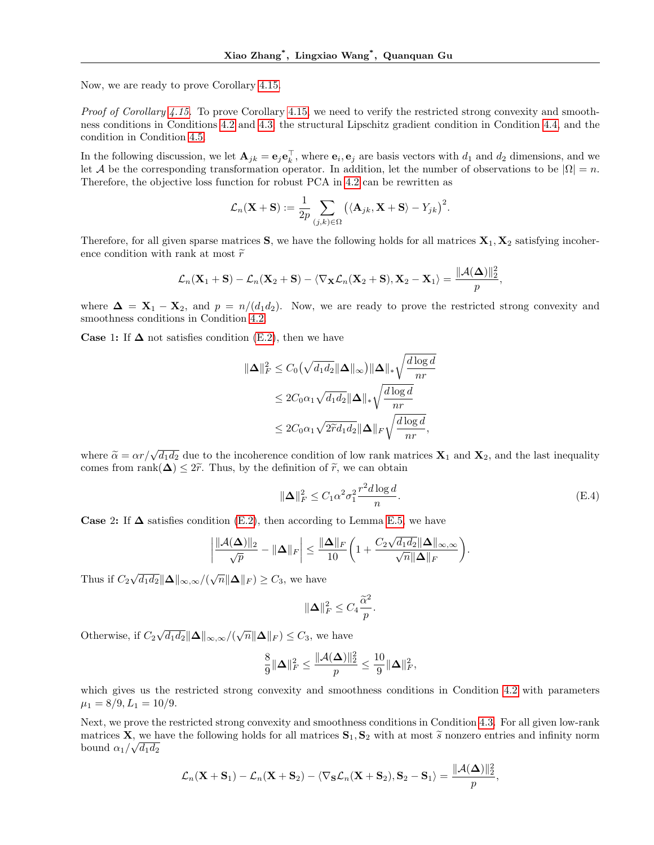Now, we are ready to prove Corollary 4.15.

Proof of Corollary 4.15. To prove Corollary 4.15, we need to verify the restricted strong convexity and smoothness conditions in Conditions 4.2 and 4.3, the structural Lipschitz gradient condition in Condition 4.4, and the condition in Condition 4.5.

In the following discussion, we let  $\mathbf{A}_{jk} = \mathbf{e}_j \mathbf{e}_k^{\top}$ , where  $\mathbf{e}_i, \mathbf{e}_j$  are basis vectors with  $d_1$  and  $d_2$  dimensions, and we let A be the corresponding transformation operator. In addition, let the number of observations to be  $|\Omega| = n$ . Therefore, the objective loss function for robust PCA in 4.2 can be rewritten as

$$
\mathcal{L}_n(\mathbf{X} + \mathbf{S}) := \frac{1}{2p} \sum_{(j,k) \in \Omega} \big( \langle \mathbf{A}_{jk}, \mathbf{X} + \mathbf{S} \rangle - Y_{jk} \big)^2.
$$

Therefore, for all given sparse matrices  $S$ , we have the following holds for all matrices  $X_1, X_2$  satisfying incoherence condition with rank at most  $\widetilde{r}$ 

$$
\mathcal{L}_n(\mathbf{X}_1 + \mathbf{S}) - \mathcal{L}_n(\mathbf{X}_2 + \mathbf{S}) - \langle \nabla_{\mathbf{X}} \mathcal{L}_n(\mathbf{X}_2 + \mathbf{S}), \mathbf{X}_2 - \mathbf{X}_1 \rangle = \frac{\|\mathcal{A}(\boldsymbol{\Delta})\|_2^2}{p},
$$

where  $\Delta = X_1 - X_2$ , and  $p = n/(d_1 d_2)$ . Now, we are ready to prove the restricted strong convexity and smoothness conditions in Condition 4.2.

**Case 1:** If  $\Delta$  not satisfies condition (E.2), then we have

$$
\begin{aligned} \|\mathbf{\Delta}\|_{F}^{2} &\leq C_{0} \left(\sqrt{d_{1}d_{2}} \|\mathbf{\Delta}\|_{\infty}\right) \|\mathbf{\Delta}\|_{*} \sqrt{\frac{d\log d}{nr}} \\ &\leq 2C_{0} \alpha_{1} \sqrt{d_{1}d_{2}} \|\mathbf{\Delta}\|_{*} \sqrt{\frac{d\log d}{nr}} \\ &\leq 2C_{0} \alpha_{1} \sqrt{2\widetilde{r}d_{1}d_{2}} \|\mathbf{\Delta}\|_{F} \sqrt{\frac{d\log d}{nr}}, \end{aligned}
$$

where  $\tilde{\alpha} = \alpha r / \sqrt{d_1 d_2}$  due to the incoherence condition of low rank matrices  $\mathbf{X}_1$  and  $\mathbf{X}_2$ , and the last inequality comes from rank  $\mathbf{A} \leq 2\tilde{\alpha}$ . Thus, by the definition of  $\tilde{\alpha}$ , we can obtain comes from rank $(\Delta) \leq 2\tilde{r}$ . Thus, by the definition of  $\tilde{r}$ , we can obtain

$$
\|\mathbf{\Delta}\|_F^2 \le C_1 \alpha^2 \sigma_1^2 \frac{r^2 d \log d}{n}.\tag{E.4}
$$

Case 2: If  $\Delta$  satisfies condition (E.2), then according to Lemma E.5, we have

$$
\left|\frac{\|\mathcal{A}(\boldsymbol{\Delta})\|_2}{\sqrt{p}} - \|\boldsymbol{\Delta}\|_F\right| \le \frac{\|\boldsymbol{\Delta}\|_F}{10}\bigg(1 + \frac{C_2\sqrt{d_1d_2}\|\boldsymbol{\Delta}\|_{\infty,\infty}}{\sqrt{n}\|\boldsymbol{\Delta}\|_F}\bigg).
$$

Thus if  $C_2\sqrt{d_1d_2}\|\mathbf{\Delta}\|_{\infty,\infty}/(\sqrt{n}\|\mathbf{\Delta}\|_F)\geq C_3$ , we have

$$
\|\Delta\|_F^2 \le C_4 \frac{\widetilde{\alpha}^2}{p}.
$$

Otherwise, if  $C_2\sqrt{d_1d_2}\|\mathbf{\Delta}\|_{\infty,\infty}/(\sqrt{n}\|\mathbf{\Delta}\|_F) \leq C_3$ , we have

$$
\frac{8}{9}\|\boldsymbol\Delta\|_F^2\leq \frac{\|\mathcal{A}(\boldsymbol\Delta)\|_2^2}{p}\leq \frac{10}{9}\|\boldsymbol\Delta\|_F^2,
$$

which gives us the restricted strong convexity and smoothness conditions in Condition 4.2 with parameters  $\mu_1 = 8/9, L_1 = 10/9.$ 

Next, we prove the restricted strong convexity and smoothness conditions in Condition 4.3. For all given low-rank matrices **X**, we have the following holds for all matrices  $\mathbf{S}_1, \mathbf{S}_2$  with at most  $\tilde{s}$  nonzero entries and infinity norm bound  $\alpha_1/\sqrt{d_1d_2}$ 

$$
\mathcal{L}_n(\mathbf{X} + \mathbf{S}_1) - \mathcal{L}_n(\mathbf{X} + \mathbf{S}_2) - \langle \nabla_{\mathbf{S}} \mathcal{L}_n(\mathbf{X} + \mathbf{S}_2), \mathbf{S}_2 - \mathbf{S}_1 \rangle = \frac{\|\mathcal{A}(\boldsymbol{\Delta})\|_2^2}{p},
$$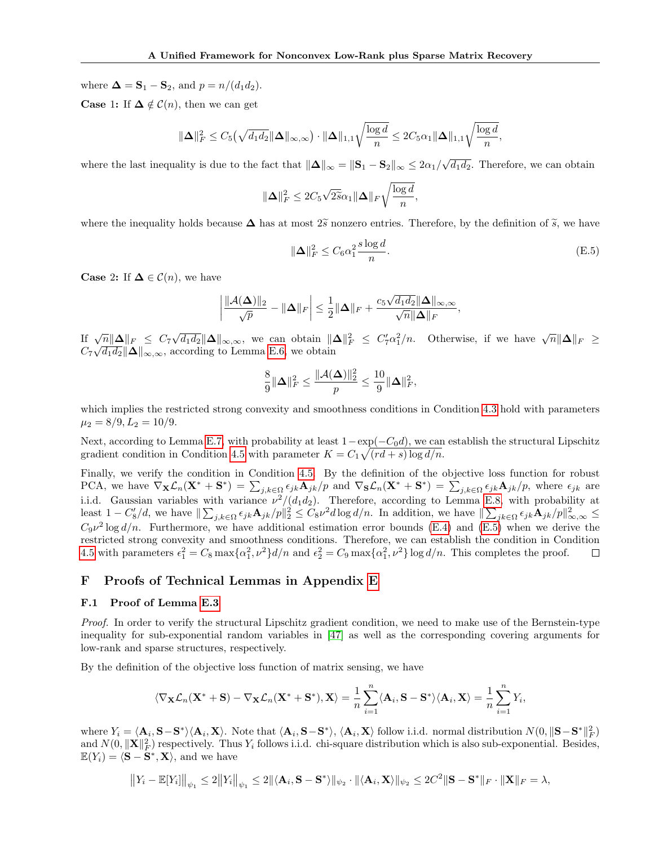where  $\mathbf{\Delta} = \mathbf{S}_1 - \mathbf{S}_2$ , and  $p = n/(d_1 d_2)$ .

**Case 1:** If  $\Delta \notin \mathcal{C}(n)$ , then we can get

$$
\|\mathbf{\Delta}\|_{F}^2 \leq C_5\left(\sqrt{d_1d_2}\|\mathbf{\Delta}\|_{\infty,\infty}\right)\cdot \|\mathbf{\Delta}\|_{1,1}\sqrt{\frac{\log d}{n}} \leq 2C_5\alpha_1\|\mathbf{\Delta}\|_{1,1}\sqrt{\frac{\log d}{n}},
$$

where the last inequality is due to the fact that  $\|\Delta\|_{\infty} = \|S_1 - S_2\|_{\infty} \leq 2\alpha_1/\sqrt{d_1d_2}$ . Therefore, we can obtain

$$
\|\mathbf{\Delta}\|_F^2 \le 2C_5\sqrt{2\widetilde{s}}\alpha_1\|\mathbf{\Delta}\|_F\sqrt{\frac{\log d}{n}},
$$

where the inequality holds because  $\Delta$  has at most  $2\tilde{s}$  nonzero entries. Therefore, by the definition of  $\tilde{s}$ , we have

$$
\|\mathbf{\Delta}\|_F^2 \le C_6 \alpha_1^2 \frac{s \log d}{n}.\tag{E.5}
$$

**Case 2:** If  $\Delta \in \mathcal{C}(n)$ , we have

$$
\left|\frac{\|\mathcal{A}(\boldsymbol{\Delta})\|_2}{\sqrt{p}} - \|\boldsymbol{\Delta}\|_F\right| \leq \frac{1}{2}\|\boldsymbol{\Delta}\|_F + \frac{c_5\sqrt{d_1d_2}\|\boldsymbol{\Delta}\|_{\infty,\infty}}{\sqrt{n}\|\boldsymbol{\Delta}\|_F},
$$

If  $\sqrt{n} \|\Delta\|_F \leq C_7 \sqrt{d_1 d_2} \|\Delta\|_{\infty,\infty}$ , we can obtain  $\|\Delta\|_F^2 \leq C_7' \alpha_1^2/n$ . Otherwise, if we have  $\sqrt{n} \|\Delta\|_F \geq C_7' \sqrt{n} \|\Delta\|_F$  $C_7\sqrt{d_1d_2}\|\mathbf{\Delta}\|_{\infty,\infty}$ , according to Lemma E.6, we obtain

$$
\frac{8}{9}\|\boldsymbol\Delta\|_F^2\leq \frac{\|\mathcal{A}(\boldsymbol\Delta)\|_2^2}{p}\leq \frac{10}{9}\|\boldsymbol\Delta\|_F^2,
$$

which implies the restricted strong convexity and smoothness conditions in Condition 4.3 hold with parameters  $\mu_2 = 8/9, L_2 = 10/9.$ 

Next, according to Lemma E.7, with probability at least  $1-\exp(-C_0d)$ , we can establish the structural Lipschitz gradient condition in Condition 4.5 with parameter  $K = C_1 \sqrt{(rd+s)\log d/n}$ .

Finally, we verify the condition in Condition 4.5. By the definition of the objective loss function for robust PCA, we have  $\nabla_{\mathbf{X}}\mathcal{L}_n(\mathbf{X}^* + \mathbf{S}^*) = \sum_{j,k\in\Omega} \epsilon_{jk}\mathbf{A}_{jk}/p$  and  $\nabla_{\mathbf{S}}\mathcal{L}_n(\mathbf{X}^* + \mathbf{S}^*) = \sum_{j,k\in\Omega} \epsilon_{jk}\mathbf{A}_{jk}/p$ , where  $\epsilon_{jk}$  are i.i.d. Gaussian variables with variance  $\nu^2/(d_1d_2)$ . Therefore, according to Lemma E.8, with probability at least  $1 - C_8'/d$ , we have  $\|\sum_{j,k\in\Omega} \epsilon_{jk} \mathbf{A}_{jk}/p\|_2^2 \leq C_8\nu^2 d \log d/n$ . In addition, we have  $\|\sum_{jk\in\Omega} \epsilon_{jk} \mathbf{A}_{jk}/p\|_{\infty,\infty}^2 \leq C_8\nu^2 d \log d/n$ .  $C_9\nu^2$  log  $d/n$ . Furthermore, we have additional estimation error bounds (E.4) and (E.5) when we derive the restricted strong convexity and smoothness conditions. Therefore, we can establish the condition in Condition 4.5 with parameters  $\epsilon_1^2 = C_8 \max{\{\alpha_1^2, \nu^2\}} d/n$  and  $\epsilon_2^2 = C_9 \max{\{\alpha_1^2, \nu^2\}} \log d/n$ . This completes the proof. □

# F Proofs of Technical Lemmas in Appendix E

#### F.1 Proof of Lemma E.3

Proof. In order to verify the structural Lipschitz gradient condition, we need to make use of the Bernstein-type inequality for sub-exponential random variables in [47] as well as the corresponding covering arguments for low-rank and sparse structures, respectively.

By the definition of the objective loss function of matrix sensing, we have

$$
\langle\nabla_{\mathbf{X}}\mathcal{L}_n(\mathbf{X}^*+\mathbf{S})-\nabla_{\mathbf{X}}\mathcal{L}_n(\mathbf{X}^*+\mathbf{S}^*),\mathbf{X}\rangle=\frac{1}{n}\sum_{i=1}^n\langle\mathbf{A}_i,\mathbf{S}-\mathbf{S}^*\rangle\langle\mathbf{A}_i,\mathbf{X}\rangle=\frac{1}{n}\sum_{i=1}^nY_i,
$$

where  $Y_i = \langle \mathbf{A}_i, \mathbf{S}-\mathbf{S}^* \rangle \langle \mathbf{A}_i, \mathbf{X} \rangle$ . Note that  $\langle \mathbf{A}_i, \mathbf{S}-\mathbf{S}^* \rangle$ ,  $\langle \mathbf{A}_i, \mathbf{X} \rangle$  follow i.i.d. normal distribution  $N(0, \|\mathbf{S}-\mathbf{S}^*\|_F^2)$ and  $N(0, ||\mathbf{X}||_F^2)$  respectively. Thus  $Y_i$  follows i.i.d. chi-square distribution which is also sub-exponential. Besides,  $\mathbb{E}(Y_i) = \langle \mathbf{S} - \mathbf{S}^*, \mathbf{X} \rangle$ , and we have

$$
||Y_i - \mathbb{E}[Y_i]||_{\psi_1} \le 2||Y_i||_{\psi_1} \le 2||\langle \mathbf{A}_i, \mathbf{S} - \mathbf{S}^* \rangle||_{\psi_2} \cdot ||\langle \mathbf{A}_i, \mathbf{X} \rangle||_{\psi_2} \le 2C^2 ||\mathbf{S} - \mathbf{S}^*||_F \cdot ||\mathbf{X}||_F = \lambda,
$$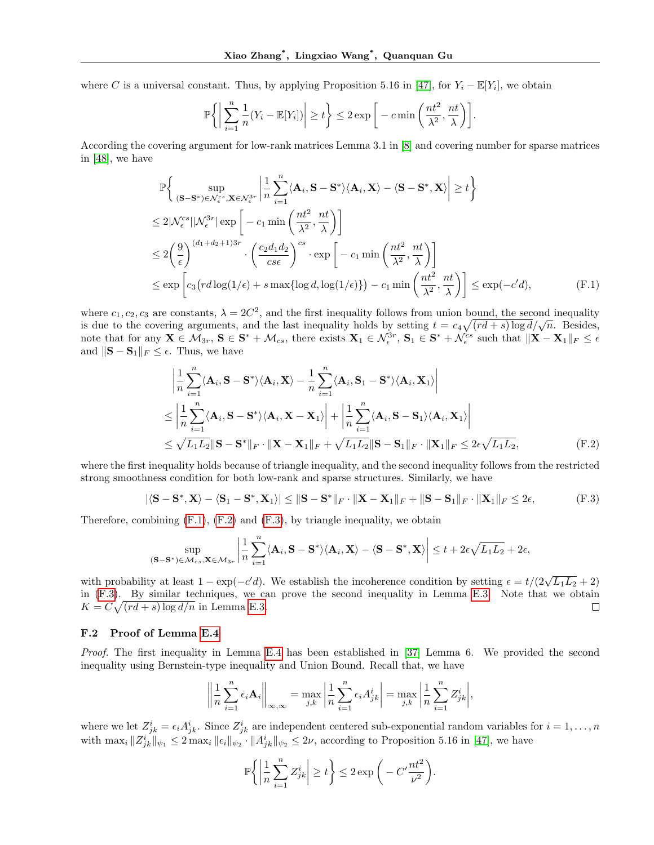where C is a universal constant. Thus, by applying Proposition 5.16 in [47], for  $Y_i - \mathbb{E}[Y_i]$ , we obtain

$$
\mathbb{P}\bigg\{\bigg|\sum_{i=1}^n\frac{1}{n}(Y_i-\mathbb{E}[Y_i])\bigg|\geq t\bigg\}\leq 2\exp\bigg[-c\min\bigg(\frac{nt^2}{\lambda^2},\frac{nt}{\lambda}\bigg)\bigg].
$$

According the covering argument for low-rank matrices Lemma 3.1 in [8] and covering number for sparse matrices in [48], we have

$$
\mathbb{P}\left\{\sup_{(\mathbf{S}-\mathbf{S}^*)\in\mathcal{N}_{\epsilon}^{cs},\mathbf{X}\in\mathcal{N}_{\epsilon}^{3r}}\left|\frac{1}{n}\sum_{i=1}^{n}\langle\mathbf{A}_{i},\mathbf{S}-\mathbf{S}^*\rangle\langle\mathbf{A}_{i},\mathbf{X}\rangle-\langle\mathbf{S}-\mathbf{S}^*,\mathbf{X}\rangle\right|\geq t\right\}
$$
\n
$$
\leq 2|\mathcal{N}_{\epsilon}^{cs}||\mathcal{N}_{\epsilon}^{3r}|\exp\left[-c_{1}\min\left(\frac{nt^{2}}{\lambda^{2}},\frac{nt}{\lambda}\right)\right]
$$
\n
$$
\leq 2\left(\frac{9}{\epsilon}\right)^{(d_{1}+d_{2}+1)3r} \cdot \left(\frac{c_{2}d_{1}d_{2}}{c_{3}\epsilon}\right)^{cs} \cdot \exp\left[-c_{1}\min\left(\frac{nt^{2}}{\lambda^{2}},\frac{nt}{\lambda}\right)\right]
$$
\n
$$
\leq \exp\left[c_{3}\left(\frac{rd\log(1/\epsilon)+s\max\{\log d,\log(1/\epsilon)\}\right)-c_{1}\min\left(\frac{nt^{2}}{\lambda^{2}},\frac{nt}{\lambda}\right)\right] \leq \exp(-c'd),\tag{F.1}
$$

where  $c_1, c_2, c_3$  are constants,  $\lambda = 2C^2$ , and the first inequality follows from union bound, the second inequality where  $c_1, c_2, c_3$  are constants,  $\lambda = 2C$ , and the linst inequality holds by setting  $t = c_4 \sqrt{(rd + s) \log d}/\sqrt{n}$ . Besides, note that for any  $\mathbf{X} \in \mathcal{M}_{3r}$ ,  $\mathbf{S} \in \mathbf{S}^* + \mathcal{M}_{cs}$ , there exists  $\mathbf{X}_1 \in \mathcal{N}_{\epsilon}^{3r}$ ,  $\mathbf{S}_1 \in \mathbf{S}^* + \mathcal{N}_{\epsilon}^{cs}$  such that  $\|\mathbf{X} - \mathbf{X}_1\|_F \leq \epsilon$ and  $\|\mathbf{S} - \mathbf{S}_1\|_F \leq \epsilon$ . Thus, we have

$$
\begin{split}\n&\left|\frac{1}{n}\sum_{i=1}^{n}\langle\mathbf{A}_{i},\mathbf{S}-\mathbf{S}^{*}\rangle\langle\mathbf{A}_{i},\mathbf{X}\rangle-\frac{1}{n}\sum_{i=1}^{n}\langle\mathbf{A}_{i},\mathbf{S}_{1}-\mathbf{S}^{*}\rangle\langle\mathbf{A}_{i},\mathbf{X}_{1}\rangle\right| \\
&\leq\left|\frac{1}{n}\sum_{i=1}^{n}\langle\mathbf{A}_{i},\mathbf{S}-\mathbf{S}^{*}\rangle\langle\mathbf{A}_{i},\mathbf{X}-\mathbf{X}_{1}\rangle\right|+\left|\frac{1}{n}\sum_{i=1}^{n}\langle\mathbf{A}_{i},\mathbf{S}-\mathbf{S}_{1}\rangle\langle\mathbf{A}_{i},\mathbf{X}_{1}\rangle\right| \\
&\leq\sqrt{L_{1}L_{2}}\|\mathbf{S}-\mathbf{S}^{*}\|_{F}\cdot\|\mathbf{X}-\mathbf{X}_{1}\|_{F}+\sqrt{L_{1}L_{2}}\|\mathbf{S}-\mathbf{S}_{1}\|_{F}\cdot\|\mathbf{X}_{1}\|_{F}\leq2\epsilon\sqrt{L_{1}L_{2}},\n\end{split} \tag{F.2}
$$

where the first inequality holds because of triangle inequality, and the second inequality follows from the restricted strong smoothness condition for both low-rank and sparse structures. Similarly, we have

$$
|\langle \mathbf{S} - \mathbf{S}^*, \mathbf{X} \rangle - \langle \mathbf{S}_1 - \mathbf{S}^*, \mathbf{X}_1 \rangle| \le ||\mathbf{S} - \mathbf{S}^*||_F \cdot ||\mathbf{X} - \mathbf{X}_1||_F + ||\mathbf{S} - \mathbf{S}_1||_F \cdot ||\mathbf{X}_1||_F \le 2\epsilon,
$$
 (F.3)

Therefore, combining  $(F.1)$ ,  $(F.2)$  and  $(F.3)$ , by triangle inequality, we obtain

$$
\sup_{(\mathbf{S}-\mathbf{S}^*)\in\mathcal{M}_{cs},\mathbf{X}\in\mathcal{M}_{3r}}\left|\frac{1}{n}\sum_{i=1}^n\langle\mathbf{A}_i,\mathbf{S}-\mathbf{S}^*\rangle\langle\mathbf{A}_i,\mathbf{X}\rangle-\langle\mathbf{S}-\mathbf{S}^*,\mathbf{X}\rangle\right|\leq t+2\epsilon\sqrt{L_1L_2}+2\epsilon,
$$

with probability at least  $1 - \exp(-c'd)$ . We establish the incoherence condition by setting  $\epsilon = t/(2\sqrt{L_1L_2} + 2)$ in (F.3). By similar techniques, we can prove the second inequality in Lemma E.3. Note that we obtain  $K = C\sqrt{(rd+s)\log d/n}$  in Lemma E.3.  $\Box$ 

### F.2 Proof of Lemma E.4

Proof. The first inequality in Lemma E.4 has been established in [37] Lemma 6. We provided the second inequality using Bernstein-type inequality and Union Bound. Recall that, we have

$$
\left\| \frac{1}{n} \sum_{i=1}^n \epsilon_i \mathbf{A}_i \right\|_{\infty, \infty} = \max_{j,k} \left| \frac{1}{n} \sum_{i=1}^n \epsilon_i A_{jk}^i \right| = \max_{j,k} \left| \frac{1}{n} \sum_{i=1}^n Z_{jk}^i \right|,
$$

where we let  $Z^i_{jk} = \epsilon_i A^i_{jk}$ . Since  $Z^i_{jk}$  are independent centered sub-exponential random variables for  $i = 1, \ldots, n$ with  $\max_i ||Z^i_{jk}||_{\psi_1} \leq 2 \max_i ||\epsilon_i||_{\psi_2} \cdot ||A^i_{jk}||_{\psi_2} \leq 2\nu$ , according to Proposition 5.16 in [47], we have

$$
\mathbb{P}\bigg\{\bigg|\frac{1}{n}\sum_{i=1}^n Z_{jk}^i\bigg|\geq t\bigg\}\leq 2\exp\bigg(-C'\frac{nt^2}{\nu^2}\bigg).
$$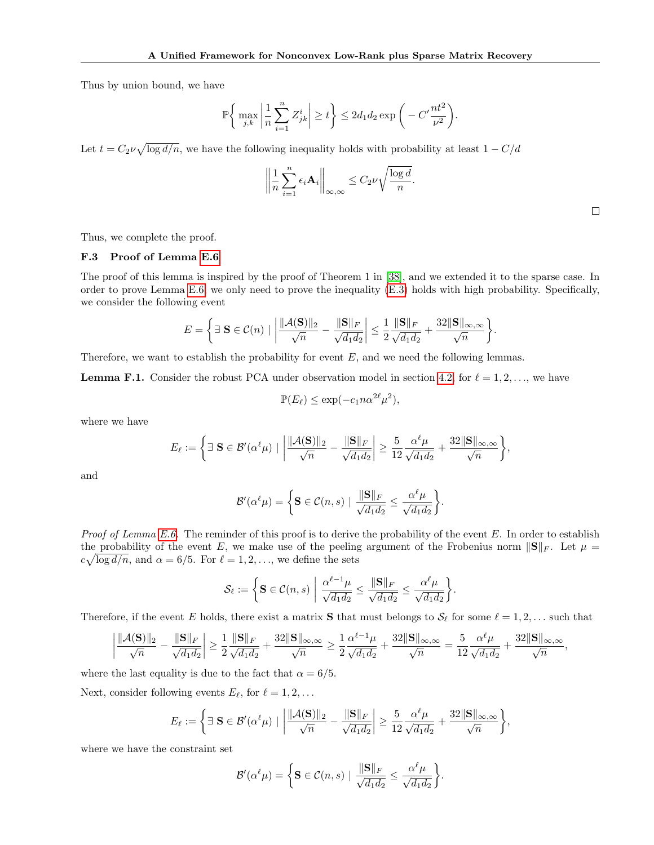Thus by union bound, we have

$$
\mathbb{P}\bigg\{\max_{j,k}\bigg|\frac{1}{n}\sum_{i=1}^nZ^i_{jk}\bigg|\geq t\bigg\}\leq 2d_1d_2\exp\bigg(-C'\frac{nt^2}{\nu^2}\bigg).
$$

Let  $t = C_2 \nu \sqrt{\log d/n}$ , we have the following inequality holds with probability at least  $1 - C/d$ 

$$
\left\|\frac{1}{n}\sum_{i=1}^n\epsilon_i\mathbf{A}_i\right\|_{\infty,\infty}\leq C_2\nu\sqrt{\frac{\log d}{n}}.
$$

 $\Box$ 

Thus, we complete the proof.

## F.3 Proof of Lemma E.6

The proof of this lemma is inspired by the proof of Theorem 1 in [38], and we extended it to the sparse case. In order to prove Lemma E.6, we only need to prove the inequality (E.3) holds with high probability. Specifically, we consider the following event

$$
E = \left\{ \exists \ \mathbf{S} \in \mathcal{C}(n) \mid \left| \frac{\|\mathcal{A}(\mathbf{S})\|_2}{\sqrt{n}} - \frac{\|\mathbf{S}\|_F}{\sqrt{d_1 d_2}} \right| \le \frac{1}{2} \frac{\|\mathbf{S}\|_F}{\sqrt{d_1 d_2}} + \frac{32 \|\mathbf{S}\|_{\infty, \infty}}{\sqrt{n}} \right\}.
$$

Therefore, we want to establish the probability for event  $E$ , and we need the following lemmas.

**Lemma F.1.** Consider the robust PCA under observation model in section 4.2, for  $\ell = 1, 2, \ldots$ , we have

$$
\mathbb{P}(E_{\ell}) \le \exp(-c_1 n \alpha^{2\ell} \mu^2),
$$

where we have

$$
E_{\ell} := \left\{ \exists \ \mathbf{S} \in \mathcal{B}'(\alpha^{\ell}\mu) \mid \left| \frac{\|\mathcal{A}(\mathbf{S})\|_2}{\sqrt{n}} - \frac{\|\mathbf{S}\|_F}{\sqrt{d_1d_2}} \right| \ge \frac{5}{12} \frac{\alpha^{\ell}\mu}{\sqrt{d_1d_2}} + \frac{32\|\mathbf{S}\|_{\infty,\infty}}{\sqrt{n}} \right\},\right\}
$$

and

$$
\mathcal{B}'(\alpha^{\ell}\mu) = \left\{ \mathbf{S} \in \mathcal{C}(n,s) \mid \frac{\|\mathbf{S}\|_F}{\sqrt{d_1 d_2}} \leq \frac{\alpha^{\ell}\mu}{\sqrt{d_1 d_2}} \right\}.
$$

*Proof of Lemma E.6.* The reminder of this proof is to derive the probability of the event  $E$ . In order to establish the probability of the event E, we make use of the peeling argument of the Frobenius norm  $||S||_F$ . Let  $\mu =$  $c\sqrt{\log d/n}$ , and  $\alpha = 6/5$ . For  $\ell = 1, 2, \ldots$ , we define the sets

$$
\mathcal{S}_{\ell} := \left\{ \mathbf{S} \in \mathcal{C}(n, s) \; \middle| \; \frac{\alpha^{\ell-1} \mu}{\sqrt{d_1 d_2}} \leq \frac{\|\mathbf{S}\|_F}{\sqrt{d_1 d_2}} \leq \frac{\alpha^{\ell} \mu}{\sqrt{d_1 d_2}} \right\}.
$$

Therefore, if the event E holds, there exist a matrix **S** that must belongs to  $\mathcal{S}_{\ell}$  for some  $\ell = 1, 2, \ldots$  such that

$$
\left|\frac{\|\mathcal{A}(\mathbf{S})\|_2}{\sqrt{n}} - \frac{\|\mathbf{S}\|_F}{\sqrt{d_1d_2}}\right| \ge \frac{1}{2}\frac{\|\mathbf{S}\|_F}{\sqrt{d_1d_2}} + \frac{32\|\mathbf{S}\|_{\infty,\infty}}{\sqrt{n}} \ge \frac{1}{2}\frac{\alpha^{\ell-1}\mu}{\sqrt{d_1d_2}} + \frac{32\|\mathbf{S}\|_{\infty,\infty}}{\sqrt{n}} = \frac{5}{12}\frac{\alpha^{\ell}\mu}{\sqrt{d_1d_2}} + \frac{32\|\mathbf{S}\|_{\infty,\infty}}{\sqrt{n}},
$$

where the last equality is due to the fact that  $\alpha = 6/5$ .

Next, consider following events  $E_{\ell}$ , for  $\ell = 1, 2, \ldots$ 

$$
E_{\ell} := \left\{ \exists \ \mathbf{S} \in \mathcal{B}'(\alpha^{\ell}\mu) \mid \left| \frac{\|\mathcal{A}(\mathbf{S})\|_2}{\sqrt{n}} - \frac{\|\mathbf{S}\|_F}{\sqrt{d_1d_2}} \right| \ge \frac{5}{12} \frac{\alpha^{\ell}\mu}{\sqrt{d_1d_2}} + \frac{32\|\mathbf{S}\|_{\infty,\infty}}{\sqrt{n}} \right\},\right\}
$$

where we have the constraint set

$$
\mathcal{B}'(\alpha^{\ell}\mu) = \bigg\{\mathbf{S} \in \mathcal{C}(n,s) \mid \frac{\|\mathbf{S}\|_F}{\sqrt{d_1d_2}} \leq \frac{\alpha^{\ell}\mu}{\sqrt{d_1d_2}}\bigg\}.
$$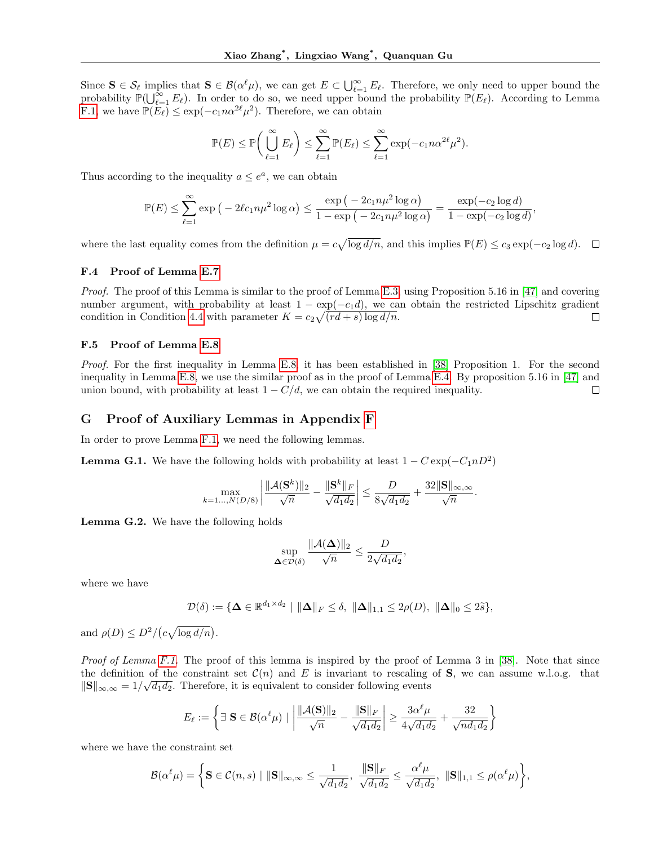Since  $\mathbf{S} \in \mathcal{S}_{\ell}$  implies that  $\mathbf{S} \in \mathcal{B}(\alpha^{\ell}\mu)$ , we can get  $E \subset \bigcup_{\ell=1}^{\infty} E_{\ell}$ . Therefore, we only need to upper bound the probability  $\mathbb{P}(\bigcup_{\ell=1}^{\infty} E_{\ell})$ . In order to do so, we need upper bound the probability  $\mathbb{P}(E_{\ell})$ . According to Lemma F.1, we have  $\mathbb{P}(E_{\ell}) \leq \exp(-c_1 n \alpha^{2\ell} \mu^2)$ . Therefore, we can obtain

$$
\mathbb{P}(E) \le \mathbb{P}\bigg(\bigcup_{\ell=1}^{\infty} E_{\ell}\bigg) \le \sum_{\ell=1}^{\infty} \mathbb{P}(E_{\ell}) \le \sum_{\ell=1}^{\infty} \exp(-c_1 n \alpha^{2\ell} \mu^2).
$$

Thus according to the inequality  $a \leq e^a$ , we can obtain

$$
\mathbb{P}(E) \le \sum_{\ell=1}^{\infty} \exp\left(-2\ell c_1 n \mu^2 \log \alpha\right) \le \frac{\exp\left(-2c_1 n \mu^2 \log \alpha\right)}{1 - \exp\left(-2c_1 n \mu^2 \log \alpha\right)} = \frac{\exp(-c_2 \log d)}{1 - \exp(-c_2 \log d)},
$$

where the last equality comes from the definition  $\mu = c\sqrt{\log d/n}$ , and this implies  $\mathbb{P}(E) \leq c_3 \exp(-c_2 \log d)$ .

### F.4 Proof of Lemma E.7

Proof. The proof of this Lemma is similar to the proof of Lemma E.3, using Proposition 5.16 in [47] and covering number argument, with probability at least  $1 - \exp(-c_1 d)$ , we can obtain the restricted Lipschitz gradient condition in Condition 4.4 with parameter  $K = c_2 \sqrt{(rd + s) \log d/n}$ .  $\Box$ 

### F.5 Proof of Lemma E.8

Proof. For the first inequality in Lemma E.8, it has been established in [38] Proposition 1. For the second inequality in Lemma E.8, we use the similar proof as in the proof of Lemma E.4. By proposition 5.16 in [47] and union bound, with probability at least  $1 - C/d$ , we can obtain the required inequality.  $\Box$ 

## G Proof of Auxiliary Lemmas in Appendix F

In order to prove Lemma F.1, we need the following lemmas.

**Lemma G.1.** We have the following holds with probability at least  $1 - C \exp(-C_1 n D^2)$ 

$$
\max_{k=1...,N(D/8)} \left| \frac{\| \mathcal{A}(\mathbf{S}^k) \|_2}{\sqrt{n}} - \frac{\| \mathbf{S}^k \|_F}{\sqrt{d_1 d_2}} \right| \le \frac{D}{8\sqrt{d_1 d_2}} + \frac{32 \| \mathbf{S} \|_{\infty,\infty}}{\sqrt{n}}.
$$

Lemma G.2. We have the following holds

$$
\sup_{\mathbf{\Delta}\in\mathcal{D}(\delta)}\frac{\|\mathcal{A}(\mathbf{\Delta})\|_2}{\sqrt{n}}\leq \frac{D}{2\sqrt{d_1d_2}},
$$

where we have

$$
\mathcal{D}(\delta) := \{ \boldsymbol{\Delta} \in \mathbb{R}^{d_1 \times d_2} \mid \|\boldsymbol{\Delta}\|_F \leq \delta, \ \|\boldsymbol{\Delta}\|_{1,1} \leq 2\rho(D), \ \|\boldsymbol{\Delta}\|_0 \leq 2\tilde{s} \},
$$

and  $\rho(D) \leq D^2/(c\sqrt{\log d/n}).$ 

Proof of Lemma F.1. The proof of this lemma is inspired by the proof of Lemma 3 in [38]. Note that since the definition of the constraint set  $\mathcal{C}(n)$  and E is invariant to rescaling of **S**, we can assume w.l.o.g. that  $\|\mathbf{S}\|_{\infty,\infty} = 1/\sqrt{d_1 d_2}$ . Therefore, it is equivalent to consider following events

$$
E_{\ell} := \left\{ \exists \ \mathbf{S} \in \mathcal{B}(\alpha^{\ell}\mu) \mid \left| \frac{\|\mathcal{A}(\mathbf{S})\|_2}{\sqrt{n}} - \frac{\|\mathbf{S}\|_F}{\sqrt{d_1 d_2}} \right| \ge \frac{3\alpha^{\ell}\mu}{4\sqrt{d_1 d_2}} + \frac{32}{\sqrt{nd_1 d_2}} \right\}
$$

where we have the constraint set

$$
\mathcal{B}(\alpha^{\ell}\mu) = \left\{\mathbf{S} \in \mathcal{C}(n,s) \mid \|\mathbf{S}\|_{\infty,\infty} \leq \frac{1}{\sqrt{d_1d_2}}, \ \frac{\|\mathbf{S}\|_F}{\sqrt{d_1d_2}} \leq \frac{\alpha^{\ell}\mu}{\sqrt{d_1d_2}}, \ \|\mathbf{S}\|_{1,1} \leq \rho(\alpha^{\ell}\mu)\right\},\
$$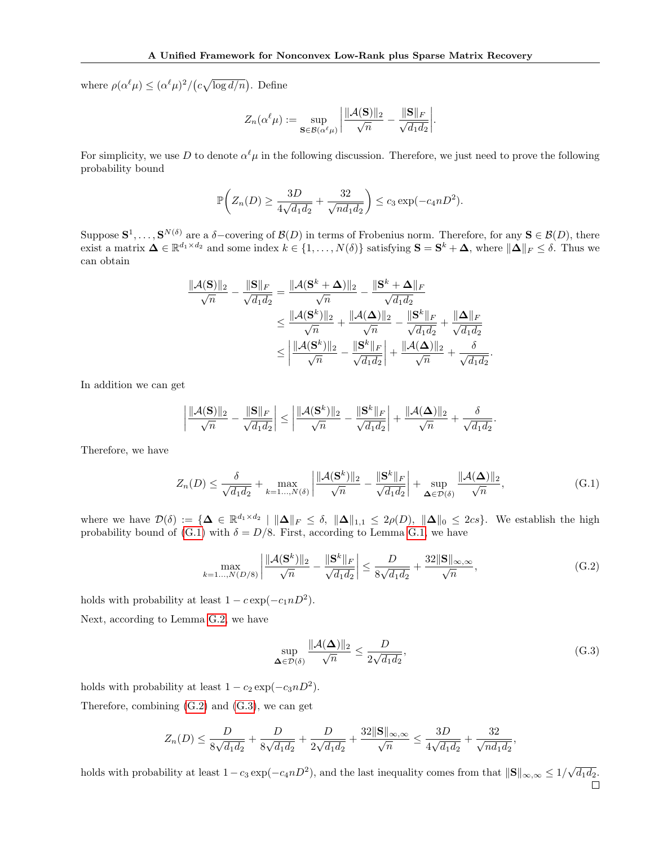where  $\rho(\alpha^{\ell}\mu) \leq (\alpha^{\ell}\mu)^2/(c\sqrt{\log d/n})$ . Define

$$
Z_n(\alpha^{\ell}\mu) := \sup_{\mathbf{S} \in \mathcal{B}(\alpha^{\ell}\mu)} \left| \frac{\|\mathcal{A}(\mathbf{S})\|_2}{\sqrt{n}} - \frac{\|\mathbf{S}\|_F}{\sqrt{d_1 d_2}} \right|
$$

.

For simplicity, we use D to denote  $\alpha^{\ell}\mu$  in the following discussion. Therefore, we just need to prove the following probability bound

$$
\mathbb{P}\bigg(Z_n(D) \ge \frac{3D}{4\sqrt{d_1d_2}} + \frac{32}{\sqrt{nd_1d_2}}\bigg) \le c_3 \exp(-c_4nD^2).
$$

Suppose  $\mathbf{S}^1,\ldots,\mathbf{S}^{N(\delta)}$  are a  $\delta$ -covering of  $\mathcal{B}(D)$  in terms of Frobenius norm. Therefore, for any  $\mathbf{S} \in \mathcal{B}(D)$ , there exist a matrix  $\mathbf{\Delta} \in \mathbb{R}^{d_1 \times d_2}$  and some index  $k \in \{1, ..., N(\delta)\}$  satisfying  $\mathbf{S} = \mathbf{S}^k + \mathbf{\Delta}$ , where  $\|\mathbf{\Delta}\|_F \leq \delta$ . Thus we can obtain

$$
\frac{\|\mathcal{A}(\mathbf{S})\|_2}{\sqrt{n}} - \frac{\|\mathbf{S}\|_F}{\sqrt{d_1 d_2}} = \frac{\|\mathcal{A}(\mathbf{S}^k + \boldsymbol{\Delta})\|_2}{\sqrt{n}} - \frac{\|\mathbf{S}^k + \boldsymbol{\Delta}\|_F}{\sqrt{d_1 d_2}} \n\le \frac{\|\mathcal{A}(\mathbf{S}^k)\|_2}{\sqrt{n}} + \frac{\|\mathcal{A}(\boldsymbol{\Delta})\|_2}{\sqrt{n}} - \frac{\|\mathbf{S}^k\|_F}{\sqrt{d_1 d_2}} + \frac{\|\boldsymbol{\Delta}\|_F}{\sqrt{d_1 d_2}} \n\le \left|\frac{\|\mathcal{A}(\mathbf{S}^k)\|_2}{\sqrt{n}} - \frac{\|\mathbf{S}^k\|_F}{\sqrt{d_1 d_2}}\right| + \frac{\|\mathcal{A}(\boldsymbol{\Delta})\|_2}{\sqrt{n}} + \frac{\delta}{\sqrt{d_1 d_2}}.
$$

In addition we can get

$$
\left| \frac{\|{\cal A}({\bf S})\|_2}{\sqrt{n}} - \frac{\|{\bf S}\|_F}{\sqrt{d_1d_2}} \right| \le \left| \frac{\|{\cal A}({\bf S}^k)\|_2}{\sqrt{n}} - \frac{\|{\bf S}^k\|_F}{\sqrt{d_1d_2}} \right| + \frac{\|{\cal A}({\bf \Delta})\|_2}{\sqrt{n}} + \frac{\delta}{\sqrt{d_1d_2}}.
$$

Therefore, we have

$$
Z_n(D) \le \frac{\delta}{\sqrt{d_1 d_2}} + \max_{k=1\ldots,N(\delta)} \left| \frac{\|\mathcal{A}(\mathbf{S}^k)\|_2}{\sqrt{n}} - \frac{\|\mathbf{S}^k\|_F}{\sqrt{d_1 d_2}} \right| + \sup_{\mathbf{\Delta}\in\mathcal{D}(\delta)} \frac{\|\mathcal{A}(\mathbf{\Delta})\|_2}{\sqrt{n}},\tag{G.1}
$$

where we have  $\mathcal{D}(\delta) := \{ \mathbf{\Delta} \in \mathbb{R}^{d_1 \times d_2} \mid ||\mathbf{\Delta}||_F \leq \delta, ||\mathbf{\Delta}||_{1,1} \leq 2\rho(D), ||\mathbf{\Delta}||_0 \leq 2cs \}.$  We establish the high probability bound of (G.1) with  $\delta = D/8$ . First, according to Lemma G.1, we have

$$
\max_{k=1\ldots,N(D/8)}\left|\frac{\|\mathcal{A}(\mathbf{S}^k)\|_2}{\sqrt{n}} - \frac{\|\mathbf{S}^k\|_F}{\sqrt{d_1 d_2}}\right| \le \frac{D}{8\sqrt{d_1 d_2}} + \frac{32\|\mathbf{S}\|_{\infty,\infty}}{\sqrt{n}},\tag{G.2}
$$

holds with probability at least  $1 - c \exp(-c_1 n D^2)$ .

Next, according to Lemma G.2, we have

$$
\sup_{\Delta \in \mathcal{D}(\delta)} \frac{\|\mathcal{A}(\Delta)\|_2}{\sqrt{n}} \le \frac{D}{2\sqrt{d_1 d_2}},\tag{G.3}
$$

holds with probability at least  $1 - c_2 \exp(-c_3 n D^2)$ .

Therefore, combining (G.2) and (G.3), we can get

$$
Z_n(D) \leq \frac{D}{8\sqrt{d_1d_2}} + \frac{D}{8\sqrt{d_1d_2}} + \frac{D}{2\sqrt{d_1d_2}} + \frac{32\|\mathbf{S}\|_{\infty,\infty}}{\sqrt{n}} \leq \frac{3D}{4\sqrt{d_1d_2}} + \frac{32}{\sqrt{nd_1d_2}},
$$

holds with probability at least  $1 - c_3 \exp(-c_4 n D^2)$ , and the last inequality comes from that  $\|\mathbf{S}\|_{\infty,\infty} \leq 1/\sqrt{d_1 d_2}$ .  $\Box$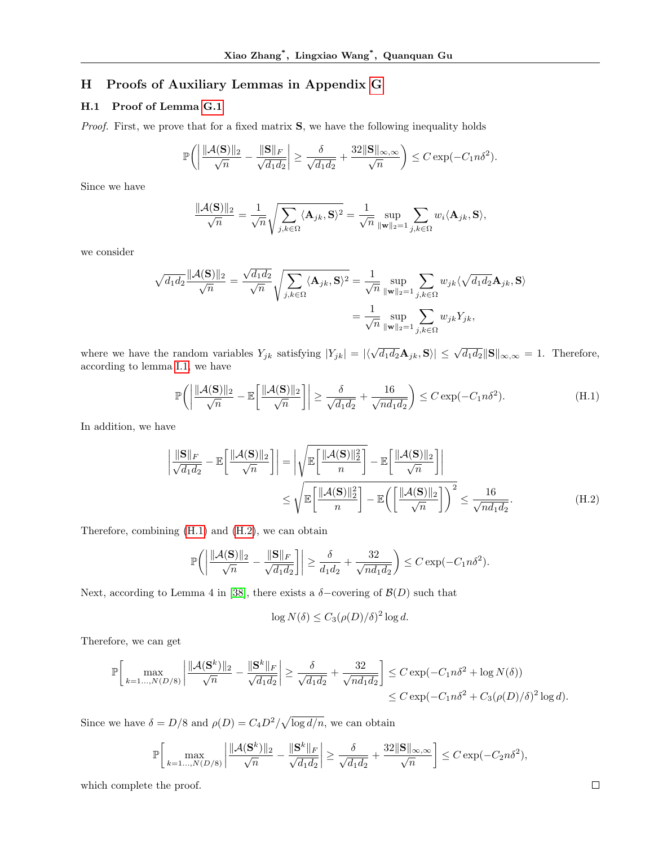# H Proofs of Auxiliary Lemmas in Appendix G

# H.1 Proof of Lemma G.1

Proof. First, we prove that for a fixed matrix **S**, we have the following inequality holds

$$
\mathbb{P}\bigg(\bigg|\frac{\|\mathcal{A}(\mathbf{S})\|_2}{\sqrt{n}} - \frac{\|\mathbf{S}\|_F}{\sqrt{d_1d_2}}\bigg| \ge \frac{\delta}{\sqrt{d_1d_2}} + \frac{32\|\mathbf{S}\|_{\infty,\infty}}{\sqrt{n}}\bigg) \le C\exp(-C_1n\delta^2).
$$

Since we have

$$
\frac{\|\mathcal{A}(\mathbf{S})\|_2}{\sqrt{n}} = \frac{1}{\sqrt{n}} \sqrt{\sum_{j,k \in \Omega} \langle \mathbf{A}_{jk}, \mathbf{S} \rangle^2} = \frac{1}{\sqrt{n}} \sup_{\|\mathbf{w}\|_2 = 1} \sum_{j,k \in \Omega} w_i \langle \mathbf{A}_{jk}, \mathbf{S} \rangle,
$$

we consider

$$
\sqrt{d_1 d_2} \frac{\|\mathcal{A}(\mathbf{S})\|_2}{\sqrt{n}} = \frac{\sqrt{d_1 d_2}}{\sqrt{n}} \sqrt{\sum_{j,k \in \Omega} \langle \mathbf{A}_{jk}, \mathbf{S} \rangle^2} = \frac{1}{\sqrt{n}} \sup_{\|\mathbf{w}\|_2 = 1} \sum_{j,k \in \Omega} w_{jk} \langle \sqrt{d_1 d_2} \mathbf{A}_{jk}, \mathbf{S} \rangle
$$

$$
= \frac{1}{\sqrt{n}} \sup_{\|\mathbf{w}\|_2 = 1} \sum_{j,k \in \Omega} w_{jk} Y_{jk},
$$

where we have the random variables  $Y_{jk}$  satisfying  $|Y_{jk}| = |\langle \sqrt{d_1 d_2} \mathbf{A}_{jk}, \mathbf{S} \rangle| \le \sqrt{d_1 d_2} ||\mathbf{S}||_{\infty, \infty} = 1$ . Therefore, according to lemma I.1, we have

$$
\mathbb{P}\bigg(\bigg|\frac{\|\mathcal{A}(\mathbf{S})\|_2}{\sqrt{n}} - \mathbb{E}\bigg[\frac{\|\mathcal{A}(\mathbf{S})\|_2}{\sqrt{n}}\bigg]\bigg| \ge \frac{\delta}{\sqrt{d_1 d_2}} + \frac{16}{\sqrt{n d_1 d_2}}\bigg) \le C \exp(-C_1 n \delta^2). \tag{H.1}
$$

In addition, we have

$$
\left| \frac{\|\mathbf{S}\|_{F}}{\sqrt{d_{1} d_{2}}} - \mathbb{E}\left[\frac{\|\mathcal{A}(\mathbf{S})\|_{2}}{\sqrt{n}}\right] \right| = \left| \sqrt{\mathbb{E}\left[\frac{\|\mathcal{A}(\mathbf{S})\|_{2}^{2}}{n}\right]} - \mathbb{E}\left[\frac{\|\mathcal{A}(\mathbf{S})\|_{2}}{\sqrt{n}}\right] \right|
$$
  

$$
\leq \sqrt{\mathbb{E}\left[\frac{\|\mathcal{A}(\mathbf{S})\|_{2}^{2}}{n}\right] - \mathbb{E}\left(\left[\frac{\|\mathcal{A}(\mathbf{S})\|_{2}}{\sqrt{n}}\right]\right)^{2}} \leq \frac{16}{\sqrt{nd_{1} d_{2}}}.
$$
 (H.2)

Therefore, combining (H.1) and (H.2), we can obtain

$$
\mathbb{P}\bigg(\bigg|\frac{\|\mathcal{A}(\mathbf{S})\|_2}{\sqrt{n}} - \frac{\|\mathbf{S}\|_F}{\sqrt{d_1d_2}}\bigg|\bigg| \ge \frac{\delta}{d_1d_2} + \frac{32}{\sqrt{nd_1d_2}}\bigg) \le C\exp(-C_1n\delta^2).
$$

Next, according to Lemma 4 in [38], there exists a  $\delta$ -covering of  $\mathcal{B}(D)$  such that

$$
\log N(\delta) \le C_3(\rho(D)/\delta)^2 \log d.
$$

Therefore, we can get

$$
\mathbb{P}\bigg[\max_{k=1\ldots,N(D/8)}\bigg|\frac{\|\mathcal{A}(\mathbf{S}^k)\|_2}{\sqrt{n}} - \frac{\|\mathbf{S}^k\|_F}{\sqrt{d_1d_2}}\bigg| \ge \frac{\delta}{\sqrt{d_1d_2}} + \frac{32}{\sqrt{nd_1d_2}}\bigg] \le C\exp(-C_1n\delta^2 + \log N(\delta))\le C\exp(-C_1n\delta^2 + C_3(\rho(D)/\delta)^2\log d).
$$

Since we have  $\delta = D/8$  and  $\rho(D) = C_4 D^2 / \sqrt{\log d/n}$ , we can obtain

$$
\mathbb{P}\bigg[\max_{k=1\ldots,N(D/8)}\bigg|\frac{\|\mathcal{A}(\mathbf{S}^k)\|_2}{\sqrt{n}} - \frac{\|\mathbf{S}^k\|_F}{\sqrt{d_1d_2}}\bigg|\geq \frac{\delta}{\sqrt{d_1d_2}} + \frac{32\|\mathbf{S}\|_{\infty,\infty}}{\sqrt{n}}\bigg] \leq C\exp(-C_2n\delta^2),
$$

which complete the proof.